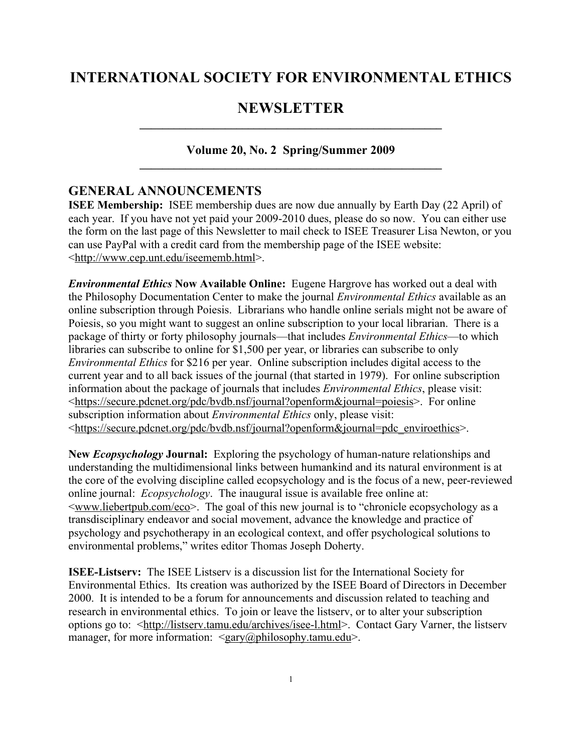# **INTERNATIONAL SOCIETY FOR ENVIRONMENTAL ETHICS**

# **NEWSLETTER \_\_\_\_\_\_\_\_\_\_\_\_\_\_\_\_\_\_\_\_\_\_\_\_\_\_\_\_\_\_\_\_\_\_\_\_\_\_\_\_\_\_\_\_\_\_\_\_\_\_\_\_\_**

# **Volume 20, No. 2 Spring/Summer 2009 \_\_\_\_\_\_\_\_\_\_\_\_\_\_\_\_\_\_\_\_\_\_\_\_\_\_\_\_\_\_\_\_\_\_\_\_\_\_\_\_\_\_\_\_\_\_\_\_\_\_\_\_\_**

# **GENERAL ANNOUNCEMENTS**

**ISEE Membership:** ISEE membership dues are now due annually by Earth Day (22 April) of each year. If you have not yet paid your 2009-2010 dues, please do so now. You can either use the form on the last page of this Newsletter to mail check to ISEE Treasurer Lisa Newton, or you can use PayPal with a credit card from the membership page of the ISEE website: <http://www.cep.unt.edu/iseememb.html>.

*Environmental Ethics* **Now Available Online:** Eugene Hargrove has worked out a deal with the Philosophy Documentation Center to make the journal *Environmental Ethics* available as an online subscription through Poiesis. Librarians who handle online serials might not be aware of Poiesis, so you might want to suggest an online subscription to your local librarian. There is a package of thirty or forty philosophy journals—that includes *Environmental Ethics*—to which libraries can subscribe to online for \$1,500 per year, or libraries can subscribe to only *Environmental Ethics* for \$216 per year. Online subscription includes digital access to the current year and to all back issues of the journal (that started in 1979). For online subscription information about the package of journals that includes *Environmental Ethics*, please visit: <https://secure.pdcnet.org/pdc/bvdb.nsf/journal?openform&journal=poiesis>. For online subscription information about *Environmental Ethics* only, please visit: <https://secure.pdcnet.org/pdc/bvdb.nsf/journal?openform&journal=pdc\_enviroethics>.

**New** *Ecopsychology* **Journal:** Exploring the psychology of human-nature relationships and understanding the multidimensional links between humankind and its natural environment is at the core of the evolving discipline called ecopsychology and is the focus of a new, peer-reviewed online journal: *Ecopsychology*. The inaugural issue is available free online at: <www.liebertpub.com/eco>. The goal of this new journal is to "chronicle ecopsychology as a transdisciplinary endeavor and social movement, advance the knowledge and practice of psychology and psychotherapy in an ecological context, and offer psychological solutions to environmental problems," writes editor Thomas Joseph Doherty.

**ISEE-Listserv:** The ISEE Listserv is a discussion list for the International Society for Environmental Ethics. Its creation was authorized by the ISEE Board of Directors in December 2000. It is intended to be a forum for announcements and discussion related to teaching and research in environmental ethics. To join or leave the listserv, or to alter your subscription options go to: <http://listserv.tamu.edu/archives/isee-l.html>. Contact Gary Varner, the listserv manager, for more information:  $\langle \text{gary}(\hat{\omega})\rangle$  tamu.edu>.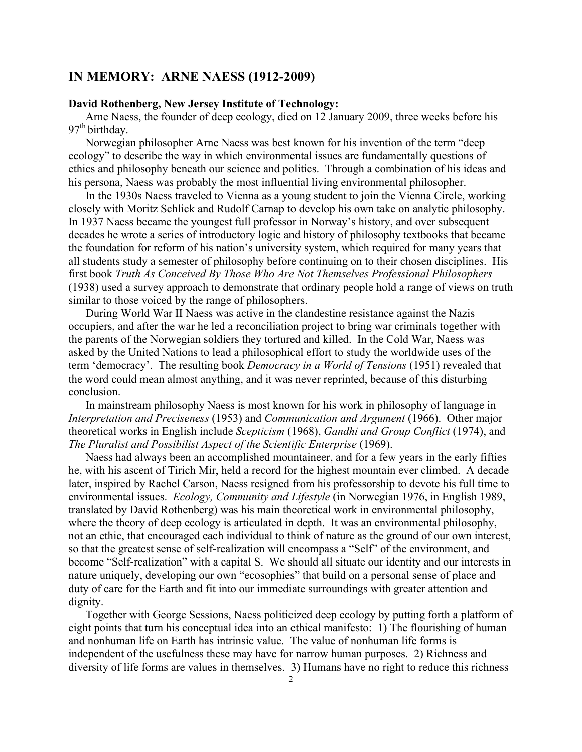# **IN MEMORY: ARNE NAESS (1912-2009)**

#### **David Rothenberg, New Jersey Institute of Technology:**

Arne Naess, the founder of deep ecology, died on 12 January 2009, three weeks before his 97<sup>th</sup> birthday.

Norwegian philosopher Arne Naess was best known for his invention of the term "deep ecology" to describe the way in which environmental issues are fundamentally questions of ethics and philosophy beneath our science and politics. Through a combination of his ideas and his persona, Naess was probably the most influential living environmental philosopher.

In the 1930s Naess traveled to Vienna as a young student to join the Vienna Circle, working closely with Moritz Schlick and Rudolf Carnap to develop his own take on analytic philosophy. In 1937 Naess became the youngest full professor in Norway's history, and over subsequent decades he wrote a series of introductory logic and history of philosophy textbooks that became the foundation for reform of his nation's university system, which required for many years that all students study a semester of philosophy before continuing on to their chosen disciplines. His first book *Truth As Conceived By Those Who Are Not Themselves Professional Philosophers* (1938) used a survey approach to demonstrate that ordinary people hold a range of views on truth similar to those voiced by the range of philosophers.

During World War II Naess was active in the clandestine resistance against the Nazis occupiers, and after the war he led a reconciliation project to bring war criminals together with the parents of the Norwegian soldiers they tortured and killed. In the Cold War, Naess was asked by the United Nations to lead a philosophical effort to study the worldwide uses of the term 'democracy'. The resulting book *Democracy in a World of Tensions* (1951) revealed that the word could mean almost anything, and it was never reprinted, because of this disturbing conclusion.

In mainstream philosophy Naess is most known for his work in philosophy of language in *Interpretation and Preciseness* (1953) and *Communication and Argument* (1966). Other major theoretical works in English include *Scepticism* (1968), *Gandhi and Group Conflict* (1974), and *The Pluralist and Possibilist Aspect of the Scientific Enterprise* (1969).

Naess had always been an accomplished mountaineer, and for a few years in the early fifties he, with his ascent of Tirich Mir, held a record for the highest mountain ever climbed. A decade later, inspired by Rachel Carson, Naess resigned from his professorship to devote his full time to environmental issues. *Ecology, Community and Lifestyle* (in Norwegian 1976, in English 1989, translated by David Rothenberg) was his main theoretical work in environmental philosophy, where the theory of deep ecology is articulated in depth. It was an environmental philosophy, not an ethic, that encouraged each individual to think of nature as the ground of our own interest, so that the greatest sense of self-realization will encompass a "Self" of the environment, and become "Self-realization" with a capital S. We should all situate our identity and our interests in nature uniquely, developing our own "ecosophies" that build on a personal sense of place and duty of care for the Earth and fit into our immediate surroundings with greater attention and dignity.

Together with George Sessions, Naess politicized deep ecology by putting forth a platform of eight points that turn his conceptual idea into an ethical manifesto: 1) The flourishing of human and nonhuman life on Earth has intrinsic value. The value of nonhuman life forms is independent of the usefulness these may have for narrow human purposes. 2) Richness and diversity of life forms are values in themselves. 3) Humans have no right to reduce this richness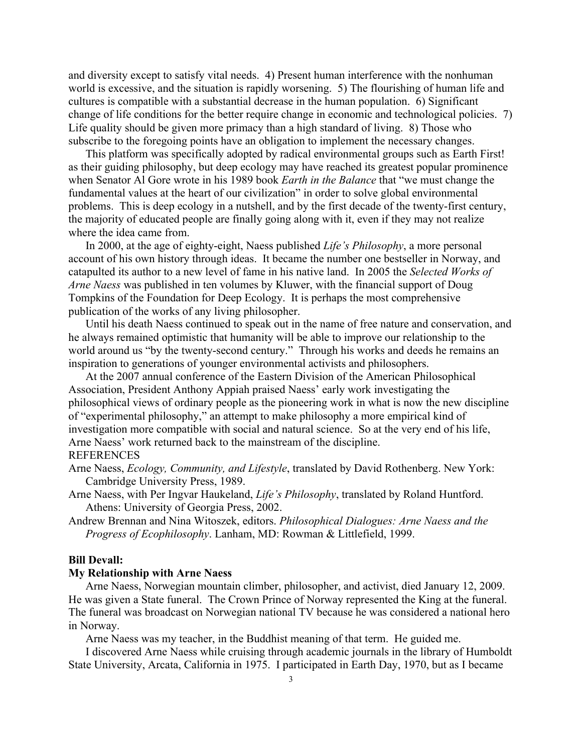and diversity except to satisfy vital needs. 4) Present human interference with the nonhuman world is excessive, and the situation is rapidly worsening. 5) The flourishing of human life and cultures is compatible with a substantial decrease in the human population. 6) Significant change of life conditions for the better require change in economic and technological policies. 7) Life quality should be given more primacy than a high standard of living. 8) Those who subscribe to the foregoing points have an obligation to implement the necessary changes.

This platform was specifically adopted by radical environmental groups such as Earth First! as their guiding philosophy, but deep ecology may have reached its greatest popular prominence when Senator Al Gore wrote in his 1989 book *Earth in the Balance* that "we must change the fundamental values at the heart of our civilization" in order to solve global environmental problems. This is deep ecology in a nutshell, and by the first decade of the twenty-first century, the majority of educated people are finally going along with it, even if they may not realize where the idea came from.

In 2000, at the age of eighty-eight, Naess published *Life's Philosophy*, a more personal account of his own history through ideas. It became the number one bestseller in Norway, and catapulted its author to a new level of fame in his native land. In 2005 the *Selected Works of Arne Naess* was published in ten volumes by Kluwer, with the financial support of Doug Tompkins of the Foundation for Deep Ecology. It is perhaps the most comprehensive publication of the works of any living philosopher.

Until his death Naess continued to speak out in the name of free nature and conservation, and he always remained optimistic that humanity will be able to improve our relationship to the world around us "by the twenty-second century." Through his works and deeds he remains an inspiration to generations of younger environmental activists and philosophers.

At the 2007 annual conference of the Eastern Division of the American Philosophical Association, President Anthony Appiah praised Naess' early work investigating the philosophical views of ordinary people as the pioneering work in what is now the new discipline of "experimental philosophy," an attempt to make philosophy a more empirical kind of investigation more compatible with social and natural science. So at the very end of his life, Arne Naess' work returned back to the mainstream of the discipline. REFERENCES

Arne Naess, *Ecology, Community, and Lifestyle*, translated by David Rothenberg. New York:

Cambridge University Press, 1989.

Arne Naess, with Per Ingvar Haukeland, *Life's Philosophy*, translated by Roland Huntford. Athens: University of Georgia Press, 2002.

Andrew Brennan and Nina Witoszek, editors. *Philosophical Dialogues: Arne Naess and the Progress of Ecophilosophy*. Lanham, MD: Rowman & Littlefield, 1999.

### **Bill Devall:**

#### **My Relationship with Arne Naess**

Arne Naess, Norwegian mountain climber, philosopher, and activist, died January 12, 2009. He was given a State funeral. The Crown Prince of Norway represented the King at the funeral. The funeral was broadcast on Norwegian national TV because he was considered a national hero in Norway.

Arne Naess was my teacher, in the Buddhist meaning of that term. He guided me.

I discovered Arne Naess while cruising through academic journals in the library of Humboldt State University, Arcata, California in 1975. I participated in Earth Day, 1970, but as I became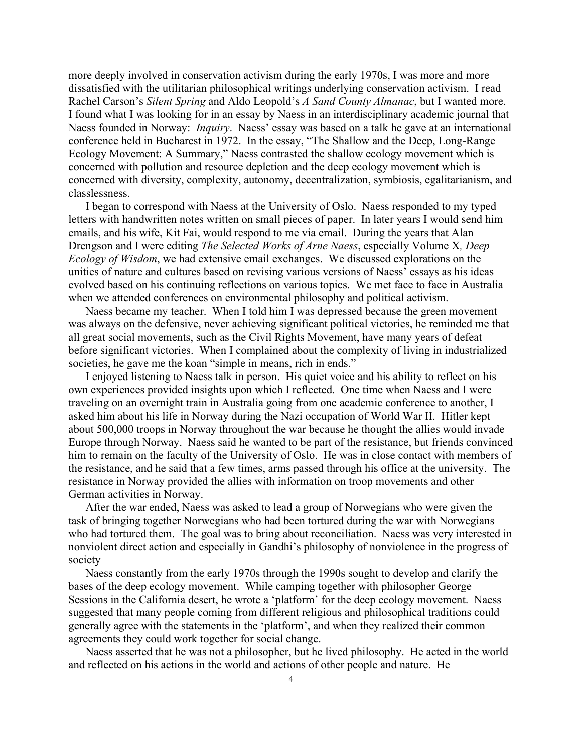more deeply involved in conservation activism during the early 1970s, I was more and more dissatisfied with the utilitarian philosophical writings underlying conservation activism. I read Rachel Carson's *Silent Spring* and Aldo Leopold's *A Sand County Almanac*, but I wanted more. I found what I was looking for in an essay by Naess in an interdisciplinary academic journal that Naess founded in Norway: *Inquiry*. Naess' essay was based on a talk he gave at an international conference held in Bucharest in 1972. In the essay, "The Shallow and the Deep, Long-Range Ecology Movement: A Summary," Naess contrasted the shallow ecology movement which is concerned with pollution and resource depletion and the deep ecology movement which is concerned with diversity, complexity, autonomy, decentralization, symbiosis, egalitarianism, and classlessness.

I began to correspond with Naess at the University of Oslo. Naess responded to my typed letters with handwritten notes written on small pieces of paper. In later years I would send him emails, and his wife, Kit Fai, would respond to me via email. During the years that Alan Drengson and I were editing *The Selected Works of Arne Naess*, especially Volume X*, Deep Ecology of Wisdom*, we had extensive email exchanges. We discussed explorations on the unities of nature and cultures based on revising various versions of Naess' essays as his ideas evolved based on his continuing reflections on various topics. We met face to face in Australia when we attended conferences on environmental philosophy and political activism.

Naess became my teacher. When I told him I was depressed because the green movement was always on the defensive, never achieving significant political victories, he reminded me that all great social movements, such as the Civil Rights Movement, have many years of defeat before significant victories. When I complained about the complexity of living in industrialized societies, he gave me the koan "simple in means, rich in ends."

I enjoyed listening to Naess talk in person. His quiet voice and his ability to reflect on his own experiences provided insights upon which I reflected. One time when Naess and I were traveling on an overnight train in Australia going from one academic conference to another, I asked him about his life in Norway during the Nazi occupation of World War II. Hitler kept about 500,000 troops in Norway throughout the war because he thought the allies would invade Europe through Norway. Naess said he wanted to be part of the resistance, but friends convinced him to remain on the faculty of the University of Oslo. He was in close contact with members of the resistance, and he said that a few times, arms passed through his office at the university. The resistance in Norway provided the allies with information on troop movements and other German activities in Norway.

After the war ended, Naess was asked to lead a group of Norwegians who were given the task of bringing together Norwegians who had been tortured during the war with Norwegians who had tortured them. The goal was to bring about reconciliation. Naess was very interested in nonviolent direct action and especially in Gandhi's philosophy of nonviolence in the progress of society

Naess constantly from the early 1970s through the 1990s sought to develop and clarify the bases of the deep ecology movement. While camping together with philosopher George Sessions in the California desert, he wrote a 'platform' for the deep ecology movement. Naess suggested that many people coming from different religious and philosophical traditions could generally agree with the statements in the 'platform', and when they realized their common agreements they could work together for social change.

Naess asserted that he was not a philosopher, but he lived philosophy. He acted in the world and reflected on his actions in the world and actions of other people and nature. He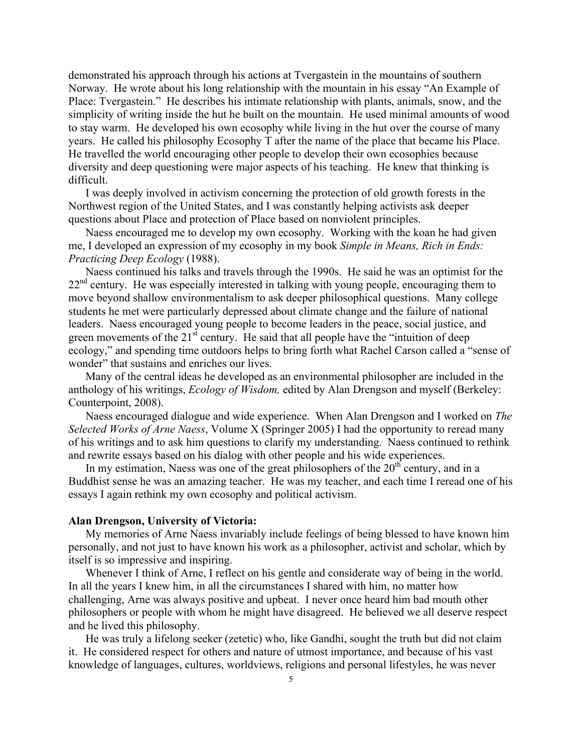demonstrated his approach through his actions at Tvergastein in the mountains of southern Norway. He wrote about his long relationship with the mountain in his essay "An Example of Place: Tvergastein." He describes his intimate relationship with plants, animals, snow, and the simplicity of writing inside the hut he built on the mountain. He used minimal amounts of wood to stay warm. He developed his own ecosophy while living in the hut over the course of many years. He called his philosophy Ecosophy T after the name of the place that became his Place. He travelled the world encouraging other people to develop their own ecosophies because diversity and deep questioning were major aspects of his teaching. He knew that thinking is difficult.

I was deeply involved in activism concerning the protection of old growth forests in the Northwest region of the United States, and I was constantly helping activists ask deeper questions about Place and protection of Place based on nonviolent principles.

Naess encouraged me to develop my own ecosophy. Working with the koan he had given me, I developed an expression of my ecosophy in my book *Simple in Means, Rich in Ends: Practicing Deep Ecology* (1988).

Naess continued his talks and travels through the 1990s. He said he was an optimist for the 22<sup>nd</sup> century. He was especially interested in talking with young people, encouraging them to move beyond shallow environmentalism to ask deeper philosophical questions. Many college students he met were particularly depressed about climate change and the failure of national leaders. Naess encouraged young people to become leaders in the peace, social justice, and green movements of the  $21<sup>st</sup>$  century. He said that all people have the "intuition of deep ecology," and spending time outdoors helps to bring forth what Rachel Carson called a "sense of wonder" that sustains and enriches our lives.

Many of the central ideas he developed as an environmental philosopher are included in the anthology of his writings, *Ecology of Wisdom,* edited by Alan Drengson and myself (Berkeley: Counterpoint, 2008).

Naess encouraged dialogue and wide experience. When Alan Drengson and I worked on *The Selected Works of Arne Naess*, Volume X (Springer 2005) I had the opportunity to reread many of his writings and to ask him questions to clarify my understanding. Naess continued to rethink and rewrite essays based on his dialog with other people and his wide experiences.

In my estimation, Naess was one of the great philosophers of the  $20<sup>th</sup>$  century, and in a Buddhist sense he was an amazing teacher. He was my teacher, and each time I reread one of his essays I again rethink my own ecosophy and political activism.

#### **Alan Drengson, University of Victoria:**

My memories of Arne Naess invariably include feelings of being blessed to have known him personally, and not just to have known his work as a philosopher, activist and scholar, which by itself is so impressive and inspiring.

Whenever I think of Arne, I reflect on his gentle and considerate way of being in the world. In all the years I knew him, in all the circumstances I shared with him, no matter how challenging, Arne was always positive and upbeat. I never once heard him bad mouth other philosophers or people with whom he might have disagreed. He believed we all deserve respect and he lived this philosophy.

He was truly a lifelong seeker (zetetic) who, like Gandhi, sought the truth but did not claim it. He considered respect for others and nature of utmost importance, and because of his vast knowledge of languages, cultures, worldviews, religions and personal lifestyles, he was never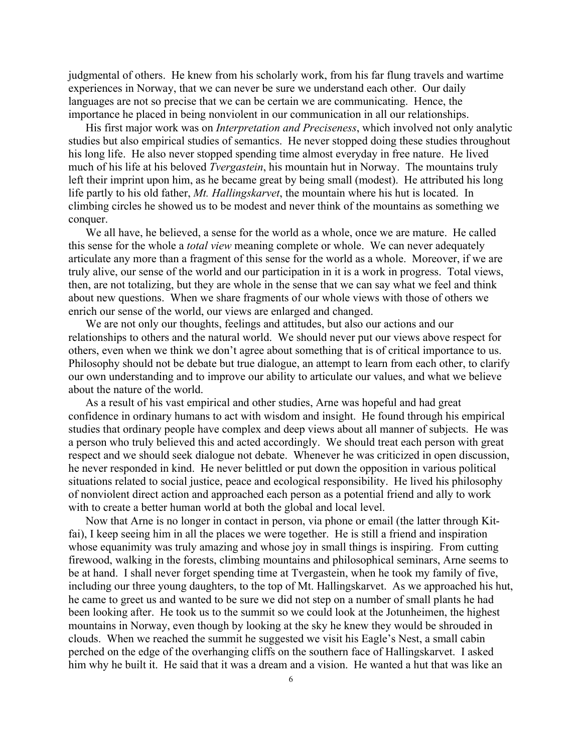judgmental of others. He knew from his scholarly work, from his far flung travels and wartime experiences in Norway, that we can never be sure we understand each other. Our daily languages are not so precise that we can be certain we are communicating. Hence, the importance he placed in being nonviolent in our communication in all our relationships.

His first major work was on *Interpretation and Preciseness*, which involved not only analytic studies but also empirical studies of semantics. He never stopped doing these studies throughout his long life. He also never stopped spending time almost everyday in free nature. He lived much of his life at his beloved *Tvergastein*, his mountain hut in Norway. The mountains truly left their imprint upon him, as he became great by being small (modest). He attributed his long life partly to his old father, *Mt. Hallingskarvet*, the mountain where his hut is located. In climbing circles he showed us to be modest and never think of the mountains as something we conquer.

We all have, he believed, a sense for the world as a whole, once we are mature. He called this sense for the whole a *total view* meaning complete or whole. We can never adequately articulate any more than a fragment of this sense for the world as a whole. Moreover, if we are truly alive, our sense of the world and our participation in it is a work in progress. Total views, then, are not totalizing, but they are whole in the sense that we can say what we feel and think about new questions. When we share fragments of our whole views with those of others we enrich our sense of the world, our views are enlarged and changed.

We are not only our thoughts, feelings and attitudes, but also our actions and our relationships to others and the natural world. We should never put our views above respect for others, even when we think we don't agree about something that is of critical importance to us. Philosophy should not be debate but true dialogue, an attempt to learn from each other, to clarify our own understanding and to improve our ability to articulate our values, and what we believe about the nature of the world.

As a result of his vast empirical and other studies, Arne was hopeful and had great confidence in ordinary humans to act with wisdom and insight. He found through his empirical studies that ordinary people have complex and deep views about all manner of subjects. He was a person who truly believed this and acted accordingly. We should treat each person with great respect and we should seek dialogue not debate. Whenever he was criticized in open discussion, he never responded in kind. He never belittled or put down the opposition in various political situations related to social justice, peace and ecological responsibility. He lived his philosophy of nonviolent direct action and approached each person as a potential friend and ally to work with to create a better human world at both the global and local level.

Now that Arne is no longer in contact in person, via phone or email (the latter through Kitfai), I keep seeing him in all the places we were together. He is still a friend and inspiration whose equanimity was truly amazing and whose joy in small things is inspiring. From cutting firewood, walking in the forests, climbing mountains and philosophical seminars, Arne seems to be at hand. I shall never forget spending time at Tvergastein, when he took my family of five, including our three young daughters, to the top of Mt. Hallingskarvet. As we approached his hut, he came to greet us and wanted to be sure we did not step on a number of small plants he had been looking after. He took us to the summit so we could look at the Jotunheimen, the highest mountains in Norway, even though by looking at the sky he knew they would be shrouded in clouds. When we reached the summit he suggested we visit his Eagle's Nest, a small cabin perched on the edge of the overhanging cliffs on the southern face of Hallingskarvet. I asked him why he built it. He said that it was a dream and a vision. He wanted a hut that was like an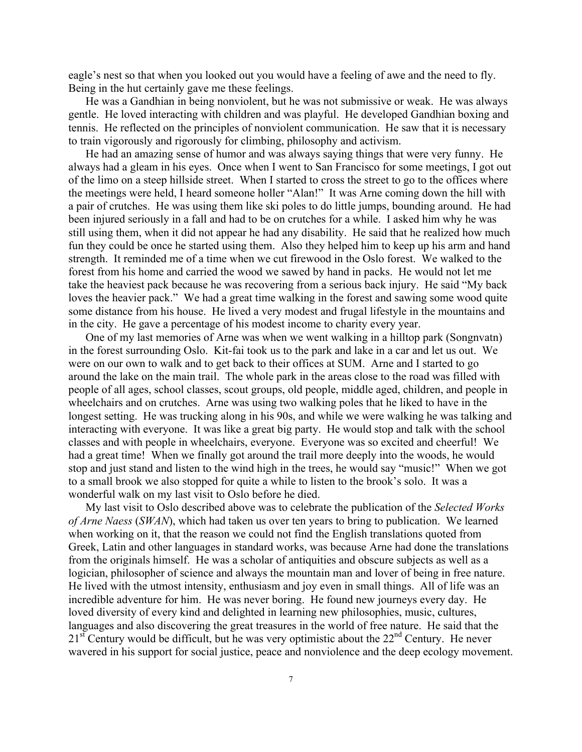eagle's nest so that when you looked out you would have a feeling of awe and the need to fly. Being in the hut certainly gave me these feelings.

He was a Gandhian in being nonviolent, but he was not submissive or weak. He was always gentle. He loved interacting with children and was playful. He developed Gandhian boxing and tennis. He reflected on the principles of nonviolent communication. He saw that it is necessary to train vigorously and rigorously for climbing, philosophy and activism.

He had an amazing sense of humor and was always saying things that were very funny. He always had a gleam in his eyes. Once when I went to San Francisco for some meetings, I got out of the limo on a steep hillside street. When I started to cross the street to go to the offices where the meetings were held, I heard someone holler "Alan!" It was Arne coming down the hill with a pair of crutches. He was using them like ski poles to do little jumps, bounding around. He had been injured seriously in a fall and had to be on crutches for a while. I asked him why he was still using them, when it did not appear he had any disability. He said that he realized how much fun they could be once he started using them. Also they helped him to keep up his arm and hand strength. It reminded me of a time when we cut firewood in the Oslo forest. We walked to the forest from his home and carried the wood we sawed by hand in packs. He would not let me take the heaviest pack because he was recovering from a serious back injury. He said "My back loves the heavier pack." We had a great time walking in the forest and sawing some wood quite some distance from his house. He lived a very modest and frugal lifestyle in the mountains and in the city. He gave a percentage of his modest income to charity every year.

One of my last memories of Arne was when we went walking in a hilltop park (Songnvatn) in the forest surrounding Oslo. Kit-fai took us to the park and lake in a car and let us out. We were on our own to walk and to get back to their offices at SUM. Arne and I started to go around the lake on the main trail. The whole park in the areas close to the road was filled with people of all ages, school classes, scout groups, old people, middle aged, children, and people in wheelchairs and on crutches. Arne was using two walking poles that he liked to have in the longest setting. He was trucking along in his 90s, and while we were walking he was talking and interacting with everyone. It was like a great big party. He would stop and talk with the school classes and with people in wheelchairs, everyone. Everyone was so excited and cheerful! We had a great time! When we finally got around the trail more deeply into the woods, he would stop and just stand and listen to the wind high in the trees, he would say "music!" When we got to a small brook we also stopped for quite a while to listen to the brook's solo. It was a wonderful walk on my last visit to Oslo before he died.

My last visit to Oslo described above was to celebrate the publication of the *Selected Works of Arne Naess* (*SWAN*), which had taken us over ten years to bring to publication. We learned when working on it, that the reason we could not find the English translations quoted from Greek, Latin and other languages in standard works, was because Arne had done the translations from the originals himself. He was a scholar of antiquities and obscure subjects as well as a logician, philosopher of science and always the mountain man and lover of being in free nature. He lived with the utmost intensity, enthusiasm and joy even in small things. All of life was an incredible adventure for him. He was never boring. He found new journeys every day. He loved diversity of every kind and delighted in learning new philosophies, music, cultures, languages and also discovering the great treasures in the world of free nature. He said that the  $21<sup>st</sup>$  Century would be difficult, but he was very optimistic about the  $22<sup>nd</sup>$  Century. He never wavered in his support for social justice, peace and nonviolence and the deep ecology movement.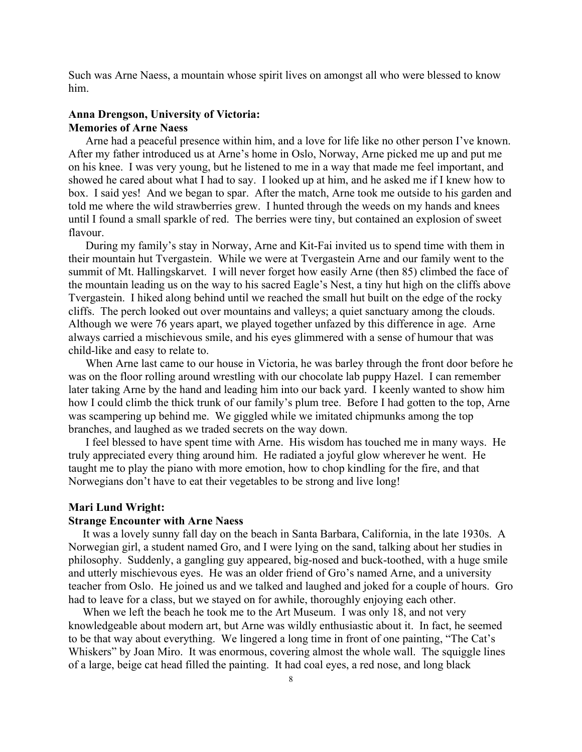Such was Arne Naess, a mountain whose spirit lives on amongst all who were blessed to know him.

# **Anna Drengson, University of Victoria:**

# **Memories of Arne Naess**

Arne had a peaceful presence within him, and a love for life like no other person I've known. After my father introduced us at Arne's home in Oslo, Norway, Arne picked me up and put me on his knee. I was very young, but he listened to me in a way that made me feel important, and showed he cared about what I had to say. I looked up at him, and he asked me if I knew how to box. I said yes! And we began to spar. After the match, Arne took me outside to his garden and told me where the wild strawberries grew. I hunted through the weeds on my hands and knees until I found a small sparkle of red. The berries were tiny, but contained an explosion of sweet flavour.

During my family's stay in Norway, Arne and Kit-Fai invited us to spend time with them in their mountain hut Tvergastein. While we were at Tvergastein Arne and our family went to the summit of Mt. Hallingskarvet. I will never forget how easily Arne (then 85) climbed the face of the mountain leading us on the way to his sacred Eagle's Nest, a tiny hut high on the cliffs above Tvergastein. I hiked along behind until we reached the small hut built on the edge of the rocky cliffs. The perch looked out over mountains and valleys; a quiet sanctuary among the clouds. Although we were 76 years apart, we played together unfazed by this difference in age. Arne always carried a mischievous smile, and his eyes glimmered with a sense of humour that was child-like and easy to relate to.

When Arne last came to our house in Victoria, he was barley through the front door before he was on the floor rolling around wrestling with our chocolate lab puppy Hazel. I can remember later taking Arne by the hand and leading him into our back yard. I keenly wanted to show him how I could climb the thick trunk of our family's plum tree. Before I had gotten to the top, Arne was scampering up behind me. We giggled while we imitated chipmunks among the top branches, and laughed as we traded secrets on the way down.

I feel blessed to have spent time with Arne. His wisdom has touched me in many ways. He truly appreciated every thing around him. He radiated a joyful glow wherever he went. He taught me to play the piano with more emotion, how to chop kindling for the fire, and that Norwegians don't have to eat their vegetables to be strong and live long!

#### **Mari Lund Wright:**

#### **Strange Encounter with Arne Naess**

 It was a lovely sunny fall day on the beach in Santa Barbara, California, in the late 1930s. A Norwegian girl, a student named Gro, and I were lying on the sand, talking about her studies in philosophy. Suddenly, a gangling guy appeared, big-nosed and buck-toothed, with a huge smile and utterly mischievous eyes. He was an older friend of Gro's named Arne, and a university teacher from Oslo. He joined us and we talked and laughed and joked for a couple of hours. Gro had to leave for a class, but we stayed on for awhile, thoroughly enjoying each other.

 When we left the beach he took me to the Art Museum. I was only 18, and not very knowledgeable about modern art, but Arne was wildly enthusiastic about it. In fact, he seemed to be that way about everything. We lingered a long time in front of one painting, "The Cat's Whiskers" by Joan Miro. It was enormous, covering almost the whole wall. The squiggle lines of a large, beige cat head filled the painting. It had coal eyes, a red nose, and long black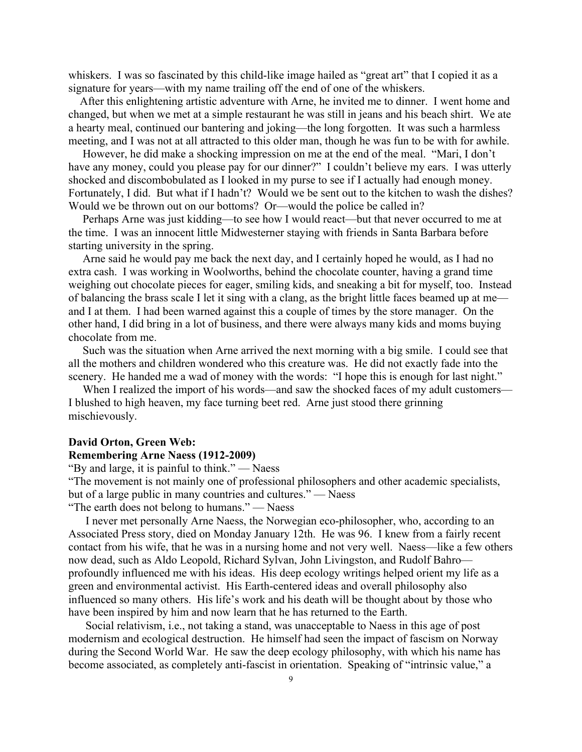whiskers. I was so fascinated by this child-like image hailed as "great art" that I copied it as a signature for years—with my name trailing off the end of one of the whiskers.

 After this enlightening artistic adventure with Arne, he invited me to dinner. I went home and changed, but when we met at a simple restaurant he was still in jeans and his beach shirt. We ate a hearty meal, continued our bantering and joking—the long forgotten. It was such a harmless meeting, and I was not at all attracted to this older man, though he was fun to be with for awhile.

 However, he did make a shocking impression on me at the end of the meal. "Mari, I don't have any money, could you please pay for our dinner?" I couldn't believe my ears. I was utterly shocked and discombobulated as I looked in my purse to see if I actually had enough money. Fortunately, I did. But what if I hadn't? Would we be sent out to the kitchen to wash the dishes? Would we be thrown out on our bottoms? Or—would the police be called in?

 Perhaps Arne was just kidding—to see how I would react—but that never occurred to me at the time. I was an innocent little Midwesterner staying with friends in Santa Barbara before starting university in the spring.

 Arne said he would pay me back the next day, and I certainly hoped he would, as I had no extra cash. I was working in Woolworths, behind the chocolate counter, having a grand time weighing out chocolate pieces for eager, smiling kids, and sneaking a bit for myself, too. Instead of balancing the brass scale I let it sing with a clang, as the bright little faces beamed up at me and I at them. I had been warned against this a couple of times by the store manager. On the other hand, I did bring in a lot of business, and there were always many kids and moms buying chocolate from me.

 Such was the situation when Arne arrived the next morning with a big smile. I could see that all the mothers and children wondered who this creature was. He did not exactly fade into the scenery. He handed me a wad of money with the words: "I hope this is enough for last night."

When I realized the import of his words—and saw the shocked faces of my adult customers— I blushed to high heaven, my face turning beet red. Arne just stood there grinning mischievously.

#### **David Orton, Green Web:**

# **Remembering Arne Naess (1912-2009)**

"By and large, it is painful to think." — Naess

"The movement is not mainly one of professional philosophers and other academic specialists, but of a large public in many countries and cultures." — Naess

"The earth does not belong to humans." — Naess

I never met personally Arne Naess, the Norwegian eco-philosopher, who, according to an Associated Press story, died on Monday January 12th. He was 96. I knew from a fairly recent contact from his wife, that he was in a nursing home and not very well. Naess—like a few others now dead, such as Aldo Leopold, Richard Sylvan, John Livingston, and Rudolf Bahro profoundly influenced me with his ideas. His deep ecology writings helped orient my life as a green and environmental activist. His Earth-centered ideas and overall philosophy also influenced so many others. His life's work and his death will be thought about by those who have been inspired by him and now learn that he has returned to the Earth.

Social relativism, i.e., not taking a stand, was unacceptable to Naess in this age of post modernism and ecological destruction. He himself had seen the impact of fascism on Norway during the Second World War. He saw the deep ecology philosophy, with which his name has become associated, as completely anti-fascist in orientation. Speaking of "intrinsic value," a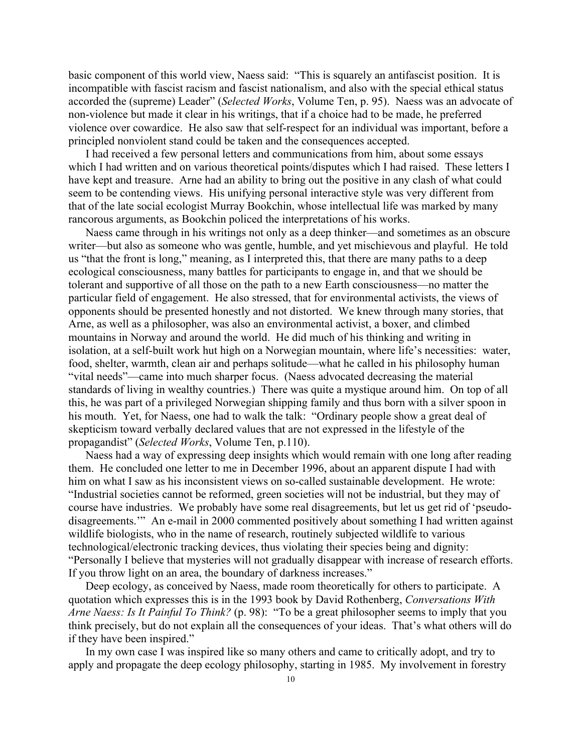basic component of this world view, Naess said: "This is squarely an antifascist position. It is incompatible with fascist racism and fascist nationalism, and also with the special ethical status accorded the (supreme) Leader" (*Selected Works*, Volume Ten, p. 95). Naess was an advocate of non-violence but made it clear in his writings, that if a choice had to be made, he preferred violence over cowardice. He also saw that self-respect for an individual was important, before a principled nonviolent stand could be taken and the consequences accepted.

I had received a few personal letters and communications from him, about some essays which I had written and on various theoretical points/disputes which I had raised. These letters I have kept and treasure. Arne had an ability to bring out the positive in any clash of what could seem to be contending views. His unifying personal interactive style was very different from that of the late social ecologist Murray Bookchin, whose intellectual life was marked by many rancorous arguments, as Bookchin policed the interpretations of his works.

Naess came through in his writings not only as a deep thinker—and sometimes as an obscure writer—but also as someone who was gentle, humble, and yet mischievous and playful. He told us "that the front is long," meaning, as I interpreted this, that there are many paths to a deep ecological consciousness, many battles for participants to engage in, and that we should be tolerant and supportive of all those on the path to a new Earth consciousness—no matter the particular field of engagement. He also stressed, that for environmental activists, the views of opponents should be presented honestly and not distorted. We knew through many stories, that Arne, as well as a philosopher, was also an environmental activist, a boxer, and climbed mountains in Norway and around the world. He did much of his thinking and writing in isolation, at a self-built work hut high on a Norwegian mountain, where life's necessities: water, food, shelter, warmth, clean air and perhaps solitude—what he called in his philosophy human "vital needs"—came into much sharper focus. (Naess advocated decreasing the material standards of living in wealthy countries.) There was quite a mystique around him. On top of all this, he was part of a privileged Norwegian shipping family and thus born with a silver spoon in his mouth. Yet, for Naess, one had to walk the talk: "Ordinary people show a great deal of skepticism toward verbally declared values that are not expressed in the lifestyle of the propagandist" (*Selected Works*, Volume Ten, p.110).

Naess had a way of expressing deep insights which would remain with one long after reading them. He concluded one letter to me in December 1996, about an apparent dispute I had with him on what I saw as his inconsistent views on so-called sustainable development. He wrote: "Industrial societies cannot be reformed, green societies will not be industrial, but they may of course have industries. We probably have some real disagreements, but let us get rid of 'pseudodisagreements.'" An e-mail in 2000 commented positively about something I had written against wildlife biologists, who in the name of research, routinely subjected wildlife to various technological/electronic tracking devices, thus violating their species being and dignity: "Personally I believe that mysteries will not gradually disappear with increase of research efforts. If you throw light on an area, the boundary of darkness increases."

Deep ecology, as conceived by Naess, made room theoretically for others to participate. A quotation which expresses this is in the 1993 book by David Rothenberg, *Conversations With Arne Naess: Is It Painful To Think?* (p. 98): "To be a great philosopher seems to imply that you think precisely, but do not explain all the consequences of your ideas. That's what others will do if they have been inspired."

In my own case I was inspired like so many others and came to critically adopt, and try to apply and propagate the deep ecology philosophy, starting in 1985. My involvement in forestry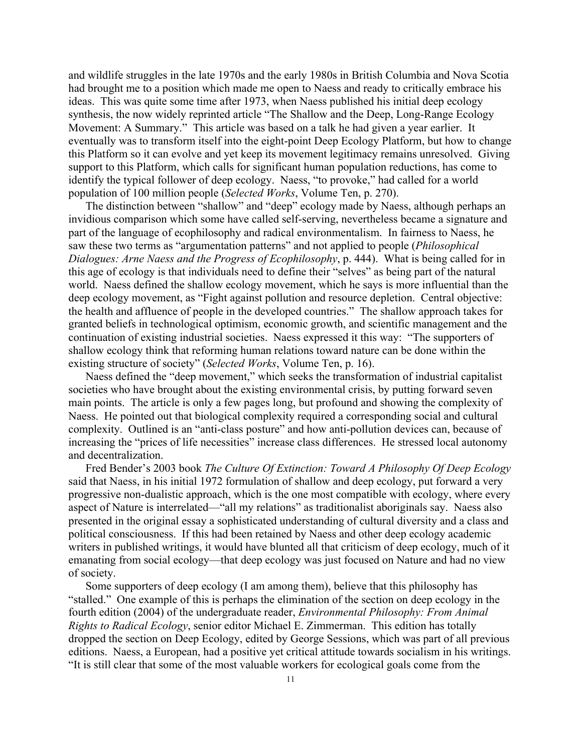and wildlife struggles in the late 1970s and the early 1980s in British Columbia and Nova Scotia had brought me to a position which made me open to Naess and ready to critically embrace his ideas. This was quite some time after 1973, when Naess published his initial deep ecology synthesis, the now widely reprinted article "The Shallow and the Deep, Long-Range Ecology Movement: A Summary." This article was based on a talk he had given a year earlier. It eventually was to transform itself into the eight-point Deep Ecology Platform, but how to change this Platform so it can evolve and yet keep its movement legitimacy remains unresolved. Giving support to this Platform, which calls for significant human population reductions, has come to identify the typical follower of deep ecology. Naess, "to provoke," had called for a world population of 100 million people (*Selected Works*, Volume Ten, p. 270).

The distinction between "shallow" and "deep" ecology made by Naess, although perhaps an invidious comparison which some have called self-serving, nevertheless became a signature and part of the language of ecophilosophy and radical environmentalism. In fairness to Naess, he saw these two terms as "argumentation patterns" and not applied to people (*Philosophical Dialogues: Arne Naess and the Progress of Ecophilosophy*, p. 444). What is being called for in this age of ecology is that individuals need to define their "selves" as being part of the natural world. Naess defined the shallow ecology movement, which he says is more influential than the deep ecology movement, as "Fight against pollution and resource depletion. Central objective: the health and affluence of people in the developed countries." The shallow approach takes for granted beliefs in technological optimism, economic growth, and scientific management and the continuation of existing industrial societies. Naess expressed it this way: "The supporters of shallow ecology think that reforming human relations toward nature can be done within the existing structure of society" (*Selected Works*, Volume Ten, p. 16).

Naess defined the "deep movement," which seeks the transformation of industrial capitalist societies who have brought about the existing environmental crisis, by putting forward seven main points. The article is only a few pages long, but profound and showing the complexity of Naess. He pointed out that biological complexity required a corresponding social and cultural complexity. Outlined is an "anti-class posture" and how anti-pollution devices can, because of increasing the "prices of life necessities" increase class differences. He stressed local autonomy and decentralization.

Fred Bender's 2003 book *The Culture Of Extinction: Toward A Philosophy Of Deep Ecology* said that Naess, in his initial 1972 formulation of shallow and deep ecology, put forward a very progressive non-dualistic approach, which is the one most compatible with ecology, where every aspect of Nature is interrelated—"all my relations" as traditionalist aboriginals say. Naess also presented in the original essay a sophisticated understanding of cultural diversity and a class and political consciousness. If this had been retained by Naess and other deep ecology academic writers in published writings, it would have blunted all that criticism of deep ecology, much of it emanating from social ecology—that deep ecology was just focused on Nature and had no view of society.

Some supporters of deep ecology (I am among them), believe that this philosophy has "stalled." One example of this is perhaps the elimination of the section on deep ecology in the fourth edition (2004) of the undergraduate reader, *Environmental Philosophy: From Animal Rights to Radical Ecology*, senior editor Michael E. Zimmerman. This edition has totally dropped the section on Deep Ecology, edited by George Sessions, which was part of all previous editions. Naess, a European, had a positive yet critical attitude towards socialism in his writings. "It is still clear that some of the most valuable workers for ecological goals come from the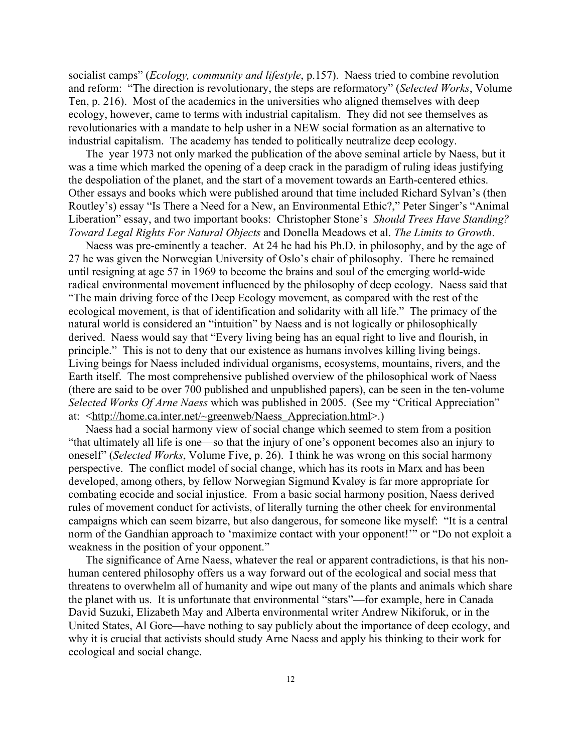socialist camps" (*Ecology, community and lifestyle*, p.157). Naess tried to combine revolution and reform: "The direction is revolutionary, the steps are reformatory" (*Selected Works*, Volume Ten, p. 216). Most of the academics in the universities who aligned themselves with deep ecology, however, came to terms with industrial capitalism. They did not see themselves as revolutionaries with a mandate to help usher in a NEW social formation as an alternative to industrial capitalism. The academy has tended to politically neutralize deep ecology.

The year 1973 not only marked the publication of the above seminal article by Naess, but it was a time which marked the opening of a deep crack in the paradigm of ruling ideas justifying the despoliation of the planet, and the start of a movement towards an Earth-centered ethics. Other essays and books which were published around that time included Richard Sylvan's (then Routley's) essay "Is There a Need for a New, an Environmental Ethic?," Peter Singer's "Animal Liberation" essay, and two important books: Christopher Stone's *Should Trees Have Standing? Toward Legal Rights For Natural Objects* and Donella Meadows et al. *The Limits to Growth*.

Naess was pre-eminently a teacher. At 24 he had his Ph.D. in philosophy, and by the age of 27 he was given the Norwegian University of Oslo's chair of philosophy. There he remained until resigning at age 57 in 1969 to become the brains and soul of the emerging world-wide radical environmental movement influenced by the philosophy of deep ecology. Naess said that "The main driving force of the Deep Ecology movement, as compared with the rest of the ecological movement, is that of identification and solidarity with all life." The primacy of the natural world is considered an "intuition" by Naess and is not logically or philosophically derived. Naess would say that "Every living being has an equal right to live and flourish, in principle." This is not to deny that our existence as humans involves killing living beings. Living beings for Naess included individual organisms, ecosystems, mountains, rivers, and the Earth itself. The most comprehensive published overview of the philosophical work of Naess (there are said to be over 700 published and unpublished papers), can be seen in the ten-volume *Selected Works Of Arne Naess* which was published in 2005. (See my "Critical Appreciation" at: <http://home.ca.inter.net/~greenweb/Naess\_Appreciation.html>.)

Naess had a social harmony view of social change which seemed to stem from a position "that ultimately all life is one—so that the injury of one's opponent becomes also an injury to oneself" (*Selected Works*, Volume Five, p. 26). I think he was wrong on this social harmony perspective. The conflict model of social change, which has its roots in Marx and has been developed, among others, by fellow Norwegian Sigmund Kvaløy is far more appropriate for combating ecocide and social injustice. From a basic social harmony position, Naess derived rules of movement conduct for activists, of literally turning the other cheek for environmental campaigns which can seem bizarre, but also dangerous, for someone like myself: "It is a central norm of the Gandhian approach to 'maximize contact with your opponent!'" or "Do not exploit a weakness in the position of your opponent."

The significance of Arne Naess, whatever the real or apparent contradictions, is that his nonhuman centered philosophy offers us a way forward out of the ecological and social mess that threatens to overwhelm all of humanity and wipe out many of the plants and animals which share the planet with us. It is unfortunate that environmental "stars"—for example, here in Canada David Suzuki, Elizabeth May and Alberta environmental writer Andrew Nikiforuk, or in the United States, Al Gore—have nothing to say publicly about the importance of deep ecology, and why it is crucial that activists should study Arne Naess and apply his thinking to their work for ecological and social change.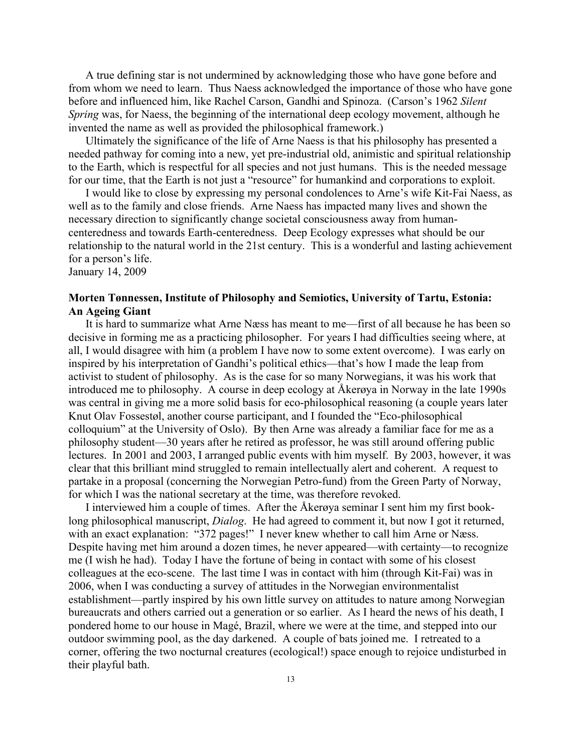A true defining star is not undermined by acknowledging those who have gone before and from whom we need to learn. Thus Naess acknowledged the importance of those who have gone before and influenced him, like Rachel Carson, Gandhi and Spinoza. (Carson's 1962 *Silent Spring* was, for Naess, the beginning of the international deep ecology movement, although he invented the name as well as provided the philosophical framework.)

Ultimately the significance of the life of Arne Naess is that his philosophy has presented a needed pathway for coming into a new, yet pre-industrial old, animistic and spiritual relationship to the Earth, which is respectful for all species and not just humans. This is the needed message for our time, that the Earth is not just a "resource" for humankind and corporations to exploit.

I would like to close by expressing my personal condolences to Arne's wife Kit-Fai Naess, as well as to the family and close friends. Arne Naess has impacted many lives and shown the necessary direction to significantly change societal consciousness away from humancenteredness and towards Earth-centeredness. Deep Ecology expresses what should be our relationship to the natural world in the 21st century. This is a wonderful and lasting achievement for a person's life.

January 14, 2009

## **Morten Tønnessen, Institute of Philosophy and Semiotics, University of Tartu, Estonia: An Ageing Giant**

It is hard to summarize what Arne Næss has meant to me—first of all because he has been so decisive in forming me as a practicing philosopher. For years I had difficulties seeing where, at all, I would disagree with him (a problem I have now to some extent overcome). I was early on inspired by his interpretation of Gandhi's political ethics—that's how I made the leap from activist to student of philosophy. As is the case for so many Norwegians, it was his work that introduced me to philosophy. A course in deep ecology at Åkerøya in Norway in the late 1990s was central in giving me a more solid basis for eco-philosophical reasoning (a couple years later Knut Olav Fossestøl, another course participant, and I founded the "Eco-philosophical colloquium" at the University of Oslo). By then Arne was already a familiar face for me as a philosophy student—30 years after he retired as professor, he was still around offering public lectures. In 2001 and 2003, I arranged public events with him myself. By 2003, however, it was clear that this brilliant mind struggled to remain intellectually alert and coherent. A request to partake in a proposal (concerning the Norwegian Petro-fund) from the Green Party of Norway, for which I was the national secretary at the time, was therefore revoked.

I interviewed him a couple of times. After the Åkerøya seminar I sent him my first booklong philosophical manuscript, *Dialog*. He had agreed to comment it, but now I got it returned, with an exact explanation: "372 pages!" I never knew whether to call him Arne or Næss. Despite having met him around a dozen times, he never appeared—with certainty—to recognize me (I wish he had). Today I have the fortune of being in contact with some of his closest colleagues at the eco-scene. The last time I was in contact with him (through Kit-Fai) was in 2006, when I was conducting a survey of attitudes in the Norwegian environmentalist establishment—partly inspired by his own little survey on attitudes to nature among Norwegian bureaucrats and others carried out a generation or so earlier. As I heard the news of his death, I pondered home to our house in Magé, Brazil, where we were at the time, and stepped into our outdoor swimming pool, as the day darkened. A couple of bats joined me. I retreated to a corner, offering the two nocturnal creatures (ecological!) space enough to rejoice undisturbed in their playful bath.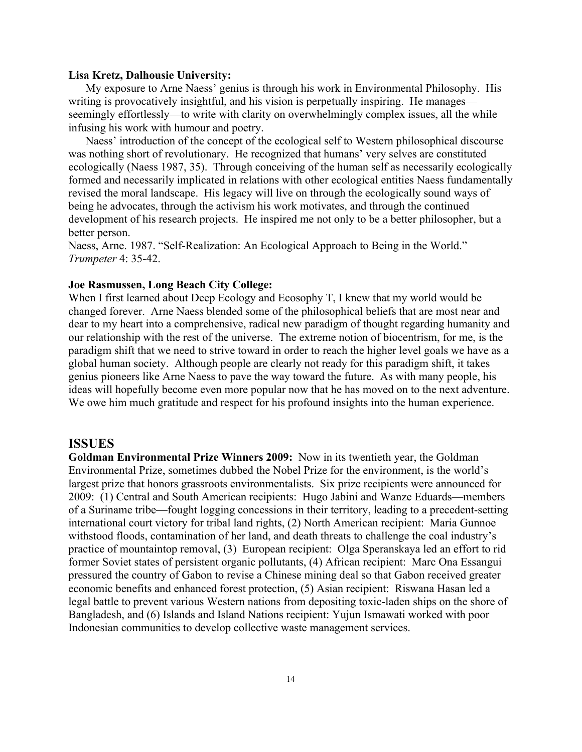## **Lisa Kretz, Dalhousie University:**

My exposure to Arne Naess' genius is through his work in Environmental Philosophy. His writing is provocatively insightful, and his vision is perpetually inspiring. He manages seemingly effortlessly—to write with clarity on overwhelmingly complex issues, all the while infusing his work with humour and poetry.

Naess' introduction of the concept of the ecological self to Western philosophical discourse was nothing short of revolutionary. He recognized that humans' very selves are constituted ecologically (Naess 1987, 35). Through conceiving of the human self as necessarily ecologically formed and necessarily implicated in relations with other ecological entities Naess fundamentally revised the moral landscape. His legacy will live on through the ecologically sound ways of being he advocates, through the activism his work motivates, and through the continued development of his research projects. He inspired me not only to be a better philosopher, but a better person.

Naess, Arne. 1987. "Self-Realization: An Ecological Approach to Being in the World." *Trumpeter* 4: 35-42.

#### **Joe Rasmussen, Long Beach City College:**

When I first learned about Deep Ecology and Ecosophy T, I knew that my world would be changed forever. Arne Naess blended some of the philosophical beliefs that are most near and dear to my heart into a comprehensive, radical new paradigm of thought regarding humanity and our relationship with the rest of the universe. The extreme notion of biocentrism, for me, is the paradigm shift that we need to strive toward in order to reach the higher level goals we have as a global human society. Although people are clearly not ready for this paradigm shift, it takes genius pioneers like Arne Naess to pave the way toward the future. As with many people, his ideas will hopefully become even more popular now that he has moved on to the next adventure. We owe him much gratitude and respect for his profound insights into the human experience.

### **ISSUES**

**Goldman Environmental Prize Winners 2009:** Now in its twentieth year, the Goldman Environmental Prize, sometimes dubbed the Nobel Prize for the environment, is the world's largest prize that honors grassroots environmentalists. Six prize recipients were announced for 2009: (1) Central and South American recipients: Hugo Jabini and Wanze Eduards—members of a Suriname tribe—fought logging concessions in their territory, leading to a precedent-setting international court victory for tribal land rights, (2) North American recipient: Maria Gunnoe withstood floods, contamination of her land, and death threats to challenge the coal industry's practice of mountaintop removal, (3) European recipient: Olga Speranskaya led an effort to rid former Soviet states of persistent organic pollutants, (4) African recipient: Marc Ona Essangui pressured the country of Gabon to revise a Chinese mining deal so that Gabon received greater economic benefits and enhanced forest protection, (5) Asian recipient: Riswana Hasan led a legal battle to prevent various Western nations from depositing toxic-laden ships on the shore of Bangladesh, and (6) Islands and Island Nations recipient: Yujun Ismawati worked with poor Indonesian communities to develop collective waste management services.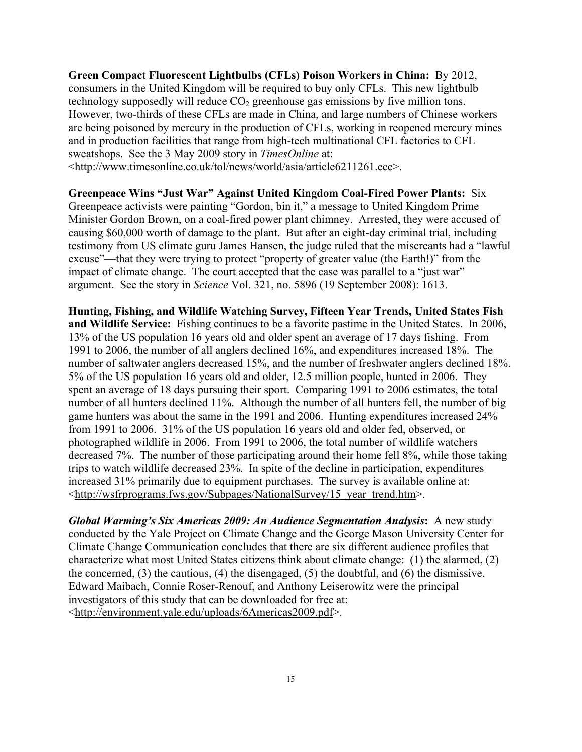**Green Compact Fluorescent Lightbulbs (CFLs) Poison Workers in China:** By 2012, consumers in the United Kingdom will be required to buy only CFLs. This new lightbulb technology supposedly will reduce  $CO<sub>2</sub>$  greenhouse gas emissions by five million tons. However, two-thirds of these CFLs are made in China, and large numbers of Chinese workers are being poisoned by mercury in the production of CFLs, working in reopened mercury mines and in production facilities that range from high-tech multinational CFL factories to CFL sweatshops. See the 3 May 2009 story in *TimesOnline* at: <http://www.timesonline.co.uk/tol/news/world/asia/article6211261.ece>.

**Greenpeace Wins "Just War" Against United Kingdom Coal-Fired Power Plants:** Six Greenpeace activists were painting "Gordon, bin it," a message to United Kingdom Prime Minister Gordon Brown, on a coal-fired power plant chimney. Arrested, they were accused of causing \$60,000 worth of damage to the plant. But after an eight-day criminal trial, including testimony from US climate guru James Hansen, the judge ruled that the miscreants had a "lawful excuse"—that they were trying to protect "property of greater value (the Earth!)" from the impact of climate change. The court accepted that the case was parallel to a "just war" argument. See the story in *Science* Vol. 321, no. 5896 (19 September 2008): 1613.

**Hunting, Fishing, and Wildlife Watching Survey, Fifteen Year Trends, United States Fish and Wildlife Service:** Fishing continues to be a favorite pastime in the United States. In 2006, 13% of the US population 16 years old and older spent an average of 17 days fishing. From 1991 to 2006, the number of all anglers declined 16%, and expenditures increased 18%. The number of saltwater anglers decreased 15%, and the number of freshwater anglers declined 18%. 5% of the US population 16 years old and older, 12.5 million people, hunted in 2006. They spent an average of 18 days pursuing their sport. Comparing 1991 to 2006 estimates, the total number of all hunters declined 11%. Although the number of all hunters fell, the number of big game hunters was about the same in the 1991 and 2006. Hunting expenditures increased 24% from 1991 to 2006. 31% of the US population 16 years old and older fed, observed, or photographed wildlife in 2006. From 1991 to 2006, the total number of wildlife watchers decreased 7%. The number of those participating around their home fell 8%, while those taking trips to watch wildlife decreased 23%. In spite of the decline in participation, expenditures increased 31% primarily due to equipment purchases. The survey is available online at: <http://wsfrprograms.fws.gov/Subpages/NationalSurvey/15\_year\_trend.htm>.

*Global Warming's Six Americas 2009: An Audience Segmentation Analysis***:** A new study conducted by the Yale Project on Climate Change and the George Mason University Center for Climate Change Communication concludes that there are six different audience profiles that characterize what most United States citizens think about climate change: (1) the alarmed, (2) the concerned, (3) the cautious, (4) the disengaged, (5) the doubtful, and (6) the dismissive. Edward Maibach, Connie Roser-Renouf, and Anthony Leiserowitz were the principal investigators of this study that can be downloaded for free at: <http://environment.yale.edu/uploads/6Americas2009.pdf>.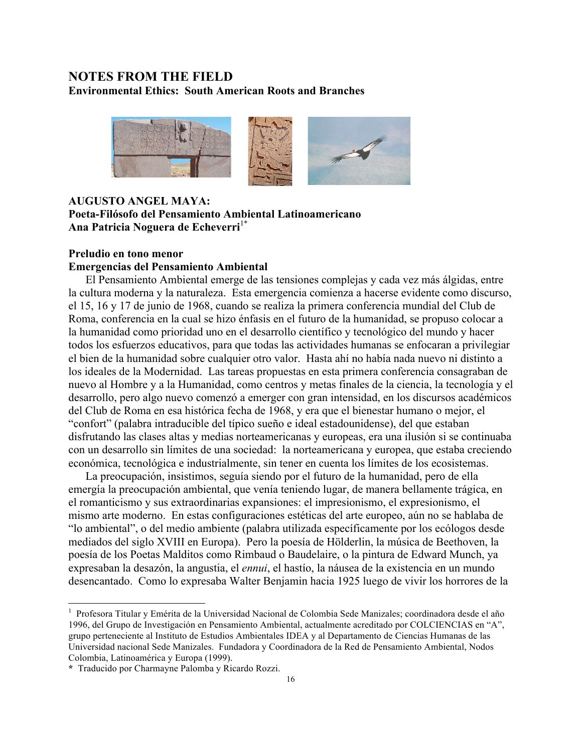# **NOTES FROM THE FIELD Environmental Ethics: South American Roots and Branches**



# **AUGUSTO ANGEL MAYA: Poeta-Filósofo del Pensamiento Ambiental Latinoamericano** Ana Patricia Noguera de Echeverri<sup>1\*</sup>

#### **Preludio en tono menor**

### **Emergencias del Pensamiento Ambiental**

El Pensamiento Ambiental emerge de las tensiones complejas y cada vez más álgidas, entre la cultura moderna y la naturaleza. Esta emergencia comienza a hacerse evidente como discurso, el 15, 16 y 17 de junio de 1968, cuando se realiza la primera conferencia mundial del Club de Roma, conferencia en la cual se hizo énfasis en el futuro de la humanidad, se propuso colocar a la humanidad como prioridad uno en el desarrollo científico y tecnológico del mundo y hacer todos los esfuerzos educativos, para que todas las actividades humanas se enfocaran a privilegiar el bien de la humanidad sobre cualquier otro valor. Hasta ahí no había nada nuevo ni distinto a los ideales de la Modernidad. Las tareas propuestas en esta primera conferencia consagraban de nuevo al Hombre y a la Humanidad, como centros y metas finales de la ciencia, la tecnología y el desarrollo, pero algo nuevo comenzó a emerger con gran intensidad, en los discursos académicos del Club de Roma en esa histórica fecha de 1968, y era que el bienestar humano o mejor, el "confort" (palabra intraducible del típico sueño e ideal estadounidense), del que estaban disfrutando las clases altas y medias norteamericanas y europeas, era una ilusión si se continuaba con un desarrollo sin límites de una sociedad: la norteamericana y europea, que estaba creciendo económica, tecnológica e industrialmente, sin tener en cuenta los límites de los ecosistemas.

La preocupación, insistimos, seguía siendo por el futuro de la humanidad, pero de ella emergía la preocupación ambiental, que venía teniendo lugar, de manera bellamente trágica, en el romanticismo y sus extraordinarias expansiones: el impresionismo, el expresionismo, el mismo arte moderno. En estas configuraciones estéticas del arte europeo, aún no se hablaba de "lo ambiental", o del medio ambiente (palabra utilizada específicamente por los ecólogos desde mediados del siglo XVIII en Europa). Pero la poesía de Hölderlin, la música de Beethoven, la poesía de los Poetas Malditos como Rimbaud o Baudelaire, o la pintura de Edward Munch, ya expresaban la desazón, la angustia, el *ennui*, el hastío, la náusea de la existencia en un mundo desencantado. Como lo expresaba Walter Benjamin hacia 1925 luego de vivir los horrores de la

<sup>&</sup>lt;sup>1</sup> Profesora Titular y Emérita de la Universidad Nacional de Colombia Sede Manizales; coordinadora desde el año 1996, del Grupo de Investigación en Pensamiento Ambiental, actualmente acreditado por COLCIENCIAS en "A", grupo perteneciente al Instituto de Estudios Ambientales IDEA y al Departamento de Ciencias Humanas de las Universidad nacional Sede Manizales. Fundadora y Coordinadora de la Red de Pensamiento Ambiental, Nodos Colombia, Latinoamérica y Europa (1999).

**<sup>\*</sup>** Traducido por Charmayne Palomba y Ricardo Rozzi.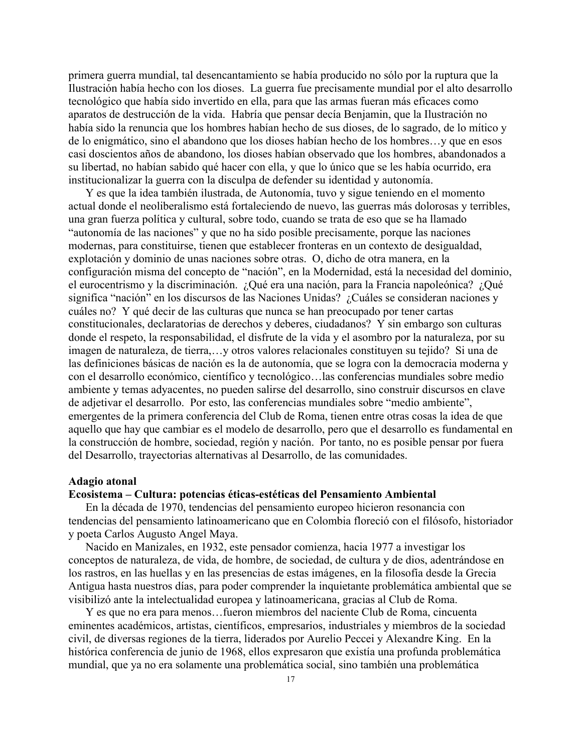primera guerra mundial, tal desencantamiento se había producido no sólo por la ruptura que la Ilustración había hecho con los dioses. La guerra fue precisamente mundial por el alto desarrollo tecnológico que había sido invertido en ella, para que las armas fueran más eficaces como aparatos de destrucción de la vida. Habría que pensar decía Benjamin, que la Ilustración no había sido la renuncia que los hombres habían hecho de sus dioses, de lo sagrado, de lo mítico y de lo enigmático, sino el abandono que los dioses habían hecho de los hombres…y que en esos casi doscientos años de abandono, los dioses habían observado que los hombres, abandonados a su libertad, no habían sabido qué hacer con ella, y que lo único que se les había ocurrido, era institucionalizar la guerra con la disculpa de defender su identidad y autonomía.

Y es que la idea también ilustrada, de Autonomía, tuvo y sigue teniendo en el momento actual donde el neoliberalismo está fortaleciendo de nuevo, las guerras más dolorosas y terribles, una gran fuerza política y cultural, sobre todo, cuando se trata de eso que se ha llamado "autonomía de las naciones" y que no ha sido posible precisamente, porque las naciones modernas, para constituirse, tienen que establecer fronteras en un contexto de desigualdad, explotación y dominio de unas naciones sobre otras. O, dicho de otra manera, en la configuración misma del concepto de "nación", en la Modernidad, está la necesidad del dominio, el eurocentrismo y la discriminación. ¿Qué era una nación, para la Francia napoleónica? ¿Qué significa "nación" en los discursos de las Naciones Unidas? ¿Cuáles se consideran naciones y cuáles no? Y qué decir de las culturas que nunca se han preocupado por tener cartas constitucionales, declaratorias de derechos y deberes, ciudadanos? Y sin embargo son culturas donde el respeto, la responsabilidad, el disfrute de la vida y el asombro por la naturaleza, por su imagen de naturaleza, de tierra,…y otros valores relacionales constituyen su tejido? Si una de las definiciones básicas de nación es la de autonomía, que se logra con la democracia moderna y con el desarrollo económico, científico y tecnológico…las conferencias mundiales sobre medio ambiente y temas adyacentes, no pueden salirse del desarrollo, sino construir discursos en clave de adjetivar el desarrollo. Por esto, las conferencias mundiales sobre "medio ambiente", emergentes de la primera conferencia del Club de Roma, tienen entre otras cosas la idea de que aquello que hay que cambiar es el modelo de desarrollo, pero que el desarrollo es fundamental en la construcción de hombre, sociedad, región y nación. Por tanto, no es posible pensar por fuera del Desarrollo, trayectorias alternativas al Desarrollo, de las comunidades.

#### **Adagio atonal**

#### **Ecosistema – Cultura: potencias éticas-estéticas del Pensamiento Ambiental**

En la década de 1970, tendencias del pensamiento europeo hicieron resonancia con tendencias del pensamiento latinoamericano que en Colombia floreció con el filósofo, historiador y poeta Carlos Augusto Angel Maya.

Nacido en Manizales, en 1932, este pensador comienza, hacia 1977 a investigar los conceptos de naturaleza, de vida, de hombre, de sociedad, de cultura y de dios, adentrándose en los rastros, en las huellas y en las presencias de estas imágenes, en la filosofía desde la Grecia Antigua hasta nuestros días, para poder comprender la inquietante problemática ambiental que se visibilizó ante la intelectualidad europea y latinoamericana, gracias al Club de Roma.

Y es que no era para menos…fueron miembros del naciente Club de Roma, cincuenta eminentes académicos, artistas, científicos, empresarios, industriales y miembros de la sociedad civil, de diversas regiones de la tierra, liderados por Aurelio Peccei y Alexandre King. En la histórica conferencia de junio de 1968, ellos expresaron que existía una profunda problemática mundial, que ya no era solamente una problemática social, sino también una problemática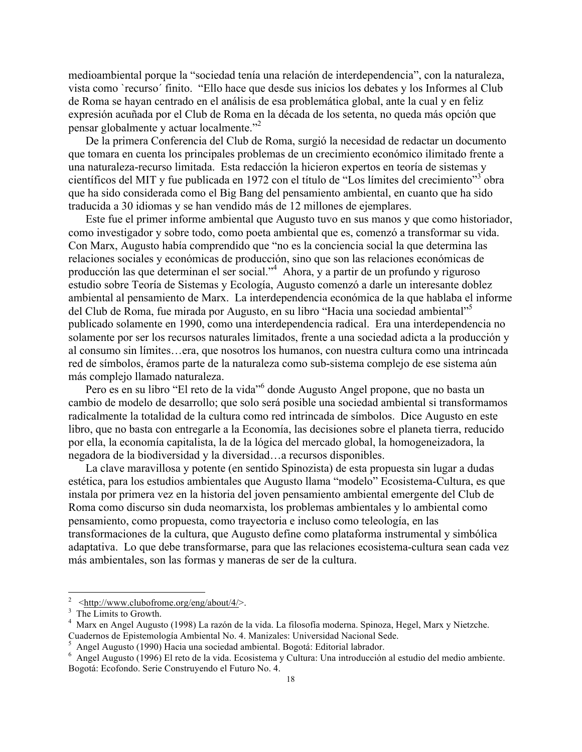medioambiental porque la "sociedad tenía una relación de interdependencia", con la naturaleza, vista como `recurso´ finito. "Ello hace que desde sus inicios los debates y los Informes al Club de Roma se hayan centrado en el análisis de esa problemática global, ante la cual y en feliz expresión acuñada por el Club de Roma en la década de los setenta, no queda más opción que pensar globalmente y actuar localmente."<sup>2</sup>

De la primera Conferencia del Club de Roma, surgió la necesidad de redactar un documento que tomara en cuenta los principales problemas de un crecimiento económico ilimitado frente a una naturaleza-recurso limitada. Esta redacción la hicieron expertos en teoría de sistemas y científicos del MIT y fue publicada en 1972 con el título de "Los límites del crecimiento"<sup>3</sup> obra que ha sido considerada como el Big Bang del pensamiento ambiental, en cuanto que ha sido traducida a 30 idiomas y se han vendido más de 12 millones de ejemplares.

Este fue el primer informe ambiental que Augusto tuvo en sus manos y que como historiador, como investigador y sobre todo, como poeta ambiental que es, comenzó a transformar su vida. Con Marx, Augusto había comprendido que "no es la conciencia social la que determina las relaciones sociales y económicas de producción, sino que son las relaciones económicas de producción las que determinan el ser social." 4 Ahora, y a partir de un profundo y riguroso estudio sobre Teoría de Sistemas y Ecología, Augusto comenzó a darle un interesante doblez ambiental al pensamiento de Marx. La interdependencia económica de la que hablaba el informe del Club de Roma, fue mirada por Augusto, en su libro "Hacia una sociedad ambiental"5 publicado solamente en 1990, como una interdependencia radical. Era una interdependencia no solamente por ser los recursos naturales limitados, frente a una sociedad adicta a la producción y al consumo sin límites…era, que nosotros los humanos, con nuestra cultura como una intrincada red de símbolos, éramos parte de la naturaleza como sub-sistema complejo de ese sistema aún más complejo llamado naturaleza.

Pero es en su libro "El reto de la vida"<sup>6</sup> donde Augusto Angel propone, que no basta un cambio de modelo de desarrollo; que solo será posible una sociedad ambiental si transformamos radicalmente la totalidad de la cultura como red intrincada de símbolos. Dice Augusto en este libro, que no basta con entregarle a la Economía, las decisiones sobre el planeta tierra, reducido por ella, la economía capitalista, la de la lógica del mercado global, la homogeneizadora, la negadora de la biodiversidad y la diversidad…a recursos disponibles.

La clave maravillosa y potente (en sentido Spinozista) de esta propuesta sin lugar a dudas estética, para los estudios ambientales que Augusto llama "modelo" Ecosistema-Cultura, es que instala por primera vez en la historia del joven pensamiento ambiental emergente del Club de Roma como discurso sin duda neomarxista, los problemas ambientales y lo ambiental como pensamiento, como propuesta, como trayectoria e incluso como teleología, en las transformaciones de la cultura, que Augusto define como plataforma instrumental y simbólica adaptativa. Lo que debe transformarse, para que las relaciones ecosistema-cultura sean cada vez más ambientales, son las formas y maneras de ser de la cultura.

<sup>&</sup>lt;sup>2</sup>  $\left\langle \frac{\text{http://www.clubofrome.org/eng/about/4/>}}{3} \right\rangle$ .<br>
<sup>3</sup> The Limits to Growth.<br>
<sup>4</sup> Marx en Angel Augusto (1998) La razón de la vida. La filosofía moderna. Spinoza, Hegel, Marx y Nietzche.<br>
Cuadernos de Epistemología Ambiental No. 4.

 $^5$  Angel Augusto (1990) Hacia una sociedad ambiental. Bogotá: Editorial labrador.<br>
6 Angel Augusto (1996) El reto de la vida. Ecosistema y Cultura: Una introducción al estudio del medio ambiente. Bogotá: Ecofondo. Serie Construyendo el Futuro No. 4.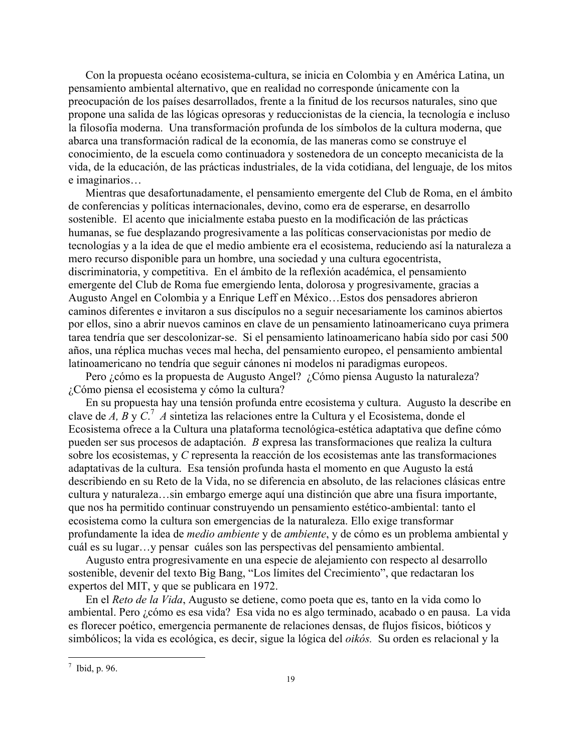Con la propuesta océano ecosistema-cultura, se inicia en Colombia y en América Latina, un pensamiento ambiental alternativo, que en realidad no corresponde únicamente con la preocupación de los países desarrollados, frente a la finitud de los recursos naturales, sino que propone una salida de las lógicas opresoras y reduccionistas de la ciencia, la tecnología e incluso la filosofía moderna. Una transformación profunda de los símbolos de la cultura moderna, que abarca una transformación radical de la economía, de las maneras como se construye el conocimiento, de la escuela como continuadora y sostenedora de un concepto mecanicista de la vida, de la educación, de las prácticas industriales, de la vida cotidiana, del lenguaje, de los mitos e imaginarios…

Mientras que desafortunadamente, el pensamiento emergente del Club de Roma, en el ámbito de conferencias y políticas internacionales, devino, como era de esperarse, en desarrollo sostenible. El acento que inicialmente estaba puesto en la modificación de las prácticas humanas, se fue desplazando progresivamente a las políticas conservacionistas por medio de tecnologías y a la idea de que el medio ambiente era el ecosistema, reduciendo así la naturaleza a mero recurso disponible para un hombre, una sociedad y una cultura egocentrista, discriminatoria, y competitiva. En el ámbito de la reflexión académica, el pensamiento emergente del Club de Roma fue emergiendo lenta, dolorosa y progresivamente, gracias a Augusto Angel en Colombia y a Enrique Leff en México…Estos dos pensadores abrieron caminos diferentes e invitaron a sus discípulos no a seguir necesariamente los caminos abiertos por ellos, sino a abrir nuevos caminos en clave de un pensamiento latinoamericano cuya primera tarea tendría que ser descolonizar-se. Si el pensamiento latinoamericano había sido por casi 500 años, una réplica muchas veces mal hecha, del pensamiento europeo, el pensamiento ambiental latinoamericano no tendría que seguir cánones ni modelos ni paradigmas europeos.

Pero ¿cómo es la propuesta de Augusto Angel? ¿Cómo piensa Augusto la naturaleza? ¿Cómo piensa el ecosistema y cómo la cultura?

En su propuesta hay una tensión profunda entre ecosistema y cultura. Augusto la describe en clave de *A, B* y *C*. <sup>7</sup> *A* sintetiza las relaciones entre la Cultura y el Ecosistema, donde el Ecosistema ofrece a la Cultura una plataforma tecnológica-estética adaptativa que define cómo pueden ser sus procesos de adaptación. *B* expresa las transformaciones que realiza la cultura sobre los ecosistemas, y *C* representa la reacción de los ecosistemas ante las transformaciones adaptativas de la cultura. Esa tensión profunda hasta el momento en que Augusto la está describiendo en su Reto de la Vida, no se diferencia en absoluto, de las relaciones clásicas entre cultura y naturaleza…sin embargo emerge aquí una distinción que abre una fisura importante, que nos ha permitido continuar construyendo un pensamiento estético-ambiental: tanto el ecosistema como la cultura son emergencias de la naturaleza. Ello exige transformar profundamente la idea de *medio ambiente* y de *ambiente*, y de cómo es un problema ambiental y cuál es su lugar…y pensar cuáles son las perspectivas del pensamiento ambiental.

Augusto entra progresivamente en una especie de alejamiento con respecto al desarrollo sostenible, devenir del texto Big Bang, "Los límites del Crecimiento", que redactaran los expertos del MIT, y que se publicara en 1972.

En el *Reto de la Vida*, Augusto se detiene, como poeta que es, tanto en la vida como lo ambiental. Pero ¿cómo es esa vida? Esa vida no es algo terminado, acabado o en pausa. La vida es florecer poético, emergencia permanente de relaciones densas, de flujos físicos, bióticos y simbólicos; la vida es ecológica, es decir, sigue la lógica del *oikós.* Su orden es relacional y la

 <sup>7</sup> Ibid, p. 96.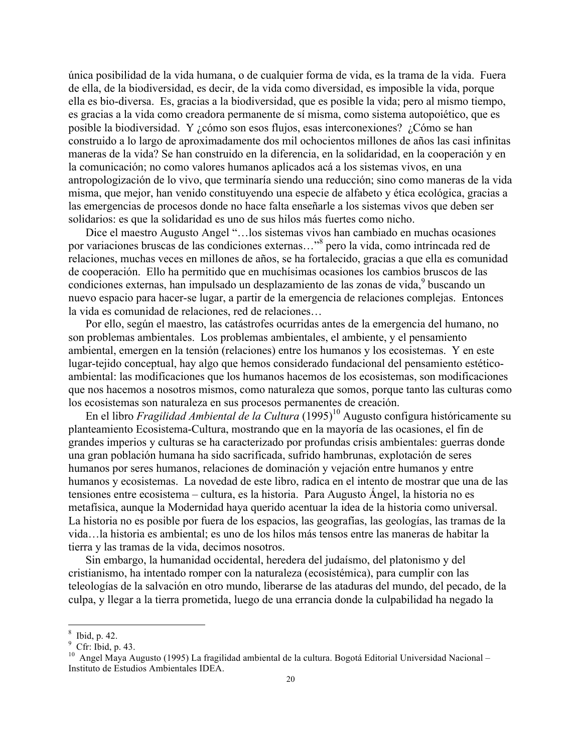única posibilidad de la vida humana, o de cualquier forma de vida, es la trama de la vida. Fuera de ella, de la biodiversidad, es decir, de la vida como diversidad, es imposible la vida, porque ella es bio-diversa. Es, gracias a la biodiversidad, que es posible la vida; pero al mismo tiempo, es gracias a la vida como creadora permanente de sí misma, como sistema autopoiético, que es posible la biodiversidad. Y ¿cómo son esos flujos, esas interconexiones? ¿Cómo se han construido a lo largo de aproximadamente dos mil ochocientos millones de años las casi infinitas maneras de la vida? Se han construido en la diferencia, en la solidaridad, en la cooperación y en la comunicación; no como valores humanos aplicados acá a los sistemas vivos, en una antropologización de lo vivo, que terminaría siendo una reducción; sino como maneras de la vida misma, que mejor, han venido constituyendo una especie de alfabeto y ética ecológica, gracias a las emergencias de procesos donde no hace falta enseñarle a los sistemas vivos que deben ser solidarios: es que la solidaridad es uno de sus hilos más fuertes como nicho.

Dice el maestro Augusto Angel "…los sistemas vivos han cambiado en muchas ocasiones por variaciones bruscas de las condiciones externas…"<sup>8</sup> pero la vida, como intrincada red de relaciones, muchas veces en millones de años, se ha fortalecido, gracias a que ella es comunidad de cooperación. Ello ha permitido que en muchísimas ocasiones los cambios bruscos de las condiciones externas, han impulsado un desplazamiento de las zonas de vida,<sup>9</sup> buscando un nuevo espacio para hacer-se lugar, a partir de la emergencia de relaciones complejas. Entonces la vida es comunidad de relaciones, red de relaciones…

Por ello, según el maestro, las catástrofes ocurridas antes de la emergencia del humano, no son problemas ambientales. Los problemas ambientales, el ambiente, y el pensamiento ambiental, emergen en la tensión (relaciones) entre los humanos y los ecosistemas. Y en este lugar-tejido conceptual, hay algo que hemos considerado fundacional del pensamiento estéticoambiental: las modificaciones que los humanos hacemos de los ecosistemas, son modificaciones que nos hacemos a nosotros mismos, como naturaleza que somos, porque tanto las culturas como los ecosistemas son naturaleza en sus procesos permanentes de creación.

En el libro *Fragilidad Ambiental de la Cultura* (1995)<sup>10</sup> Augusto configura históricamente su planteamiento Ecosistema-Cultura, mostrando que en la mayoría de las ocasiones, el fin de grandes imperios y culturas se ha caracterizado por profundas crisis ambientales: guerras donde una gran población humana ha sido sacrificada, sufrido hambrunas, explotación de seres humanos por seres humanos, relaciones de dominación y vejación entre humanos y entre humanos y ecosistemas. La novedad de este libro, radica en el intento de mostrar que una de las tensiones entre ecosistema – cultura, es la historia. Para Augusto Ángel, la historia no es metafísica, aunque la Modernidad haya querido acentuar la idea de la historia como universal. La historia no es posible por fuera de los espacios, las geografías, las geologías, las tramas de la vida…la historia es ambiental; es uno de los hilos más tensos entre las maneras de habitar la tierra y las tramas de la vida, decimos nosotros.

Sin embargo, la humanidad occidental, heredera del judaísmo, del platonismo y del cristianismo, ha intentado romper con la naturaleza (ecosistémica), para cumplir con las teleologías de la salvación en otro mundo, liberarse de las ataduras del mundo, del pecado, de la culpa, y llegar a la tierra prometida, luego de una errancia donde la culpabilidad ha negado la

<sup>&</sup>lt;sup>8</sup> Ibid, p. 42.<br><sup>9</sup> Cfr: Ibid, p. 43.<br><sup>10</sup> Angel Maya Augusto (1995) La fragilidad ambiental de la cultura. Bogotá Editorial Universidad Nacional – Instituto de Estudios Ambientales IDEA.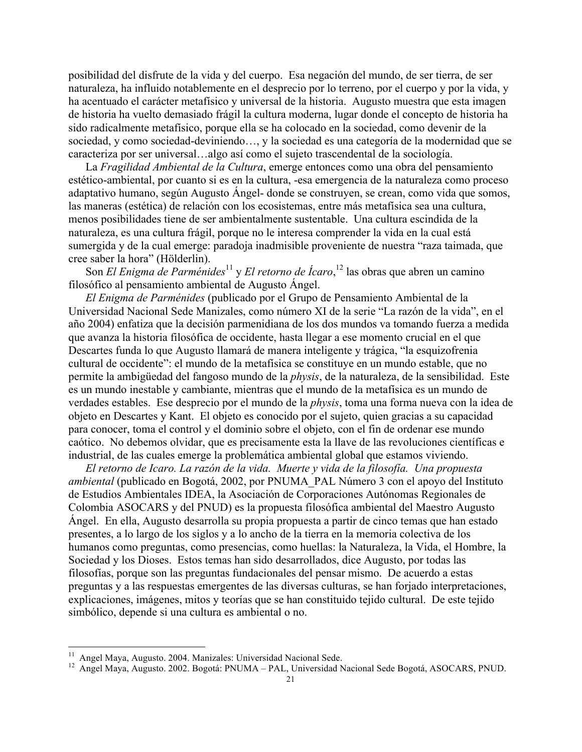posibilidad del disfrute de la vida y del cuerpo. Esa negación del mundo, de ser tierra, de ser naturaleza, ha influido notablemente en el desprecio por lo terreno, por el cuerpo y por la vida, y ha acentuado el carácter metafísico y universal de la historia. Augusto muestra que esta imagen de historia ha vuelto demasiado frágil la cultura moderna, lugar donde el concepto de historia ha sido radicalmente metafísico, porque ella se ha colocado en la sociedad, como devenir de la sociedad, y como sociedad-deviniendo…, y la sociedad es una categoría de la modernidad que se caracteriza por ser universal…algo así como el sujeto trascendental de la sociología.

La *Fragilidad Ambiental de la Cultura*, emerge entonces como una obra del pensamiento estético-ambiental, por cuanto si es en la cultura, -esa emergencia de la naturaleza como proceso adaptativo humano, según Augusto Ángel- donde se construyen, se crean, como vida que somos, las maneras (estética) de relación con los ecosistemas, entre más metafísica sea una cultura, menos posibilidades tiene de ser ambientalmente sustentable. Una cultura escindida de la naturaleza, es una cultura frágil, porque no le interesa comprender la vida en la cual está sumergida y de la cual emerge: paradoja inadmisible proveniente de nuestra "raza taimada, que cree saber la hora" (Hölderlin).

Son *El Enigma de Parménides*<sup>11</sup> y *El retorno de Ícaro*,<sup>12</sup> las obras que abren un camino filosófico al pensamiento ambiental de Augusto Ángel.

*El Enigma de Parménides* (publicado por el Grupo de Pensamiento Ambiental de la Universidad Nacional Sede Manizales, como número XI de la serie "La razón de la vida", en el año 2004) enfatiza que la decisión parmenidiana de los dos mundos va tomando fuerza a medida que avanza la historia filosófica de occidente, hasta llegar a ese momento crucial en el que Descartes funda lo que Augusto llamará de manera inteligente y trágica, "la esquizofrenia cultural de occidente": el mundo de la metafísica se constituye en un mundo estable, que no permite la ambigüedad del fangoso mundo de la *physis*, de la naturaleza, de la sensibilidad. Este es un mundo inestable y cambiante, mientras que el mundo de la metafísica es un mundo de verdades estables. Ese desprecio por el mundo de la *physis*, toma una forma nueva con la idea de objeto en Descartes y Kant. El objeto es conocido por el sujeto, quien gracias a su capacidad para conocer, toma el control y el dominio sobre el objeto, con el fin de ordenar ese mundo caótico. No debemos olvidar, que es precisamente esta la llave de las revoluciones científicas e industrial, de las cuales emerge la problemática ambiental global que estamos viviendo.

*El retorno de Icaro. La razón de la vida. Muerte y vida de la filosofía. Una propuesta ambiental* (publicado en Bogotá, 2002, por PNUMA\_PAL Número 3 con el apoyo del Instituto de Estudios Ambientales IDEA, la Asociación de Corporaciones Autónomas Regionales de Colombia ASOCARS y del PNUD) es la propuesta filosófica ambiental del Maestro Augusto Ángel. En ella, Augusto desarrolla su propia propuesta a partir de cinco temas que han estado presentes, a lo largo de los siglos y a lo ancho de la tierra en la memoria colectiva de los humanos como preguntas, como presencias, como huellas: la Naturaleza, la Vida, el Hombre, la Sociedad y los Dioses. Estos temas han sido desarrollados, dice Augusto, por todas las filosofías, porque son las preguntas fundacionales del pensar mismo. De acuerdo a estas preguntas y a las respuestas emergentes de las diversas culturas, se han forjado interpretaciones, explicaciones, imágenes, mitos y teorías que se han constituido tejido cultural. De este tejido simbólico, depende si una cultura es ambiental o no.

<sup>&</sup>lt;sup>11</sup> Angel Maya, Augusto. 2004. Manizales: Universidad Nacional Sede.<br><sup>12</sup> Angel Maya, Augusto. 2002. Bogotá: PNUMA – PAL, Universidad Nacional Sede Bogotá, ASOCARS, PNUD.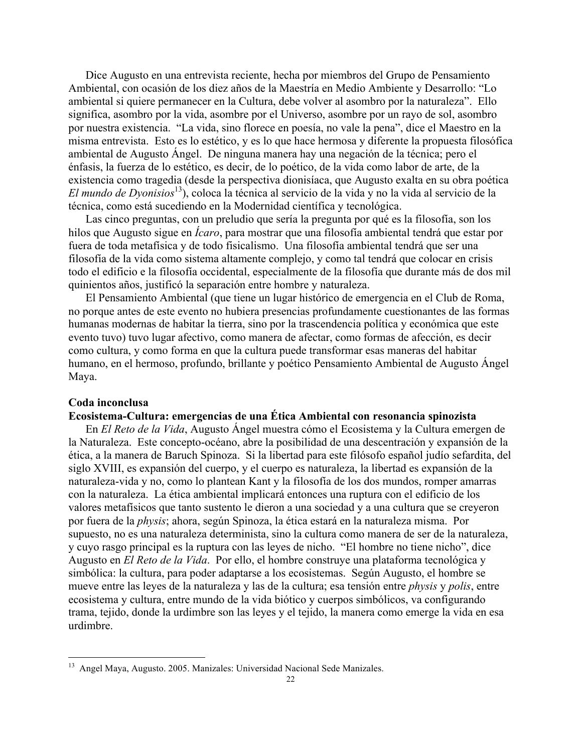Dice Augusto en una entrevista reciente, hecha por miembros del Grupo de Pensamiento Ambiental, con ocasión de los diez años de la Maestría en Medio Ambiente y Desarrollo: "Lo ambiental si quiere permanecer en la Cultura, debe volver al asombro por la naturaleza". Ello significa, asombro por la vida, asombre por el Universo, asombre por un rayo de sol, asombro por nuestra existencia. "La vida, sino florece en poesía, no vale la pena", dice el Maestro en la misma entrevista. Esto es lo estético, y es lo que hace hermosa y diferente la propuesta filosófica ambiental de Augusto Ángel. De ninguna manera hay una negación de la técnica; pero el énfasis, la fuerza de lo estético, es decir, de lo poético, de la vida como labor de arte, de la existencia como tragedia (desde la perspectiva dionisíaca, que Augusto exalta en su obra poética *El mundo de Dyonisios*<sup>13</sup> ), coloca la técnica al servicio de la vida y no la vida al servicio de la técnica, como está sucediendo en la Modernidad científica y tecnológica.

Las cinco preguntas, con un preludio que sería la pregunta por qué es la filosofía, son los hilos que Augusto sigue en *Ícaro*, para mostrar que una filosofía ambiental tendrá que estar por fuera de toda metafísica y de todo fisicalismo. Una filosofía ambiental tendrá que ser una filosofía de la vida como sistema altamente complejo, y como tal tendrá que colocar en crisis todo el edificio e la filosofía occidental, especialmente de la filosofía que durante más de dos mil quinientos años, justificó la separación entre hombre y naturaleza.

El Pensamiento Ambiental (que tiene un lugar histórico de emergencia en el Club de Roma, no porque antes de este evento no hubiera presencias profundamente cuestionantes de las formas humanas modernas de habitar la tierra, sino por la trascendencia política y económica que este evento tuvo) tuvo lugar afectivo, como manera de afectar, como formas de afección, es decir como cultura, y como forma en que la cultura puede transformar esas maneras del habitar humano, en el hermoso, profundo, brillante y poético Pensamiento Ambiental de Augusto Ángel Maya.

#### **Coda inconclusa**

### **Ecosistema-Cultura: emergencias de una Ética Ambiental con resonancia spinozista**

En *El Reto de la Vida*, Augusto Ángel muestra cómo el Ecosistema y la Cultura emergen de la Naturaleza. Este concepto-océano, abre la posibilidad de una descentración y expansión de la ética, a la manera de Baruch Spinoza. Si la libertad para este filósofo español judío sefardita, del siglo XVIII, es expansión del cuerpo, y el cuerpo es naturaleza, la libertad es expansión de la naturaleza-vida y no, como lo plantean Kant y la filosofía de los dos mundos, romper amarras con la naturaleza. La ética ambiental implicará entonces una ruptura con el edificio de los valores metafísicos que tanto sustento le dieron a una sociedad y a una cultura que se creyeron por fuera de la *physis*; ahora, según Spinoza, la ética estará en la naturaleza misma. Por supuesto, no es una naturaleza determinista, sino la cultura como manera de ser de la naturaleza, y cuyo rasgo principal es la ruptura con las leyes de nicho. "El hombre no tiene nicho", dice Augusto en *El Reto de la Vida*. Por ello, el hombre construye una plataforma tecnológica y simbólica: la cultura, para poder adaptarse a los ecosistemas. Según Augusto, el hombre se mueve entre las leyes de la naturaleza y las de la cultura; esa tensión entre *physis* y *polis*, entre ecosistema y cultura, entre mundo de la vida biótico y cuerpos simbólicos, va configurando trama, tejido, donde la urdimbre son las leyes y el tejido, la manera como emerge la vida en esa urdimbre.

 <sup>13</sup> Angel Maya, Augusto. 2005. Manizales: Universidad Nacional Sede Manizales.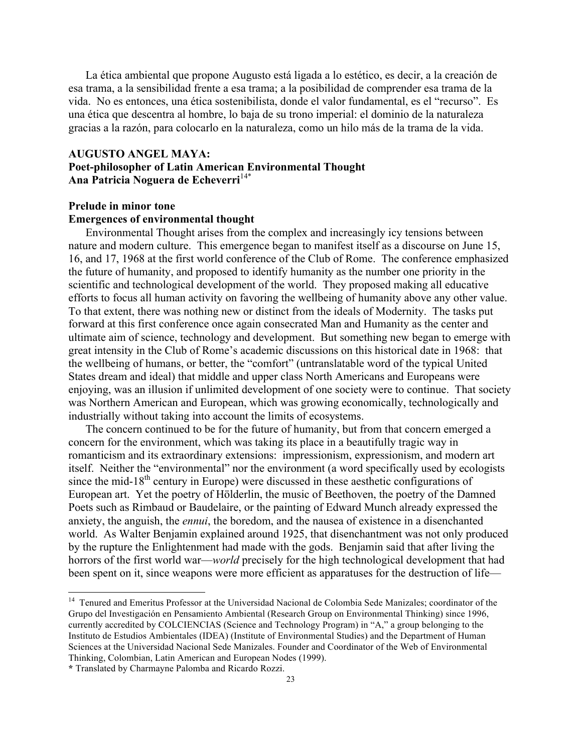La ética ambiental que propone Augusto está ligada a lo estético, es decir, a la creación de esa trama, a la sensibilidad frente a esa trama; a la posibilidad de comprender esa trama de la vida. No es entonces, una ética sostenibilista, donde el valor fundamental, es el "recurso". Es una ética que descentra al hombre, lo baja de su trono imperial: el dominio de la naturaleza gracias a la razón, para colocarlo en la naturaleza, como un hilo más de la trama de la vida.

# **AUGUSTO ANGEL MAYA: Poet-philosopher of Latin American Environmental Thought Ana Patricia Noguera de Echeverri**14\*

# **Prelude in minor tone**

# **Emergences of environmental thought**

Environmental Thought arises from the complex and increasingly icy tensions between nature and modern culture. This emergence began to manifest itself as a discourse on June 15, 16, and 17, 1968 at the first world conference of the Club of Rome. The conference emphasized the future of humanity, and proposed to identify humanity as the number one priority in the scientific and technological development of the world. They proposed making all educative efforts to focus all human activity on favoring the wellbeing of humanity above any other value. To that extent, there was nothing new or distinct from the ideals of Modernity. The tasks put forward at this first conference once again consecrated Man and Humanity as the center and ultimate aim of science, technology and development. But something new began to emerge with great intensity in the Club of Rome's academic discussions on this historical date in 1968: that the wellbeing of humans, or better, the "comfort" (untranslatable word of the typical United States dream and ideal) that middle and upper class North Americans and Europeans were enjoying, was an illusion if unlimited development of one society were to continue. That society was Northern American and European, which was growing economically, technologically and industrially without taking into account the limits of ecosystems.

The concern continued to be for the future of humanity, but from that concern emerged a concern for the environment, which was taking its place in a beautifully tragic way in romanticism and its extraordinary extensions: impressionism, expressionism, and modern art itself. Neither the "environmental" nor the environment (a word specifically used by ecologists since the mid-18<sup>th</sup> century in Europe) were discussed in these aesthetic configurations of European art. Yet the poetry of Hölderlin, the music of Beethoven, the poetry of the Damned Poets such as Rimbaud or Baudelaire, or the painting of Edward Munch already expressed the anxiety, the anguish, the *ennui*, the boredom, and the nausea of existence in a disenchanted world. As Walter Benjamin explained around 1925, that disenchantment was not only produced by the rupture the Enlightenment had made with the gods. Benjamin said that after living the horrors of the first world war—*world* precisely for the high technological development that had been spent on it, since weapons were more efficient as apparatuses for the destruction of life—

<sup>&</sup>lt;sup>14</sup> Tenured and Emeritus Professor at the Universidad Nacional de Colombia Sede Manizales; coordinator of the Grupo del Investigación en Pensamiento Ambiental (Research Group on Environmental Thinking) since 1996, currently accredited by COLCIENCIAS (Science and Technology Program) in "A," a group belonging to the Instituto de Estudios Ambientales (IDEA) (Institute of Environmental Studies) and the Department of Human Sciences at the Universidad Nacional Sede Manizales. Founder and Coordinator of the Web of Environmental Thinking, Colombian, Latin American and European Nodes (1999).

**<sup>\*</sup>** Translated by Charmayne Palomba and Ricardo Rozzi.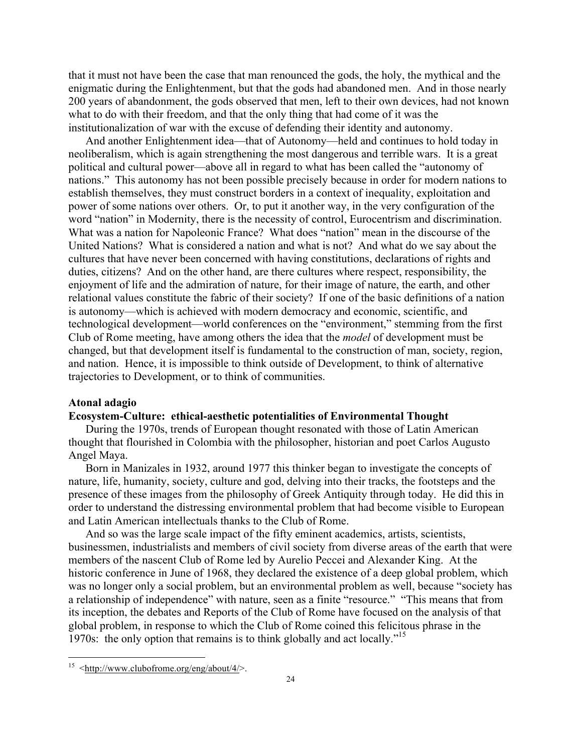that it must not have been the case that man renounced the gods, the holy, the mythical and the enigmatic during the Enlightenment, but that the gods had abandoned men. And in those nearly 200 years of abandonment, the gods observed that men, left to their own devices, had not known what to do with their freedom, and that the only thing that had come of it was the institutionalization of war with the excuse of defending their identity and autonomy.

And another Enlightenment idea—that of Autonomy—held and continues to hold today in neoliberalism, which is again strengthening the most dangerous and terrible wars. It is a great political and cultural power—above all in regard to what has been called the "autonomy of nations." This autonomy has not been possible precisely because in order for modern nations to establish themselves, they must construct borders in a context of inequality, exploitation and power of some nations over others. Or, to put it another way, in the very configuration of the word "nation" in Modernity, there is the necessity of control, Eurocentrism and discrimination. What was a nation for Napoleonic France? What does "nation" mean in the discourse of the United Nations? What is considered a nation and what is not? And what do we say about the cultures that have never been concerned with having constitutions, declarations of rights and duties, citizens? And on the other hand, are there cultures where respect, responsibility, the enjoyment of life and the admiration of nature, for their image of nature, the earth, and other relational values constitute the fabric of their society? If one of the basic definitions of a nation is autonomy—which is achieved with modern democracy and economic, scientific, and technological development—world conferences on the "environment," stemming from the first Club of Rome meeting, have among others the idea that the *model* of development must be changed, but that development itself is fundamental to the construction of man, society, region, and nation. Hence, it is impossible to think outside of Development, to think of alternative trajectories to Development, or to think of communities.

#### **Atonal adagio**

#### **Ecosystem-Culture: ethical-aesthetic potentialities of Environmental Thought**

During the 1970s, trends of European thought resonated with those of Latin American thought that flourished in Colombia with the philosopher, historian and poet Carlos Augusto Angel Maya.

Born in Manizales in 1932, around 1977 this thinker began to investigate the concepts of nature, life, humanity, society, culture and god, delving into their tracks, the footsteps and the presence of these images from the philosophy of Greek Antiquity through today. He did this in order to understand the distressing environmental problem that had become visible to European and Latin American intellectuals thanks to the Club of Rome.

And so was the large scale impact of the fifty eminent academics, artists, scientists, businessmen, industrialists and members of civil society from diverse areas of the earth that were members of the nascent Club of Rome led by Aurelio Peccei and Alexander King. At the historic conference in June of 1968, they declared the existence of a deep global problem, which was no longer only a social problem, but an environmental problem as well, because "society has a relationship of independence" with nature, seen as a finite "resource." "This means that from its inception, the debates and Reports of the Club of Rome have focused on the analysis of that global problem, in response to which the Club of Rome coined this felicitous phrase in the 1970s: the only option that remains is to think globally and act locally."<sup>15</sup>

<sup>&</sup>lt;sup>15</sup> <http://www.clubofrome.org/eng/about/4/>.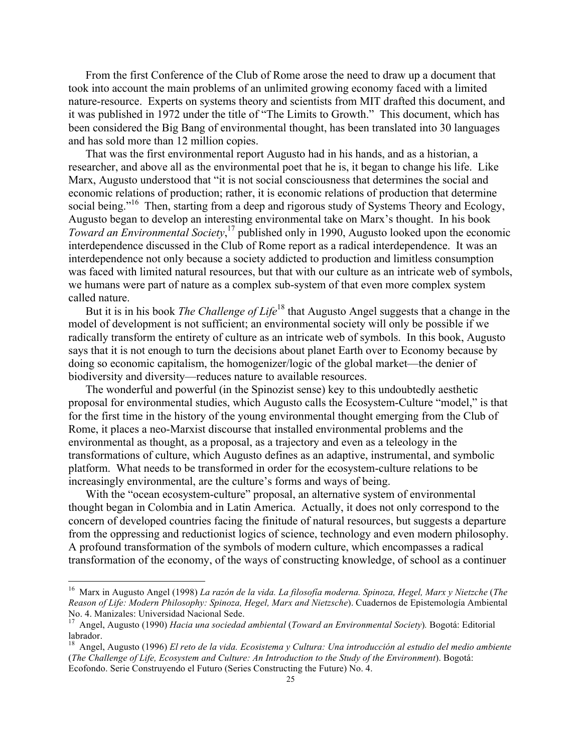From the first Conference of the Club of Rome arose the need to draw up a document that took into account the main problems of an unlimited growing economy faced with a limited nature-resource. Experts on systems theory and scientists from MIT drafted this document, and it was published in 1972 under the title of "The Limits to Growth." This document, which has been considered the Big Bang of environmental thought, has been translated into 30 languages and has sold more than 12 million copies.

That was the first environmental report Augusto had in his hands, and as a historian, a researcher, and above all as the environmental poet that he is, it began to change his life. Like Marx, Augusto understood that "it is not social consciousness that determines the social and economic relations of production; rather, it is economic relations of production that determine social being."<sup>16</sup> Then, starting from a deep and rigorous study of Systems Theory and Ecology, Augusto began to develop an interesting environmental take on Marx's thought. In his book Toward an Environmental Society,<sup>17</sup> published only in 1990, Augusto looked upon the economic interdependence discussed in the Club of Rome report as a radical interdependence. It was an interdependence not only because a society addicted to production and limitless consumption was faced with limited natural resources, but that with our culture as an intricate web of symbols, we humans were part of nature as a complex sub-system of that even more complex system called nature.

But it is in his book *The Challenge of Life*<sup>18</sup> that Augusto Angel suggests that a change in the model of development is not sufficient; an environmental society will only be possible if we radically transform the entirety of culture as an intricate web of symbols. In this book, Augusto says that it is not enough to turn the decisions about planet Earth over to Economy because by doing so economic capitalism, the homogenizer/logic of the global market—the denier of biodiversity and diversity—reduces nature to available resources.

The wonderful and powerful (in the Spinozist sense) key to this undoubtedly aesthetic proposal for environmental studies, which Augusto calls the Ecosystem-Culture "model," is that for the first time in the history of the young environmental thought emerging from the Club of Rome, it places a neo-Marxist discourse that installed environmental problems and the environmental as thought, as a proposal, as a trajectory and even as a teleology in the transformations of culture, which Augusto defines as an adaptive, instrumental, and symbolic platform. What needs to be transformed in order for the ecosystem-culture relations to be increasingly environmental, are the culture's forms and ways of being.

With the "ocean ecosystem-culture" proposal, an alternative system of environmental thought began in Colombia and in Latin America. Actually, it does not only correspond to the concern of developed countries facing the finitude of natural resources, but suggests a departure from the oppressing and reductionist logics of science, technology and even modern philosophy. A profound transformation of the symbols of modern culture, which encompasses a radical transformation of the economy, of the ways of constructing knowledge, of school as a continuer

 <sup>16</sup> Marx in Augusto Angel (1998) *La razón de la vida. La filosofía moderna. Spinoza, Hegel, Marx <sup>y</sup> Nietzche* (*The Reason of Life: Modern Philosophy: Spinoza, Hegel, Marx and Nietzsche*). Cuadernos de Epistemología Ambiental

No. 4. Manizales: Universidad Nacional Sede. <sup>17</sup> Angel, Augusto (1990) *Hacia una sociedad ambiental* (*Toward an Environmental Society*)*.* Bogotá: Editorial labrador.<br><sup>18</sup> Angel, Augusto (1996) *El reto de la vida. Ecosistema y Cultura: Una introducción al estudio del medio ambiente* 

<sup>(</sup>*The Challenge of Life, Ecosystem and Culture: An Introduction to the Study of the Environment*). Bogotá: Ecofondo. Serie Construyendo el Futuro (Series Constructing the Future) No. 4.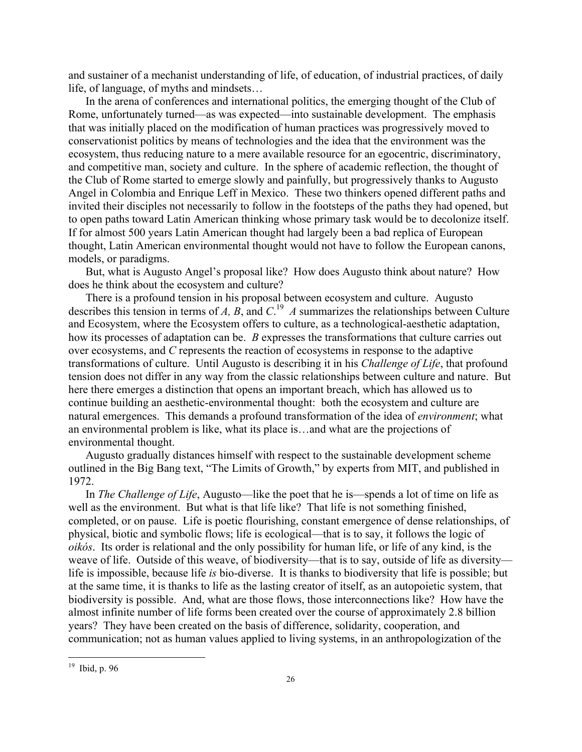and sustainer of a mechanist understanding of life, of education, of industrial practices, of daily life, of language, of myths and mindsets…

In the arena of conferences and international politics, the emerging thought of the Club of Rome, unfortunately turned—as was expected—into sustainable development. The emphasis that was initially placed on the modification of human practices was progressively moved to conservationist politics by means of technologies and the idea that the environment was the ecosystem, thus reducing nature to a mere available resource for an egocentric, discriminatory, and competitive man, society and culture. In the sphere of academic reflection, the thought of the Club of Rome started to emerge slowly and painfully, but progressively thanks to Augusto Angel in Colombia and Enrique Leff in Mexico. These two thinkers opened different paths and invited their disciples not necessarily to follow in the footsteps of the paths they had opened, but to open paths toward Latin American thinking whose primary task would be to decolonize itself. If for almost 500 years Latin American thought had largely been a bad replica of European thought, Latin American environmental thought would not have to follow the European canons, models, or paradigms.

But, what is Augusto Angel's proposal like? How does Augusto think about nature? How does he think about the ecosystem and culture?

There is a profound tension in his proposal between ecosystem and culture. Augusto describes this tension in terms of *A*, *B*, and  $C^{19}$  *A* summarizes the relationships between Culture and Ecosystem, where the Ecosystem offers to culture, as a technological-aesthetic adaptation, how its processes of adaptation can be. *B* expresses the transformations that culture carries out over ecosystems, and *C* represents the reaction of ecosystems in response to the adaptive transformations of culture. Until Augusto is describing it in his *Challenge of Life*, that profound tension does not differ in any way from the classic relationships between culture and nature. But here there emerges a distinction that opens an important breach, which has allowed us to continue building an aesthetic-environmental thought: both the ecosystem and culture are natural emergences. This demands a profound transformation of the idea of *environment*; what an environmental problem is like, what its place is…and what are the projections of environmental thought.

Augusto gradually distances himself with respect to the sustainable development scheme outlined in the Big Bang text, "The Limits of Growth," by experts from MIT, and published in 1972.

In *The Challenge of Life*, Augusto—like the poet that he is—spends a lot of time on life as well as the environment. But what is that life like? That life is not something finished, completed, or on pause. Life is poetic flourishing, constant emergence of dense relationships, of physical, biotic and symbolic flows; life is ecological—that is to say, it follows the logic of *oikós*. Its order is relational and the only possibility for human life, or life of any kind, is the weave of life. Outside of this weave, of biodiversity—that is to say, outside of life as diversity life is impossible, because life *is* bio-diverse. It is thanks to biodiversity that life is possible; but at the same time, it is thanks to life as the lasting creator of itself, as an autopoietic system, that biodiversity is possible. And, what are those flows, those interconnections like? How have the almost infinite number of life forms been created over the course of approximately 2.8 billion years? They have been created on the basis of difference, solidarity, cooperation, and communication; not as human values applied to living systems, in an anthropologization of the

 <sup>19</sup> Ibid, p. <sup>96</sup>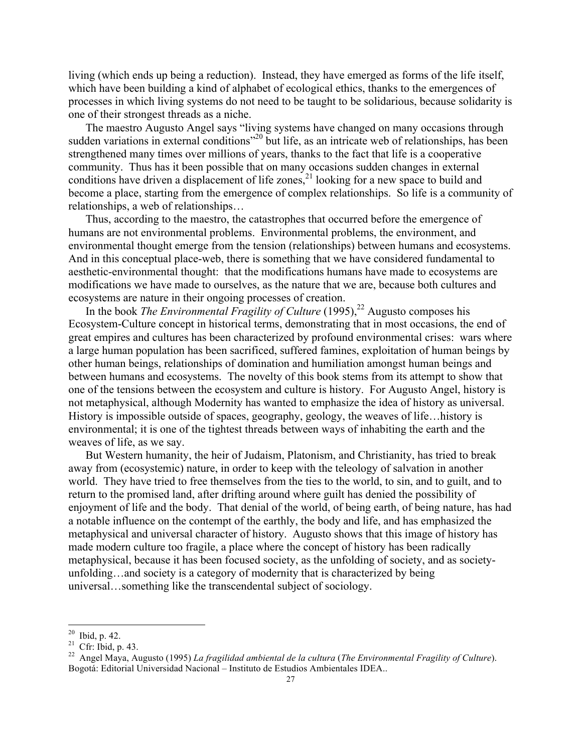living (which ends up being a reduction). Instead, they have emerged as forms of the life itself, which have been building a kind of alphabet of ecological ethics, thanks to the emergences of processes in which living systems do not need to be taught to be solidarious, because solidarity is one of their strongest threads as a niche.

The maestro Augusto Angel says "living systems have changed on many occasions through sudden variations in external conditions<sup>"20</sup> but life, as an intricate web of relationships, has been strengthened many times over millions of years, thanks to the fact that life is a cooperative community. Thus has it been possible that on many occasions sudden changes in external conditions have driven a displacement of life zones, $^{21}$  looking for a new space to build and become a place, starting from the emergence of complex relationships. So life is a community of relationships, a web of relationships…

Thus, according to the maestro, the catastrophes that occurred before the emergence of humans are not environmental problems. Environmental problems, the environment, and environmental thought emerge from the tension (relationships) between humans and ecosystems. And in this conceptual place-web, there is something that we have considered fundamental to aesthetic-environmental thought: that the modifications humans have made to ecosystems are modifications we have made to ourselves, as the nature that we are, because both cultures and ecosystems are nature in their ongoing processes of creation.

In the book *The Environmental Fragility of Culture* (1995),<sup>22</sup> Augusto composes his Ecosystem-Culture concept in historical terms, demonstrating that in most occasions, the end of great empires and cultures has been characterized by profound environmental crises: wars where a large human population has been sacrificed, suffered famines, exploitation of human beings by other human beings, relationships of domination and humiliation amongst human beings and between humans and ecosystems. The novelty of this book stems from its attempt to show that one of the tensions between the ecosystem and culture is history. For Augusto Angel, history is not metaphysical, although Modernity has wanted to emphasize the idea of history as universal. History is impossible outside of spaces, geography, geology, the weaves of life…history is environmental; it is one of the tightest threads between ways of inhabiting the earth and the weaves of life, as we say.

But Western humanity, the heir of Judaism, Platonism, and Christianity, has tried to break away from (ecosystemic) nature, in order to keep with the teleology of salvation in another world. They have tried to free themselves from the ties to the world, to sin, and to guilt, and to return to the promised land, after drifting around where guilt has denied the possibility of enjoyment of life and the body. That denial of the world, of being earth, of being nature, has had a notable influence on the contempt of the earthly, the body and life, and has emphasized the metaphysical and universal character of history. Augusto shows that this image of history has made modern culture too fragile, a place where the concept of history has been radically metaphysical, because it has been focused society, as the unfolding of society, and as societyunfolding…and society is a category of modernity that is characterized by being universal…something like the transcendental subject of sociology.

<sup>20</sup> Ibid, p. 42. <sup>21</sup> Cfr: Ibid, p. 43. <sup>22</sup> Angel Maya, Augusto (1995) *La fragilidad ambiental de la cultura* (*The Environmental Fragility of Culture*). Bogotá: Editorial Universidad Nacional – Instituto de Estudios Ambientales IDEA..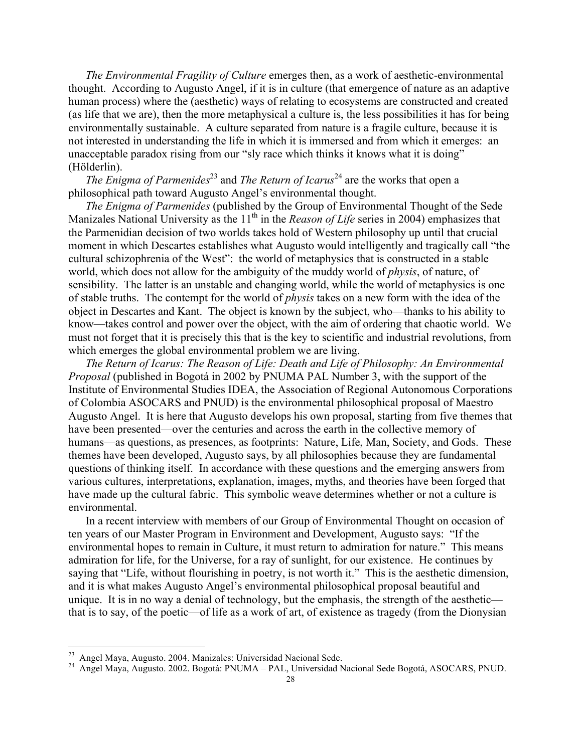*The Environmental Fragility of Culture* emerges then, as a work of aesthetic-environmental thought. According to Augusto Angel, if it is in culture (that emergence of nature as an adaptive human process) where the (aesthetic) ways of relating to ecosystems are constructed and created (as life that we are), then the more metaphysical a culture is, the less possibilities it has for being environmentally sustainable. A culture separated from nature is a fragile culture, because it is not interested in understanding the life in which it is immersed and from which it emerges: an unacceptable paradox rising from our "sly race which thinks it knows what it is doing" (Hölderlin).

*The Enigma of Parmenides*<sup>23</sup> and *The Return of Icarus*<sup>24</sup> are the works that open a philosophical path toward Augusto Angel's environmental thought.

*The Enigma of Parmenides* (published by the Group of Environmental Thought of the Sede Manizales National University as the 11<sup>th</sup> in the *Reason of Life* series in 2004) emphasizes that the Parmenidian decision of two worlds takes hold of Western philosophy up until that crucial moment in which Descartes establishes what Augusto would intelligently and tragically call "the cultural schizophrenia of the West": the world of metaphysics that is constructed in a stable world, which does not allow for the ambiguity of the muddy world of *physis*, of nature, of sensibility. The latter is an unstable and changing world, while the world of metaphysics is one of stable truths. The contempt for the world of *physis* takes on a new form with the idea of the object in Descartes and Kant. The object is known by the subject, who—thanks to his ability to know—takes control and power over the object, with the aim of ordering that chaotic world. We must not forget that it is precisely this that is the key to scientific and industrial revolutions, from which emerges the global environmental problem we are living.

*The Return of Icarus: The Reason of Life: Death and Life of Philosophy: An Environmental Proposal* (published in Bogotá in 2002 by PNUMA PAL Number 3, with the support of the Institute of Environmental Studies IDEA, the Association of Regional Autonomous Corporations of Colombia ASOCARS and PNUD) is the environmental philosophical proposal of Maestro Augusto Angel. It is here that Augusto develops his own proposal, starting from five themes that have been presented—over the centuries and across the earth in the collective memory of humans—as questions, as presences, as footprints: Nature, Life, Man, Society, and Gods. These themes have been developed, Augusto says, by all philosophies because they are fundamental questions of thinking itself. In accordance with these questions and the emerging answers from various cultures, interpretations, explanation, images, myths, and theories have been forged that have made up the cultural fabric. This symbolic weave determines whether or not a culture is environmental.

In a recent interview with members of our Group of Environmental Thought on occasion of ten years of our Master Program in Environment and Development, Augusto says: "If the environmental hopes to remain in Culture, it must return to admiration for nature." This means admiration for life, for the Universe, for a ray of sunlight, for our existence. He continues by saying that "Life, without flourishing in poetry, is not worth it." This is the aesthetic dimension, and it is what makes Augusto Angel's environmental philosophical proposal beautiful and unique. It is in no way a denial of technology, but the emphasis, the strength of the aesthetic that is to say, of the poetic—of life as a work of art, of existence as tragedy (from the Dionysian

<sup>&</sup>lt;sup>23</sup> Angel Maya, Augusto. 2004. Manizales: Universidad Nacional Sede.<br><sup>24</sup> Angel Maya, Augusto. 2002. Bogotá: PNUMA – PAL, Universidad Nacional Sede Bogotá, ASOCARS, PNUD.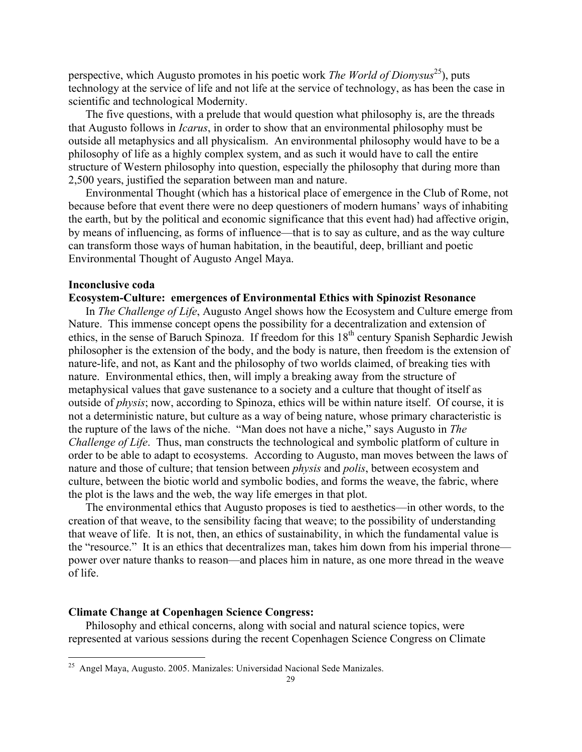perspective, which Augusto promotes in his poetic work *The World of Dionysus*<sup>25</sup>), puts technology at the service of life and not life at the service of technology, as has been the case in scientific and technological Modernity.

The five questions, with a prelude that would question what philosophy is, are the threads that Augusto follows in *Icarus*, in order to show that an environmental philosophy must be outside all metaphysics and all physicalism. An environmental philosophy would have to be a philosophy of life as a highly complex system, and as such it would have to call the entire structure of Western philosophy into question, especially the philosophy that during more than 2,500 years, justified the separation between man and nature.

Environmental Thought (which has a historical place of emergence in the Club of Rome, not because before that event there were no deep questioners of modern humans' ways of inhabiting the earth, but by the political and economic significance that this event had) had affective origin, by means of influencing, as forms of influence—that is to say as culture, and as the way culture can transform those ways of human habitation, in the beautiful, deep, brilliant and poetic Environmental Thought of Augusto Angel Maya.

### **Inconclusive coda**

### **Ecosystem-Culture: emergences of Environmental Ethics with Spinozist Resonance**

In *The Challenge of Life*, Augusto Angel shows how the Ecosystem and Culture emerge from Nature. This immense concept opens the possibility for a decentralization and extension of ethics, in the sense of Baruch Spinoza. If freedom for this 18<sup>th</sup> century Spanish Sephardic Jewish philosopher is the extension of the body, and the body is nature, then freedom is the extension of nature-life, and not, as Kant and the philosophy of two worlds claimed, of breaking ties with nature. Environmental ethics, then, will imply a breaking away from the structure of metaphysical values that gave sustenance to a society and a culture that thought of itself as outside of *physis*; now, according to Spinoza, ethics will be within nature itself. Of course, it is not a deterministic nature, but culture as a way of being nature, whose primary characteristic is the rupture of the laws of the niche. "Man does not have a niche," says Augusto in *The Challenge of Life*. Thus, man constructs the technological and symbolic platform of culture in order to be able to adapt to ecosystems. According to Augusto, man moves between the laws of nature and those of culture; that tension between *physis* and *polis*, between ecosystem and culture, between the biotic world and symbolic bodies, and forms the weave, the fabric, where the plot is the laws and the web, the way life emerges in that plot.

The environmental ethics that Augusto proposes is tied to aesthetics—in other words, to the creation of that weave, to the sensibility facing that weave; to the possibility of understanding that weave of life. It is not, then, an ethics of sustainability, in which the fundamental value is the "resource." It is an ethics that decentralizes man, takes him down from his imperial throne power over nature thanks to reason—and places him in nature, as one more thread in the weave of life.

### **Climate Change at Copenhagen Science Congress:**

Philosophy and ethical concerns, along with social and natural science topics, were represented at various sessions during the recent Copenhagen Science Congress on Climate

 <sup>25</sup> Angel Maya, Augusto. 2005. Manizales: Universidad Nacional Sede Manizales.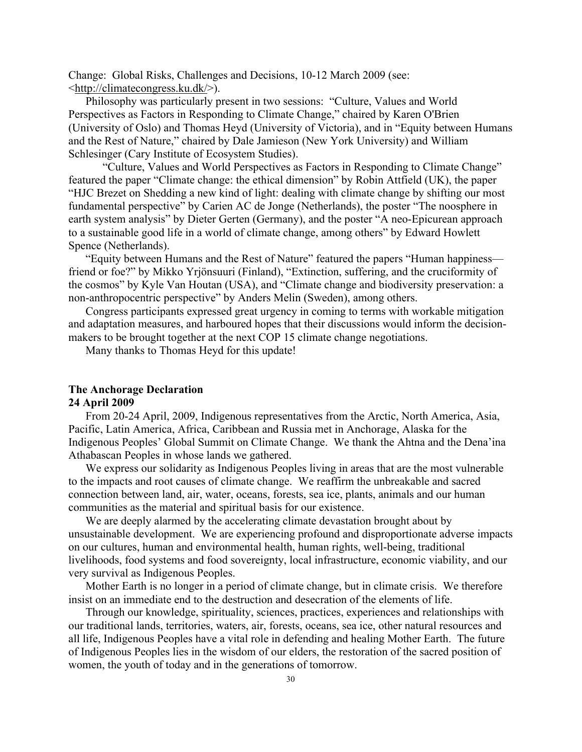Change: Global Risks, Challenges and Decisions, 10-12 March 2009 (see: <http://climatecongress.ku.dk/>).

Philosophy was particularly present in two sessions: "Culture, Values and World Perspectives as Factors in Responding to Climate Change," chaired by Karen O'Brien (University of Oslo) and Thomas Heyd (University of Victoria), and in "Equity between Humans and the Rest of Nature," chaired by Dale Jamieson (New York University) and William Schlesinger (Cary Institute of Ecosystem Studies).

"Culture, Values and World Perspectives as Factors in Responding to Climate Change" featured the paper "Climate change: the ethical dimension" by Robin Attfield (UK), the paper "HJC Brezet on Shedding a new kind of light: dealing with climate change by shifting our most fundamental perspective" by Carien AC de Jonge (Netherlands), the poster "The noosphere in earth system analysis" by Dieter Gerten (Germany), and the poster "A neo-Epicurean approach to a sustainable good life in a world of climate change, among others" by Edward Howlett Spence (Netherlands).

"Equity between Humans and the Rest of Nature" featured the papers "Human happiness friend or foe?" by Mikko Yrjönsuuri (Finland), "Extinction, suffering, and the cruciformity of the cosmos" by Kyle Van Houtan (USA), and "Climate change and biodiversity preservation: a non-anthropocentric perspective" by Anders Melin (Sweden), among others.

Congress participants expressed great urgency in coming to terms with workable mitigation and adaptation measures, and harboured hopes that their discussions would inform the decisionmakers to be brought together at the next COP 15 climate change negotiations.

Many thanks to Thomas Heyd for this update!

# **The Anchorage Declaration**

### **24 April 2009**

From 20-24 April, 2009, Indigenous representatives from the Arctic, North America, Asia, Pacific, Latin America, Africa, Caribbean and Russia met in Anchorage, Alaska for the Indigenous Peoples' Global Summit on Climate Change. We thank the Ahtna and the Dena'ina Athabascan Peoples in whose lands we gathered.

We express our solidarity as Indigenous Peoples living in areas that are the most vulnerable to the impacts and root causes of climate change. We reaffirm the unbreakable and sacred connection between land, air, water, oceans, forests, sea ice, plants, animals and our human communities as the material and spiritual basis for our existence.

We are deeply alarmed by the accelerating climate devastation brought about by unsustainable development. We are experiencing profound and disproportionate adverse impacts on our cultures, human and environmental health, human rights, well-being, traditional livelihoods, food systems and food sovereignty, local infrastructure, economic viability, and our very survival as Indigenous Peoples.

Mother Earth is no longer in a period of climate change, but in climate crisis. We therefore insist on an immediate end to the destruction and desecration of the elements of life.

Through our knowledge, spirituality, sciences, practices, experiences and relationships with our traditional lands, territories, waters, air, forests, oceans, sea ice, other natural resources and all life, Indigenous Peoples have a vital role in defending and healing Mother Earth. The future of Indigenous Peoples lies in the wisdom of our elders, the restoration of the sacred position of women, the youth of today and in the generations of tomorrow.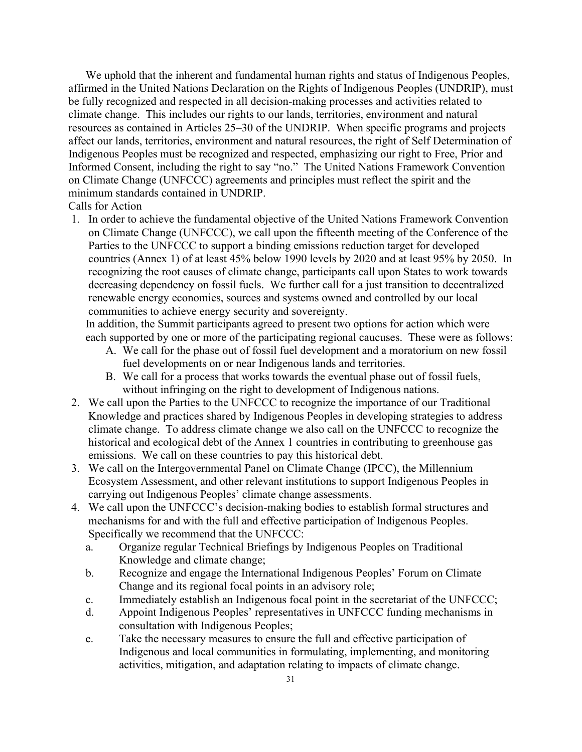We uphold that the inherent and fundamental human rights and status of Indigenous Peoples, affirmed in the United Nations Declaration on the Rights of Indigenous Peoples (UNDRIP), must be fully recognized and respected in all decision-making processes and activities related to climate change. This includes our rights to our lands, territories, environment and natural resources as contained in Articles 25–30 of the UNDRIP. When specific programs and projects affect our lands, territories, environment and natural resources, the right of Self Determination of Indigenous Peoples must be recognized and respected, emphasizing our right to Free, Prior and Informed Consent, including the right to say "no." The United Nations Framework Convention on Climate Change (UNFCCC) agreements and principles must reflect the spirit and the minimum standards contained in UNDRIP.

#### Calls for Action

1. In order to achieve the fundamental objective of the United Nations Framework Convention on Climate Change (UNFCCC), we call upon the fifteenth meeting of the Conference of the Parties to the UNFCCC to support a binding emissions reduction target for developed countries (Annex 1) of at least 45% below 1990 levels by 2020 and at least 95% by 2050. In recognizing the root causes of climate change, participants call upon States to work towards decreasing dependency on fossil fuels. We further call for a just transition to decentralized renewable energy economies, sources and systems owned and controlled by our local communities to achieve energy security and sovereignty.

In addition, the Summit participants agreed to present two options for action which were each supported by one or more of the participating regional caucuses. These were as follows:

- A. We call for the phase out of fossil fuel development and a moratorium on new fossil fuel developments on or near Indigenous lands and territories.
- B. We call for a process that works towards the eventual phase out of fossil fuels, without infringing on the right to development of Indigenous nations.
- 2. We call upon the Parties to the UNFCCC to recognize the importance of our Traditional Knowledge and practices shared by Indigenous Peoples in developing strategies to address climate change. To address climate change we also call on the UNFCCC to recognize the historical and ecological debt of the Annex 1 countries in contributing to greenhouse gas emissions. We call on these countries to pay this historical debt.
- 3. We call on the Intergovernmental Panel on Climate Change (IPCC), the Millennium Ecosystem Assessment, and other relevant institutions to support Indigenous Peoples in carrying out Indigenous Peoples' climate change assessments.
- 4. We call upon the UNFCCC's decision-making bodies to establish formal structures and mechanisms for and with the full and effective participation of Indigenous Peoples. Specifically we recommend that the UNFCCC:
	- a. Organize regular Technical Briefings by Indigenous Peoples on Traditional Knowledge and climate change;
	- b. Recognize and engage the International Indigenous Peoples' Forum on Climate Change and its regional focal points in an advisory role;
	- c. Immediately establish an Indigenous focal point in the secretariat of the UNFCCC;
	- d. Appoint Indigenous Peoples' representatives in UNFCCC funding mechanisms in consultation with Indigenous Peoples;
	- e. Take the necessary measures to ensure the full and effective participation of Indigenous and local communities in formulating, implementing, and monitoring activities, mitigation, and adaptation relating to impacts of climate change.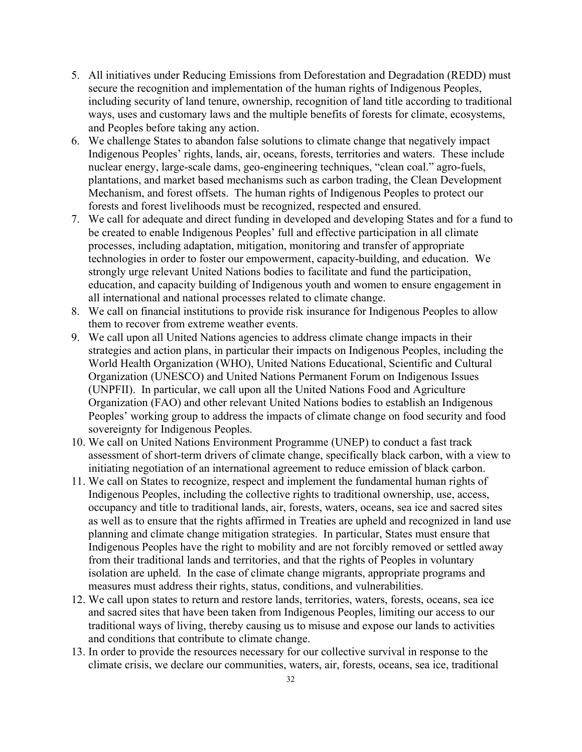- 5. All initiatives under Reducing Emissions from Deforestation and Degradation (REDD) must secure the recognition and implementation of the human rights of Indigenous Peoples, including security of land tenure, ownership, recognition of land title according to traditional ways, uses and customary laws and the multiple benefits of forests for climate, ecosystems, and Peoples before taking any action.
- 6. We challenge States to abandon false solutions to climate change that negatively impact Indigenous Peoples' rights, lands, air, oceans, forests, territories and waters. These include nuclear energy, large-scale dams, geo-engineering techniques, "clean coal." agro-fuels, plantations, and market based mechanisms such as carbon trading, the Clean Development Mechanism, and forest offsets. The human rights of Indigenous Peoples to protect our forests and forest livelihoods must be recognized, respected and ensured.
- 7. We call for adequate and direct funding in developed and developing States and for a fund to be created to enable Indigenous Peoples' full and effective participation in all climate processes, including adaptation, mitigation, monitoring and transfer of appropriate technologies in order to foster our empowerment, capacity-building, and education. We strongly urge relevant United Nations bodies to facilitate and fund the participation, education, and capacity building of Indigenous youth and women to ensure engagement in all international and national processes related to climate change.
- 8. We call on financial institutions to provide risk insurance for Indigenous Peoples to allow them to recover from extreme weather events.
- 9. We call upon all United Nations agencies to address climate change impacts in their strategies and action plans, in particular their impacts on Indigenous Peoples, including the World Health Organization (WHO), United Nations Educational, Scientific and Cultural Organization (UNESCO) and United Nations Permanent Forum on Indigenous Issues (UNPFII). In particular, we call upon all the United Nations Food and Agriculture Organization (FAO) and other relevant United Nations bodies to establish an Indigenous Peoples' working group to address the impacts of climate change on food security and food sovereignty for Indigenous Peoples.
- 10. We call on United Nations Environment Programme (UNEP) to conduct a fast track assessment of short-term drivers of climate change, specifically black carbon, with a view to initiating negotiation of an international agreement to reduce emission of black carbon.
- 11. We call on States to recognize, respect and implement the fundamental human rights of Indigenous Peoples, including the collective rights to traditional ownership, use, access, occupancy and title to traditional lands, air, forests, waters, oceans, sea ice and sacred sites as well as to ensure that the rights affirmed in Treaties are upheld and recognized in land use planning and climate change mitigation strategies. In particular, States must ensure that Indigenous Peoples have the right to mobility and are not forcibly removed or settled away from their traditional lands and territories, and that the rights of Peoples in voluntary isolation are upheld. In the case of climate change migrants, appropriate programs and measures must address their rights, status, conditions, and vulnerabilities.
- 12. We call upon states to return and restore lands, territories, waters, forests, oceans, sea ice and sacred sites that have been taken from Indigenous Peoples, limiting our access to our traditional ways of living, thereby causing us to misuse and expose our lands to activities and conditions that contribute to climate change.
- 13. In order to provide the resources necessary for our collective survival in response to the climate crisis, we declare our communities, waters, air, forests, oceans, sea ice, traditional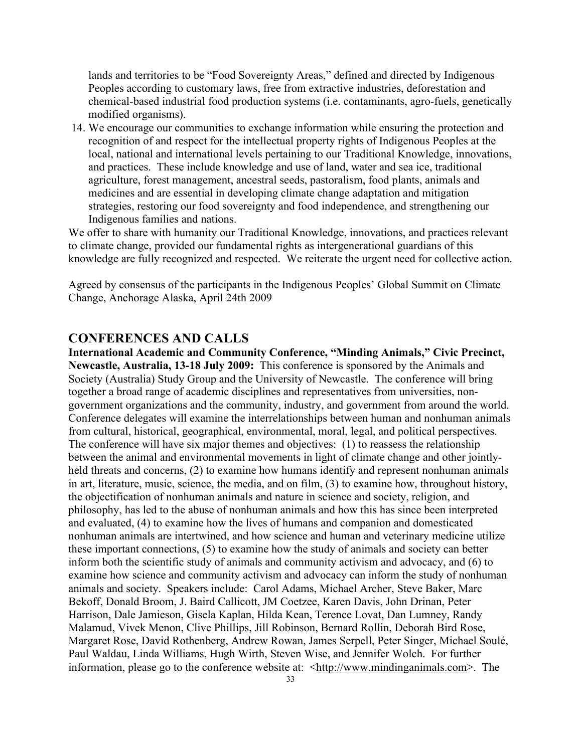lands and territories to be "Food Sovereignty Areas," defined and directed by Indigenous Peoples according to customary laws, free from extractive industries, deforestation and chemical-based industrial food production systems (i.e. contaminants, agro-fuels, genetically modified organisms).

14. We encourage our communities to exchange information while ensuring the protection and recognition of and respect for the intellectual property rights of Indigenous Peoples at the local, national and international levels pertaining to our Traditional Knowledge, innovations, and practices. These include knowledge and use of land, water and sea ice, traditional agriculture, forest management, ancestral seeds, pastoralism, food plants, animals and medicines and are essential in developing climate change adaptation and mitigation strategies, restoring our food sovereignty and food independence, and strengthening our Indigenous families and nations.

We offer to share with humanity our Traditional Knowledge, innovations, and practices relevant to climate change, provided our fundamental rights as intergenerational guardians of this knowledge are fully recognized and respected. We reiterate the urgent need for collective action.

Agreed by consensus of the participants in the Indigenous Peoples' Global Summit on Climate Change, Anchorage Alaska, April 24th 2009

# **CONFERENCES AND CALLS**

**International Academic and Community Conference, "Minding Animals," Civic Precinct, Newcastle, Australia, 13-18 July 2009:** This conference is sponsored by the Animals and Society (Australia) Study Group and the University of Newcastle. The conference will bring together a broad range of academic disciplines and representatives from universities, nongovernment organizations and the community, industry, and government from around the world. Conference delegates will examine the interrelationships between human and nonhuman animals from cultural, historical, geographical, environmental, moral, legal, and political perspectives. The conference will have six major themes and objectives: (1) to reassess the relationship between the animal and environmental movements in light of climate change and other jointlyheld threats and concerns, (2) to examine how humans identify and represent nonhuman animals in art, literature, music, science, the media, and on film, (3) to examine how, throughout history, the objectification of nonhuman animals and nature in science and society, religion, and philosophy, has led to the abuse of nonhuman animals and how this has since been interpreted and evaluated, (4) to examine how the lives of humans and companion and domesticated nonhuman animals are intertwined, and how science and human and veterinary medicine utilize these important connections, (5) to examine how the study of animals and society can better inform both the scientific study of animals and community activism and advocacy, and (6) to examine how science and community activism and advocacy can inform the study of nonhuman animals and society. Speakers include: Carol Adams, Michael Archer, Steve Baker, Marc Bekoff, Donald Broom, J. Baird Callicott, JM Coetzee, Karen Davis, John Drinan, Peter Harrison, Dale Jamieson, Gisela Kaplan, Hilda Kean, Terence Lovat, Dan Lumney, Randy Malamud, Vivek Menon, Clive Phillips, Jill Robinson, Bernard Rollin, Deborah Bird Rose, Margaret Rose, David Rothenberg, Andrew Rowan, James Serpell, Peter Singer, Michael Soulé, Paul Waldau, Linda Williams, Hugh Wirth, Steven Wise, and Jennifer Wolch. For further information, please go to the conference website at: <http://www.mindinganimals.com>. The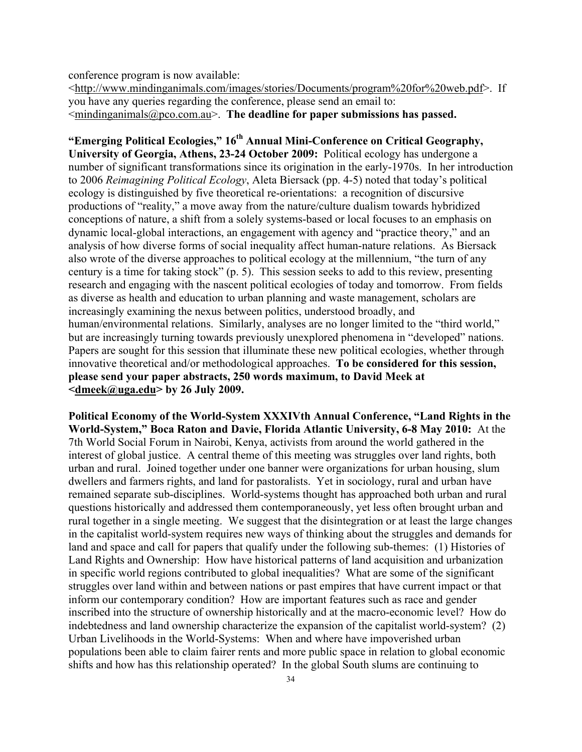conference program is now available:

<http://www.mindinganimals.com/images/stories/Documents/program%20for%20web.pdf>. If you have any queries regarding the conference, please send an email to:  $\leq$ mindinganimals@pco.com.au>. The deadline for paper submissions has passed.

**"Emerging Political Ecologies," 16th Annual Mini-Conference on Critical Geography, University of Georgia, Athens, 23-24 October 2009:** Political ecology has undergone a number of significant transformations since its origination in the early-1970s. In her introduction to 2006 *Reimagining Political Ecology*, Aleta Biersack (pp. 4-5) noted that today's political ecology is distinguished by five theoretical re-orientations: a recognition of discursive productions of "reality," a move away from the nature/culture dualism towards hybridized conceptions of nature, a shift from a solely systems-based or local focuses to an emphasis on dynamic local-global interactions, an engagement with agency and "practice theory," and an analysis of how diverse forms of social inequality affect human-nature relations. As Biersack also wrote of the diverse approaches to political ecology at the millennium, "the turn of any century is a time for taking stock" (p. 5). This session seeks to add to this review, presenting research and engaging with the nascent political ecologies of today and tomorrow. From fields as diverse as health and education to urban planning and waste management, scholars are increasingly examining the nexus between politics, understood broadly, and human/environmental relations. Similarly, analyses are no longer limited to the "third world," but are increasingly turning towards previously unexplored phenomena in "developed" nations. Papers are sought for this session that illuminate these new political ecologies, whether through innovative theoretical and/or methodological approaches. **To be considered for this session, please send your paper abstracts, 250 words maximum, to David Meek at <dmeek@uga.edu> by 26 July 2009.**

**Political Economy of the World-System XXXIVth Annual Conference, "Land Rights in the World-System," Boca Raton and Davie, Florida Atlantic University, 6-8 May 2010:** At the 7th World Social Forum in Nairobi, Kenya, activists from around the world gathered in the interest of global justice. A central theme of this meeting was struggles over land rights, both urban and rural. Joined together under one banner were organizations for urban housing, slum dwellers and farmers rights, and land for pastoralists. Yet in sociology, rural and urban have remained separate sub-disciplines. World-systems thought has approached both urban and rural questions historically and addressed them contemporaneously, yet less often brought urban and rural together in a single meeting. We suggest that the disintegration or at least the large changes in the capitalist world-system requires new ways of thinking about the struggles and demands for land and space and call for papers that qualify under the following sub-themes: (1) Histories of Land Rights and Ownership: How have historical patterns of land acquisition and urbanization in specific world regions contributed to global inequalities? What are some of the significant struggles over land within and between nations or past empires that have current impact or that inform our contemporary condition? How are important features such as race and gender inscribed into the structure of ownership historically and at the macro-economic level? How do indebtedness and land ownership characterize the expansion of the capitalist world-system? (2) Urban Livelihoods in the World-Systems: When and where have impoverished urban populations been able to claim fairer rents and more public space in relation to global economic shifts and how has this relationship operated? In the global South slums are continuing to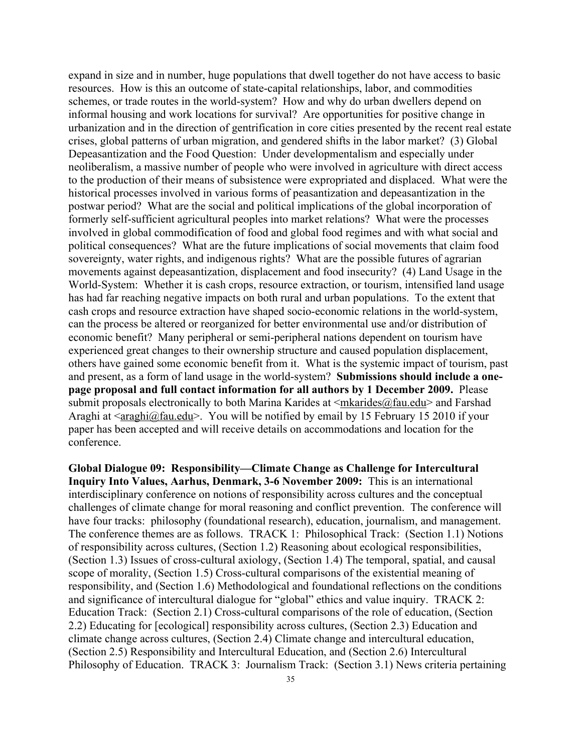expand in size and in number, huge populations that dwell together do not have access to basic resources. How is this an outcome of state-capital relationships, labor, and commodities schemes, or trade routes in the world-system? How and why do urban dwellers depend on informal housing and work locations for survival? Are opportunities for positive change in urbanization and in the direction of gentrification in core cities presented by the recent real estate crises, global patterns of urban migration, and gendered shifts in the labor market? (3) Global Depeasantization and the Food Question: Under developmentalism and especially under neoliberalism, a massive number of people who were involved in agriculture with direct access to the production of their means of subsistence were expropriated and displaced. What were the historical processes involved in various forms of peasantization and depeasantization in the postwar period? What are the social and political implications of the global incorporation of formerly self-sufficient agricultural peoples into market relations? What were the processes involved in global commodification of food and global food regimes and with what social and political consequences? What are the future implications of social movements that claim food sovereignty, water rights, and indigenous rights? What are the possible futures of agrarian movements against depeasantization, displacement and food insecurity? (4) Land Usage in the World-System: Whether it is cash crops, resource extraction, or tourism, intensified land usage has had far reaching negative impacts on both rural and urban populations. To the extent that cash crops and resource extraction have shaped socio-economic relations in the world-system, can the process be altered or reorganized for better environmental use and/or distribution of economic benefit? Many peripheral or semi-peripheral nations dependent on tourism have experienced great changes to their ownership structure and caused population displacement, others have gained some economic benefit from it. What is the systemic impact of tourism, past and present, as a form of land usage in the world-system? **Submissions should include a onepage proposal and full contact information for all authors by 1 December 2009.** Please submit proposals electronically to both Marina Karides at  $\leq m$ karides@fau.edu> and Farshad Araghi at  $\langle$ araghi@fau.edu>. You will be notified by email by 15 February 15 2010 if your paper has been accepted and will receive details on accommodations and location for the conference.

**Global Dialogue 09: Responsibility—Climate Change as Challenge for Intercultural Inquiry Into Values, Aarhus, Denmark, 3-6 November 2009:** This is an international interdisciplinary conference on notions of responsibility across cultures and the conceptual challenges of climate change for moral reasoning and conflict prevention. The conference will have four tracks: philosophy (foundational research), education, journalism, and management. The conference themes are as follows. TRACK 1: Philosophical Track: (Section 1.1) Notions of responsibility across cultures, (Section 1.2) Reasoning about ecological responsibilities, (Section 1.3) Issues of cross-cultural axiology, (Section 1.4) The temporal, spatial, and causal scope of morality, (Section 1.5) Cross-cultural comparisons of the existential meaning of responsibility, and (Section 1.6) Methodological and foundational reflections on the conditions and significance of intercultural dialogue for "global" ethics and value inquiry. TRACK 2: Education Track: (Section 2.1) Cross-cultural comparisons of the role of education, (Section 2.2) Educating for [ecological] responsibility across cultures, (Section 2.3) Education and climate change across cultures, (Section 2.4) Climate change and intercultural education, (Section 2.5) Responsibility and Intercultural Education, and (Section 2.6) Intercultural Philosophy of Education. TRACK 3: Journalism Track: (Section 3.1) News criteria pertaining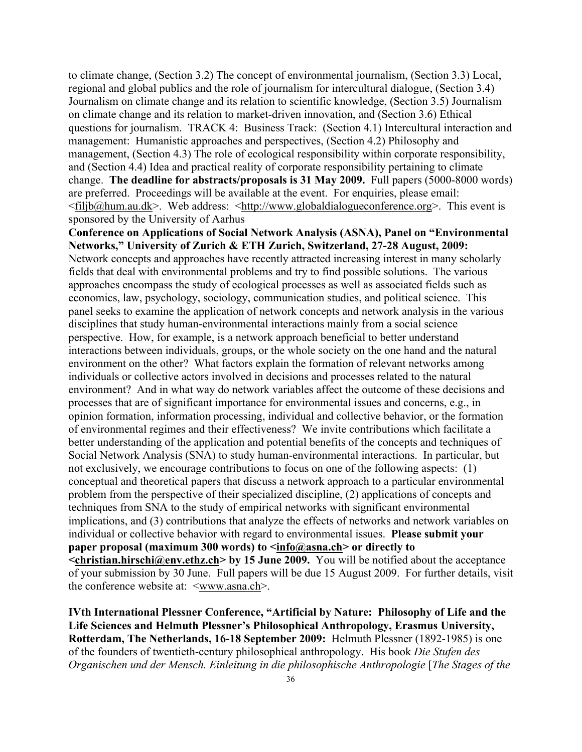to climate change, (Section 3.2) The concept of environmental journalism, (Section 3.3) Local, regional and global publics and the role of journalism for intercultural dialogue, (Section 3.4) Journalism on climate change and its relation to scientific knowledge, (Section 3.5) Journalism on climate change and its relation to market-driven innovation, and (Section 3.6) Ethical questions for journalism. TRACK 4: Business Track: (Section 4.1) Intercultural interaction and management: Humanistic approaches and perspectives, (Section 4.2) Philosophy and management, (Section 4.3) The role of ecological responsibility within corporate responsibility, and (Section 4.4) Idea and practical reality of corporate responsibility pertaining to climate change. **The deadline for abstracts/proposals is 31 May 2009.** Full papers (5000-8000 words) are preferred. Proceedings will be available at the event. For enquiries, please email: <filjb@hum.au.dk>. Web address: <http://www.globaldialogueconference.org>. This event is sponsored by the University of Aarhus

**Conference on Applications of Social Network Analysis (ASNA), Panel on "Environmental Networks," University of Zurich & ETH Zurich, Switzerland, 27-28 August, 2009:**  Network concepts and approaches have recently attracted increasing interest in many scholarly fields that deal with environmental problems and try to find possible solutions. The various approaches encompass the study of ecological processes as well as associated fields such as economics, law, psychology, sociology, communication studies, and political science. This panel seeks to examine the application of network concepts and network analysis in the various disciplines that study human-environmental interactions mainly from a social science perspective. How, for example, is a network approach beneficial to better understand interactions between individuals, groups, or the whole society on the one hand and the natural environment on the other? What factors explain the formation of relevant networks among individuals or collective actors involved in decisions and processes related to the natural environment? And in what way do network variables affect the outcome of these decisions and processes that are of significant importance for environmental issues and concerns, e.g., in opinion formation, information processing, individual and collective behavior, or the formation of environmental regimes and their effectiveness? We invite contributions which facilitate a better understanding of the application and potential benefits of the concepts and techniques of Social Network Analysis (SNA) to study human-environmental interactions. In particular, but not exclusively, we encourage contributions to focus on one of the following aspects: (1) conceptual and theoretical papers that discuss a network approach to a particular environmental problem from the perspective of their specialized discipline, (2) applications of concepts and techniques from SNA to the study of empirical networks with significant environmental implications, and (3) contributions that analyze the effects of networks and network variables on individual or collective behavior with regard to environmental issues. **Please submit your paper proposal (maximum 300 words) to**  $\frac{\sin 6a}{\sin 2a}$  **or directly to <christian.hirschi@env.ethz.ch> by 15 June 2009.** You will be notified about the acceptance of your submission by 30 June. Full papers will be due 15 August 2009. For further details, visit the conference website at: <www.asna.ch>.

**IVth International Plessner Conference, "Artificial by Nature: Philosophy of Life and the Life Sciences and Helmuth Plessner's Philosophical Anthropology, Erasmus University, Rotterdam, The Netherlands, 16-18 September 2009:** Helmuth Plessner (1892-1985) is one of the founders of twentieth-century philosophical anthropology. His book *Die Stufen des Organischen und der Mensch. Einleitung in die philosophische Anthropologie* [*The Stages of the*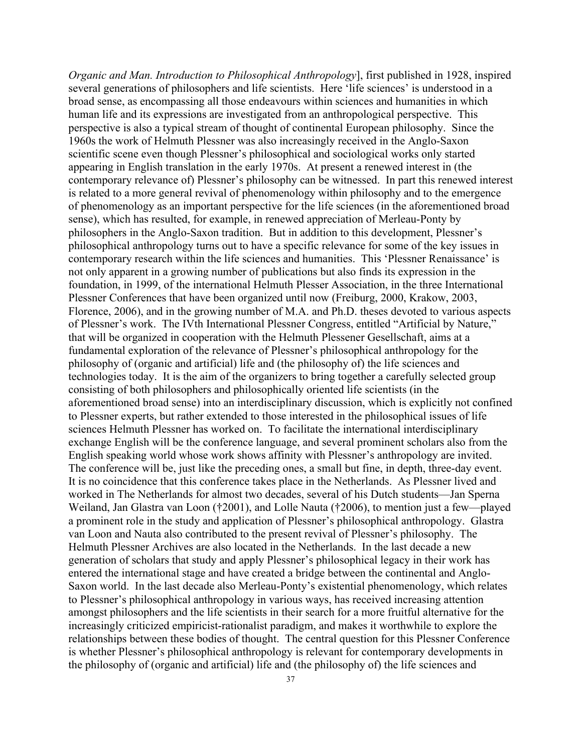*Organic and Man. Introduction to Philosophical Anthropology*], first published in 1928, inspired several generations of philosophers and life scientists. Here 'life sciences' is understood in a broad sense, as encompassing all those endeavours within sciences and humanities in which human life and its expressions are investigated from an anthropological perspective. This perspective is also a typical stream of thought of continental European philosophy. Since the 1960s the work of Helmuth Plessner was also increasingly received in the Anglo-Saxon scientific scene even though Plessner's philosophical and sociological works only started appearing in English translation in the early 1970s. At present a renewed interest in (the contemporary relevance of) Plessner's philosophy can be witnessed. In part this renewed interest is related to a more general revival of phenomenology within philosophy and to the emergence of phenomenology as an important perspective for the life sciences (in the aforementioned broad sense), which has resulted, for example, in renewed appreciation of Merleau-Ponty by philosophers in the Anglo-Saxon tradition. But in addition to this development, Plessner's philosophical anthropology turns out to have a specific relevance for some of the key issues in contemporary research within the life sciences and humanities. This 'Plessner Renaissance' is not only apparent in a growing number of publications but also finds its expression in the foundation, in 1999, of the international Helmuth Plesser Association, in the three International Plessner Conferences that have been organized until now (Freiburg, 2000, Krakow, 2003, Florence, 2006), and in the growing number of M.A. and Ph.D. theses devoted to various aspects of Plessner's work. The IVth International Plessner Congress, entitled "Artificial by Nature," that will be organized in cooperation with the Helmuth Plessener Gesellschaft, aims at a fundamental exploration of the relevance of Plessner's philosophical anthropology for the philosophy of (organic and artificial) life and (the philosophy of) the life sciences and technologies today. It is the aim of the organizers to bring together a carefully selected group consisting of both philosophers and philosophically oriented life scientists (in the aforementioned broad sense) into an interdisciplinary discussion, which is explicitly not confined to Plessner experts, but rather extended to those interested in the philosophical issues of life sciences Helmuth Plessner has worked on. To facilitate the international interdisciplinary exchange English will be the conference language, and several prominent scholars also from the English speaking world whose work shows affinity with Plessner's anthropology are invited. The conference will be, just like the preceding ones, a small but fine, in depth, three-day event. It is no coincidence that this conference takes place in the Netherlands. As Plessner lived and worked in The Netherlands for almost two decades, several of his Dutch students—Jan Sperna Weiland, Jan Glastra van Loon (†2001), and Lolle Nauta (†2006), to mention just a few—played a prominent role in the study and application of Plessner's philosophical anthropology. Glastra van Loon and Nauta also contributed to the present revival of Plessner's philosophy. The Helmuth Plessner Archives are also located in the Netherlands. In the last decade a new generation of scholars that study and apply Plessner's philosophical legacy in their work has entered the international stage and have created a bridge between the continental and Anglo-Saxon world. In the last decade also Merleau-Ponty's existential phenomenology, which relates to Plessner's philosophical anthropology in various ways, has received increasing attention amongst philosophers and the life scientists in their search for a more fruitful alternative for the increasingly criticized empiricist-rationalist paradigm, and makes it worthwhile to explore the relationships between these bodies of thought. The central question for this Plessner Conference is whether Plessner's philosophical anthropology is relevant for contemporary developments in the philosophy of (organic and artificial) life and (the philosophy of) the life sciences and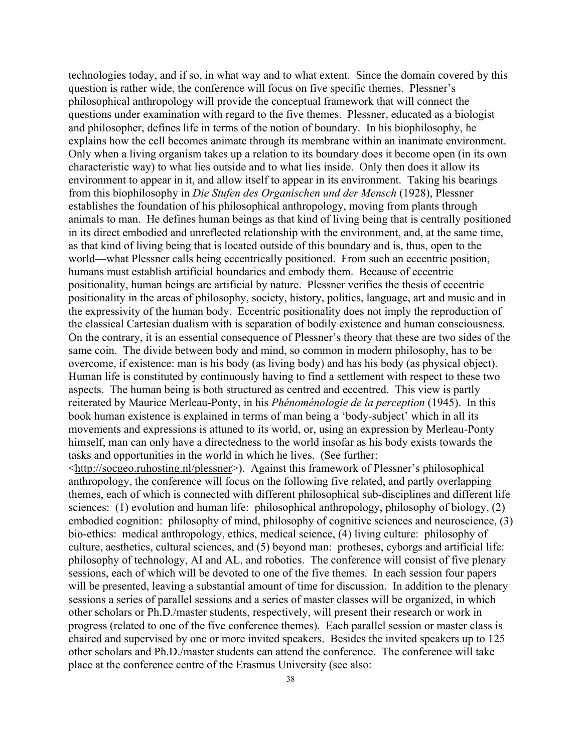technologies today, and if so, in what way and to what extent. Since the domain covered by this question is rather wide, the conference will focus on five specific themes. Plessner's philosophical anthropology will provide the conceptual framework that will connect the questions under examination with regard to the five themes. Plessner, educated as a biologist and philosopher, defines life in terms of the notion of boundary. In his biophilosophy, he explains how the cell becomes animate through its membrane within an inanimate environment. Only when a living organism takes up a relation to its boundary does it become open (in its own characteristic way) to what lies outside and to what lies inside. Only then does it allow its environment to appear in it, and allow itself to appear in its environment. Taking his bearings from this biophilosophy in *Die Stufen des Organischen und der Mensch* (1928), Plessner establishes the foundation of his philosophical anthropology, moving from plants through animals to man. He defines human beings as that kind of living being that is centrally positioned in its direct embodied and unreflected relationship with the environment, and, at the same time, as that kind of living being that is located outside of this boundary and is, thus, open to the world—what Plessner calls being eccentrically positioned. From such an eccentric position, humans must establish artificial boundaries and embody them. Because of eccentric positionality, human beings are artificial by nature. Plessner verifies the thesis of eccentric positionality in the areas of philosophy, society, history, politics, language, art and music and in the expressivity of the human body. Eccentric positionality does not imply the reproduction of the classical Cartesian dualism with is separation of bodily existence and human consciousness. On the contrary, it is an essential consequence of Plessner's theory that these are two sides of the same coin. The divide between body and mind, so common in modern philosophy, has to be overcome, if existence: man is his body (as living body) and has his body (as physical object). Human life is constituted by continuously having to find a settlement with respect to these two aspects. The human being is both structured as centred and eccentred. This view is partly reiterated by Maurice Merleau-Ponty, in his *Phénoménologie de la perception* (1945). In this book human existence is explained in terms of man being a 'body-subject' which in all its movements and expressions is attuned to its world, or, using an expression by Merleau-Ponty himself, man can only have a directedness to the world insofar as his body exists towards the tasks and opportunities in the world in which he lives. (See further: <http://socgeo.ruhosting.nl/plessner>). Against this framework of Plessner's philosophical

anthropology, the conference will focus on the following five related, and partly overlapping themes, each of which is connected with different philosophical sub-disciplines and different life sciences: (1) evolution and human life: philosophical anthropology, philosophy of biology, (2) embodied cognition: philosophy of mind, philosophy of cognitive sciences and neuroscience, (3) bio-ethics: medical anthropology, ethics, medical science, (4) living culture: philosophy of culture, aesthetics, cultural sciences, and (5) beyond man: protheses, cyborgs and artificial life: philosophy of technology, AI and AL, and robotics. The conference will consist of five plenary sessions, each of which will be devoted to one of the five themes. In each session four papers will be presented, leaving a substantial amount of time for discussion. In addition to the plenary sessions a series of parallel sessions and a series of master classes will be organized, in which other scholars or Ph.D./master students, respectively, will present their research or work in progress (related to one of the five conference themes). Each parallel session or master class is chaired and supervised by one or more invited speakers. Besides the invited speakers up to 125 other scholars and Ph.D./master students can attend the conference. The conference will take place at the conference centre of the Erasmus University (see also: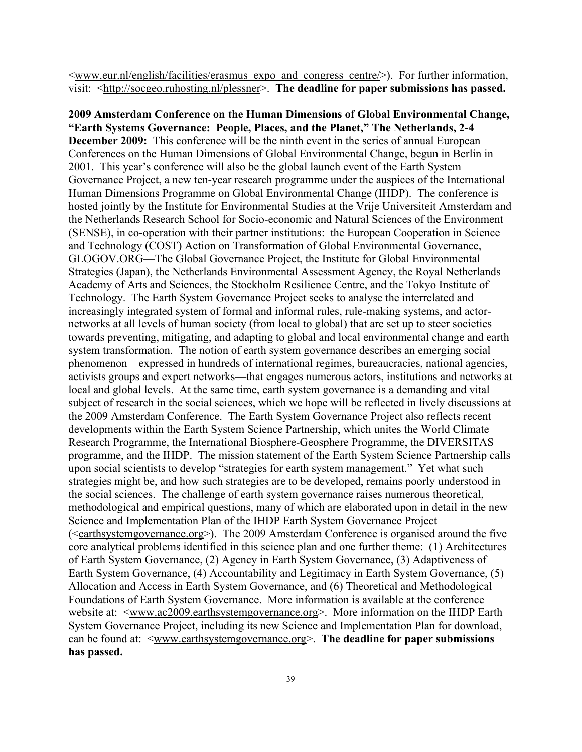$\langle$ www.eur.nl/english/facilities/erasmus expo\_and\_congress\_centre/ $\geq$ ). For further information, visit: <http://socgeo.ruhosting.nl/plessner>. **The deadline for paper submissions has passed.**

**2009 Amsterdam Conference on the Human Dimensions of Global Environmental Change, "Earth Systems Governance: People, Places, and the Planet," The Netherlands, 2-4 December 2009:** This conference will be the ninth event in the series of annual European Conferences on the Human Dimensions of Global Environmental Change, begun in Berlin in 2001. This year's conference will also be the global launch event of the Earth System Governance Project, a new ten-year research programme under the auspices of the International Human Dimensions Programme on Global Environmental Change (IHDP). The conference is hosted jointly by the Institute for Environmental Studies at the Vrije Universiteit Amsterdam and the Netherlands Research School for Socio-economic and Natural Sciences of the Environment (SENSE), in co-operation with their partner institutions: the European Cooperation in Science and Technology (COST) Action on Transformation of Global Environmental Governance, GLOGOV.ORG—The Global Governance Project, the Institute for Global Environmental Strategies (Japan), the Netherlands Environmental Assessment Agency, the Royal Netherlands Academy of Arts and Sciences, the Stockholm Resilience Centre, and the Tokyo Institute of Technology. The Earth System Governance Project seeks to analyse the interrelated and increasingly integrated system of formal and informal rules, rule-making systems, and actornetworks at all levels of human society (from local to global) that are set up to steer societies towards preventing, mitigating, and adapting to global and local environmental change and earth system transformation. The notion of earth system governance describes an emerging social phenomenon—expressed in hundreds of international regimes, bureaucracies, national agencies, activists groups and expert networks—that engages numerous actors, institutions and networks at local and global levels. At the same time, earth system governance is a demanding and vital subject of research in the social sciences, which we hope will be reflected in lively discussions at the 2009 Amsterdam Conference. The Earth System Governance Project also reflects recent developments within the Earth System Science Partnership, which unites the World Climate Research Programme, the International Biosphere-Geosphere Programme, the DIVERSITAS programme, and the IHDP. The mission statement of the Earth System Science Partnership calls upon social scientists to develop "strategies for earth system management." Yet what such strategies might be, and how such strategies are to be developed, remains poorly understood in the social sciences. The challenge of earth system governance raises numerous theoretical, methodological and empirical questions, many of which are elaborated upon in detail in the new Science and Implementation Plan of the IHDP Earth System Governance Project (<earthsystemgovernance.org>). The 2009 Amsterdam Conference is organised around the five core analytical problems identified in this science plan and one further theme: (1) Architectures of Earth System Governance, (2) Agency in Earth System Governance, (3) Adaptiveness of Earth System Governance, (4) Accountability and Legitimacy in Earth System Governance, (5) Allocation and Access in Earth System Governance, and (6) Theoretical and Methodological Foundations of Earth System Governance. More information is available at the conference website at:  $\langle$ www.ac2009.earthsystemgovernance.org>. More information on the IHDP Earth System Governance Project, including its new Science and Implementation Plan for download, can be found at: <www.earthsystemgovernance.org>. **The deadline for paper submissions has passed.**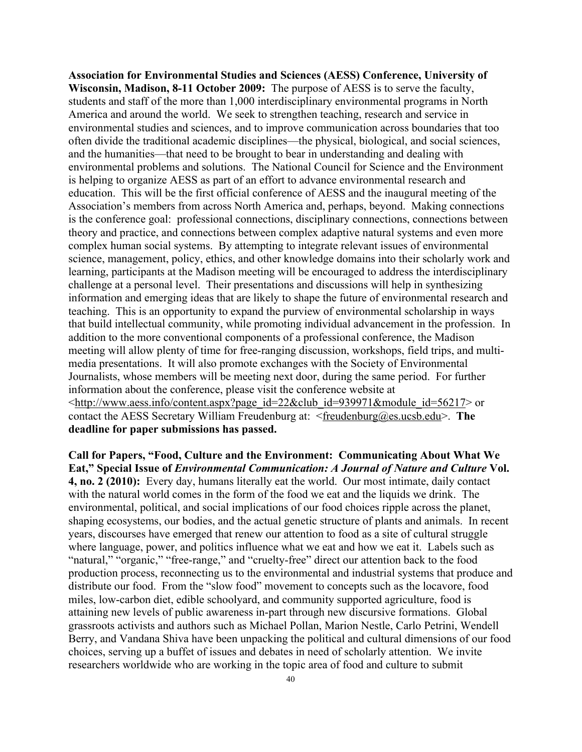**Association for Environmental Studies and Sciences (AESS) Conference, University of Wisconsin, Madison, 8-11 October 2009:** The purpose of AESS is to serve the faculty, students and staff of the more than 1,000 interdisciplinary environmental programs in North America and around the world. We seek to strengthen teaching, research and service in environmental studies and sciences, and to improve communication across boundaries that too often divide the traditional academic disciplines—the physical, biological, and social sciences, and the humanities—that need to be brought to bear in understanding and dealing with environmental problems and solutions. The National Council for Science and the Environment is helping to organize AESS as part of an effort to advance environmental research and education. This will be the first official conference of AESS and the inaugural meeting of the Association's members from across North America and, perhaps, beyond. Making connections is the conference goal: professional connections, disciplinary connections, connections between theory and practice, and connections between complex adaptive natural systems and even more complex human social systems. By attempting to integrate relevant issues of environmental science, management, policy, ethics, and other knowledge domains into their scholarly work and learning, participants at the Madison meeting will be encouraged to address the interdisciplinary challenge at a personal level. Their presentations and discussions will help in synthesizing information and emerging ideas that are likely to shape the future of environmental research and teaching. This is an opportunity to expand the purview of environmental scholarship in ways that build intellectual community, while promoting individual advancement in the profession. In addition to the more conventional components of a professional conference, the Madison meeting will allow plenty of time for free-ranging discussion, workshops, field trips, and multimedia presentations. It will also promote exchanges with the Society of Environmental Journalists, whose members will be meeting next door, during the same period. For further information about the conference, please visit the conference website at  $\lt$ http://www.aess.info/content.aspx?page\_id=22&club\_id=939971&module\_id=56217> or contact the AESS Secretary William Freudenburg at: <freudenburg@es.ucsb.edu>. **The deadline for paper submissions has passed.**

**Call for Papers, "Food, Culture and the Environment: Communicating About What We Eat," Special Issue of** *Environmental Communication: A Journal of Nature and Culture* **Vol. 4, no. 2 (2010):** Every day, humans literally eat the world. Our most intimate, daily contact with the natural world comes in the form of the food we eat and the liquids we drink. The environmental, political, and social implications of our food choices ripple across the planet, shaping ecosystems, our bodies, and the actual genetic structure of plants and animals. In recent years, discourses have emerged that renew our attention to food as a site of cultural struggle where language, power, and politics influence what we eat and how we eat it. Labels such as "natural," "organic," "free-range," and "cruelty-free" direct our attention back to the food production process, reconnecting us to the environmental and industrial systems that produce and distribute our food. From the "slow food" movement to concepts such as the locavore, food miles, low-carbon diet, edible schoolyard, and community supported agriculture, food is attaining new levels of public awareness in-part through new discursive formations. Global grassroots activists and authors such as Michael Pollan, Marion Nestle, Carlo Petrini, Wendell Berry, and Vandana Shiva have been unpacking the political and cultural dimensions of our food choices, serving up a buffet of issues and debates in need of scholarly attention. We invite researchers worldwide who are working in the topic area of food and culture to submit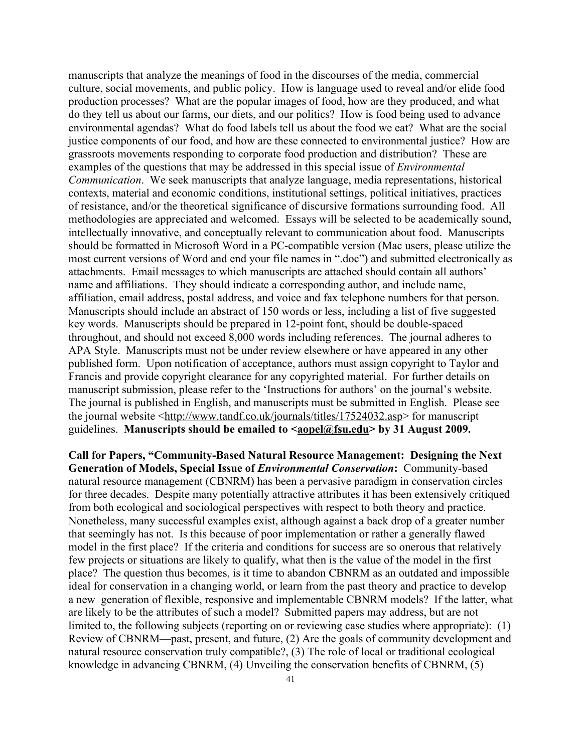manuscripts that analyze the meanings of food in the discourses of the media, commercial culture, social movements, and public policy. How is language used to reveal and/or elide food production processes? What are the popular images of food, how are they produced, and what do they tell us about our farms, our diets, and our politics? How is food being used to advance environmental agendas? What do food labels tell us about the food we eat? What are the social justice components of our food, and how are these connected to environmental justice? How are grassroots movements responding to corporate food production and distribution? These are examples of the questions that may be addressed in this special issue of *Environmental Communication*. We seek manuscripts that analyze language, media representations, historical contexts, material and economic conditions, institutional settings, political initiatives, practices of resistance, and/or the theoretical significance of discursive formations surrounding food. All methodologies are appreciated and welcomed. Essays will be selected to be academically sound, intellectually innovative, and conceptually relevant to communication about food. Manuscripts should be formatted in Microsoft Word in a PC-compatible version (Mac users, please utilize the most current versions of Word and end your file names in ".doc") and submitted electronically as attachments. Email messages to which manuscripts are attached should contain all authors' name and affiliations. They should indicate a corresponding author, and include name, affiliation, email address, postal address, and voice and fax telephone numbers for that person. Manuscripts should include an abstract of 150 words or less, including a list of five suggested key words. Manuscripts should be prepared in 12-point font, should be double-spaced throughout, and should not exceed 8,000 words including references. The journal adheres to APA Style. Manuscripts must not be under review elsewhere or have appeared in any other published form. Upon notification of acceptance, authors must assign copyright to Taylor and Francis and provide copyright clearance for any copyrighted material. For further details on manuscript submission, please refer to the 'Instructions for authors' on the journal's website. The journal is published in English, and manuscripts must be submitted in English. Please see the journal website <http://www.tandf.co.uk/journals/titles/17524032.asp> for manuscript guidelines. **Manuscripts should be emailed to <aopel@fsu.edu> by 31 August 2009.**

**Call for Papers, "Community-Based Natural Resource Management: Designing the Next Generation of Models, Special Issue of** *Environmental Conservation***:** Community-based natural resource management (CBNRM) has been a pervasive paradigm in conservation circles for three decades. Despite many potentially attractive attributes it has been extensively critiqued from both ecological and sociological perspectives with respect to both theory and practice. Nonetheless, many successful examples exist, although against a back drop of a greater number that seemingly has not. Is this because of poor implementation or rather a generally flawed model in the first place? If the criteria and conditions for success are so onerous that relatively few projects or situations are likely to qualify, what then is the value of the model in the first place? The question thus becomes, is it time to abandon CBNRM as an outdated and impossible ideal for conservation in a changing world, or learn from the past theory and practice to develop a new generation of flexible, responsive and implementable CBNRM models? If the latter, what are likely to be the attributes of such a model? Submitted papers may address, but are not limited to, the following subjects (reporting on or reviewing case studies where appropriate): (1) Review of CBNRM—past, present, and future, (2) Are the goals of community development and natural resource conservation truly compatible?, (3) The role of local or traditional ecological knowledge in advancing CBNRM, (4) Unveiling the conservation benefits of CBNRM, (5)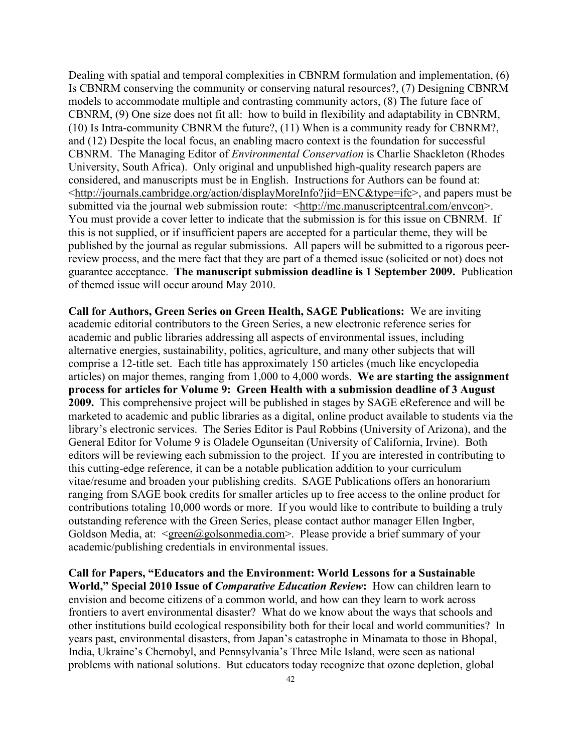Dealing with spatial and temporal complexities in CBNRM formulation and implementation, (6) Is CBNRM conserving the community or conserving natural resources?, (7) Designing CBNRM models to accommodate multiple and contrasting community actors, (8) The future face of CBNRM, (9) One size does not fit all: how to build in flexibility and adaptability in CBNRM, (10) Is Intra-community CBNRM the future?, (11) When is a community ready for CBNRM?, and (12) Despite the local focus, an enabling macro context is the foundation for successful CBNRM. The Managing Editor of *Environmental Conservation* is Charlie Shackleton (Rhodes University, South Africa). Only original and unpublished high-quality research papers are considered, and manuscripts must be in English. Instructions for Authors can be found at: <http://journals.cambridge.org/action/displayMoreInfo?jid=ENC&type=ifc>, and papers must be submitted via the journal web submission route: <http://mc.manuscriptcentral.com/envcon>. You must provide a cover letter to indicate that the submission is for this issue on CBNRM. If this is not supplied, or if insufficient papers are accepted for a particular theme, they will be published by the journal as regular submissions. All papers will be submitted to a rigorous peerreview process, and the mere fact that they are part of a themed issue (solicited or not) does not guarantee acceptance. **The manuscript submission deadline is 1 September 2009.** Publication of themed issue will occur around May 2010.

**Call for Authors, Green Series on Green Health, SAGE Publications:** We are inviting academic editorial contributors to the Green Series, a new electronic reference series for academic and public libraries addressing all aspects of environmental issues, including alternative energies, sustainability, politics, agriculture, and many other subjects that will comprise a 12-title set. Each title has approximately 150 articles (much like encyclopedia articles) on major themes, ranging from 1,000 to 4,000 words. **We are starting the assignment process for articles for Volume 9: Green Health with a submission deadline of 3 August 2009.** This comprehensive project will be published in stages by SAGE eReference and will be marketed to academic and public libraries as a digital, online product available to students via the library's electronic services. The Series Editor is Paul Robbins (University of Arizona), and the General Editor for Volume 9 is Oladele Ogunseitan (University of California, Irvine). Both editors will be reviewing each submission to the project. If you are interested in contributing to this cutting-edge reference, it can be a notable publication addition to your curriculum vitae/resume and broaden your publishing credits. SAGE Publications offers an honorarium ranging from SAGE book credits for smaller articles up to free access to the online product for contributions totaling 10,000 words or more. If you would like to contribute to building a truly outstanding reference with the Green Series, please contact author manager Ellen Ingber, Goldson Media, at: <green@golsonmedia.com>. Please provide a brief summary of your academic/publishing credentials in environmental issues.

**Call for Papers, "Educators and the Environment: World Lessons for a Sustainable World," Special 2010 Issue of** *Comparative Education Review***:** How can children learn to envision and become citizens of a common world, and how can they learn to work across frontiers to avert environmental disaster? What do we know about the ways that schools and other institutions build ecological responsibility both for their local and world communities? In years past, environmental disasters, from Japan's catastrophe in Minamata to those in Bhopal, India, Ukraine's Chernobyl, and Pennsylvania's Three Mile Island, were seen as national problems with national solutions. But educators today recognize that ozone depletion, global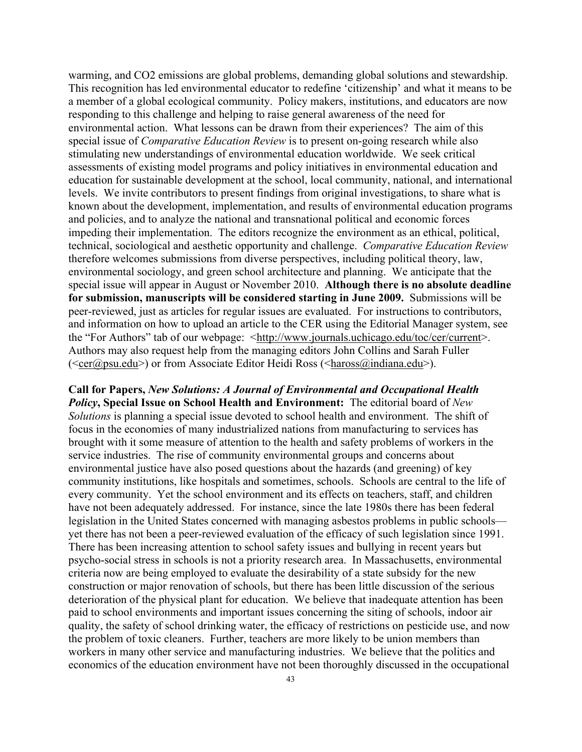warming, and CO2 emissions are global problems, demanding global solutions and stewardship. This recognition has led environmental educator to redefine 'citizenship' and what it means to be a member of a global ecological community. Policy makers, institutions, and educators are now responding to this challenge and helping to raise general awareness of the need for environmental action. What lessons can be drawn from their experiences? The aim of this special issue of *Comparative Education Review* is to present on-going research while also stimulating new understandings of environmental education worldwide. We seek critical assessments of existing model programs and policy initiatives in environmental education and education for sustainable development at the school, local community, national, and international levels. We invite contributors to present findings from original investigations, to share what is known about the development, implementation, and results of environmental education programs and policies, and to analyze the national and transnational political and economic forces impeding their implementation. The editors recognize the environment as an ethical, political, technical, sociological and aesthetic opportunity and challenge. *Comparative Education Review* therefore welcomes submissions from diverse perspectives, including political theory, law, environmental sociology, and green school architecture and planning. We anticipate that the special issue will appear in August or November 2010. **Although there is no absolute deadline for submission, manuscripts will be considered starting in June 2009.** Submissions will be peer-reviewed, just as articles for regular issues are evaluated. For instructions to contributors, and information on how to upload an article to the CER using the Editorial Manager system, see the "For Authors" tab of our webpage: <http://www.journals.uchicago.edu/toc/cer/current>. Authors may also request help from the managing editors John Collins and Sarah Fuller (<cer@psu.edu>) or from Associate Editor Heidi Ross (<haross@indiana.edu>).

**Call for Papers,** *New Solutions: A Journal of Environmental and Occupational Health Policy***, Special Issue on School Health and Environment:** The editorial board of *New Solutions* is planning a special issue devoted to school health and environment. The shift of focus in the economies of many industrialized nations from manufacturing to services has brought with it some measure of attention to the health and safety problems of workers in the service industries. The rise of community environmental groups and concerns about environmental justice have also posed questions about the hazards (and greening) of key community institutions, like hospitals and sometimes, schools. Schools are central to the life of every community. Yet the school environment and its effects on teachers, staff, and children have not been adequately addressed. For instance, since the late 1980s there has been federal legislation in the United States concerned with managing asbestos problems in public schools yet there has not been a peer-reviewed evaluation of the efficacy of such legislation since 1991. There has been increasing attention to school safety issues and bullying in recent years but psycho-social stress in schools is not a priority research area. In Massachusetts, environmental criteria now are being employed to evaluate the desirability of a state subsidy for the new construction or major renovation of schools, but there has been little discussion of the serious deterioration of the physical plant for education. We believe that inadequate attention has been paid to school environments and important issues concerning the siting of schools, indoor air quality, the safety of school drinking water, the efficacy of restrictions on pesticide use, and now the problem of toxic cleaners. Further, teachers are more likely to be union members than workers in many other service and manufacturing industries. We believe that the politics and economics of the education environment have not been thoroughly discussed in the occupational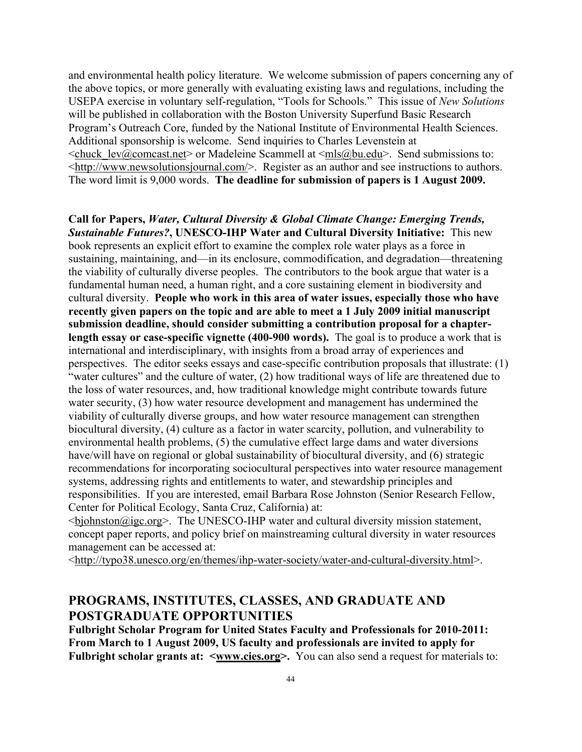and environmental health policy literature. We welcome submission of papers concerning any of the above topics, or more generally with evaluating existing laws and regulations, including the USEPA exercise in voluntary self-regulation, "Tools for Schools." This issue of *New Solutions* will be published in collaboration with the Boston University Superfund Basic Research Program's Outreach Core, funded by the National Institute of Environmental Health Sciences. Additional sponsorship is welcome. Send inquiries to Charles Levenstein at  $\langle$ chuck lev@comcast.net> or Madeleine Scammell at  $\langle$ mls@bu.edu>. Send submissions to: <http://www.newsolutionsjournal.com/>. Register as an author and see instructions to authors. The word limit is 9,000 words. **The deadline for submission of papers is 1 August 2009.**

**Call for Papers,** *Water, Cultural Diversity & Global Climate Change: Emerging Trends, Sustainable Futures?***, UNESCO-IHP Water and Cultural Diversity Initiative:** This new book represents an explicit effort to examine the complex role water plays as a force in sustaining, maintaining, and—in its enclosure, commodification, and degradation—threatening the viability of culturally diverse peoples. The contributors to the book argue that water is a fundamental human need, a human right, and a core sustaining element in biodiversity and cultural diversity. **People who work in this area of water issues, especially those who have recently given papers on the topic and are able to meet a 1 July 2009 initial manuscript submission deadline, should consider submitting a contribution proposal for a chapterlength essay or case-specific vignette (400-900 words).** The goal is to produce a work that is international and interdisciplinary, with insights from a broad array of experiences and perspectives. The editor seeks essays and case-specific contribution proposals that illustrate: (1) "water cultures" and the culture of water, (2) how traditional ways of life are threatened due to the loss of water resources, and, how traditional knowledge might contribute towards future water security, (3) how water resource development and management has undermined the viability of culturally diverse groups, and how water resource management can strengthen biocultural diversity, (4) culture as a factor in water scarcity, pollution, and vulnerability to environmental health problems, (5) the cumulative effect large dams and water diversions have/will have on regional or global sustainability of biocultural diversity, and (6) strategic recommendations for incorporating sociocultural perspectives into water resource management systems, addressing rights and entitlements to water, and stewardship principles and responsibilities. If you are interested, email Barbara Rose Johnston (Senior Research Fellow, Center for Political Ecology, Santa Cruz, California) at:

 $\leq$ bjohnston@igc.org>. The UNESCO-IHP water and cultural diversity mission statement, concept paper reports, and policy brief on mainstreaming cultural diversity in water resources management can be accessed at:

<http://typo38.unesco.org/en/themes/ihp-water-society/water-and-cultural-diversity.html>.

# **PROGRAMS, INSTITUTES, CLASSES, AND GRADUATE AND POSTGRADUATE OPPORTUNITIES**

**Fulbright Scholar Program for United States Faculty and Professionals for 2010-2011: From March to 1 August 2009, US faculty and professionals are invited to apply for Fulbright scholar grants at: <www.cies.org>.** You can also send a request for materials to: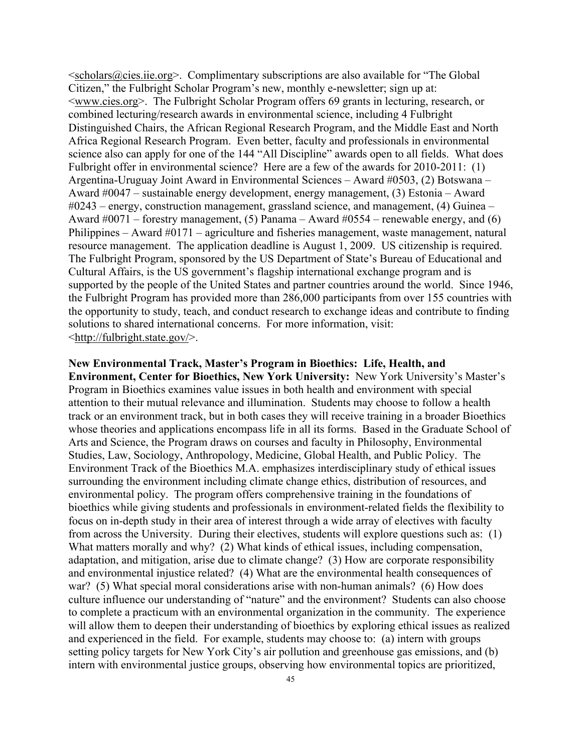$\le$ scholars@cies.iie.org >. Complimentary subscriptions are also available for "The Global" Citizen," the Fulbright Scholar Program's new, monthly e-newsletter; sign up at: <www.cies.org>. The Fulbright Scholar Program offers 69 grants in lecturing, research, or combined lecturing/research awards in environmental science, including 4 Fulbright Distinguished Chairs, the African Regional Research Program, and the Middle East and North Africa Regional Research Program. Even better, faculty and professionals in environmental science also can apply for one of the 144 "All Discipline" awards open to all fields. What does Fulbright offer in environmental science? Here are a few of the awards for 2010-2011: (1) Argentina-Uruguay Joint Award in Environmental Sciences – Award #0503, (2) Botswana – Award #0047 – sustainable energy development, energy management, (3) Estonia – Award #0243 – energy, construction management, grassland science, and management, (4) Guinea – Award #0071 – forestry management, (5) Panama – Award #0554 – renewable energy, and (6) Philippines – Award #0171 – agriculture and fisheries management, waste management, natural resource management. The application deadline is August 1, 2009. US citizenship is required. The Fulbright Program, sponsored by the US Department of State's Bureau of Educational and Cultural Affairs, is the US government's flagship international exchange program and is supported by the people of the United States and partner countries around the world. Since 1946, the Fulbright Program has provided more than 286,000 participants from over 155 countries with the opportunity to study, teach, and conduct research to exchange ideas and contribute to finding solutions to shared international concerns. For more information, visit: <http://fulbright.state.gov/>.

#### **New Environmental Track, Master's Program in Bioethics: Life, Health, and**

**Environment, Center for Bioethics, New York University:** New York University's Master's Program in Bioethics examines value issues in both health and environment with special attention to their mutual relevance and illumination. Students may choose to follow a health track or an environment track, but in both cases they will receive training in a broader Bioethics whose theories and applications encompass life in all its forms. Based in the Graduate School of Arts and Science, the Program draws on courses and faculty in Philosophy, Environmental Studies, Law, Sociology, Anthropology, Medicine, Global Health, and Public Policy. The Environment Track of the Bioethics M.A. emphasizes interdisciplinary study of ethical issues surrounding the environment including climate change ethics, distribution of resources, and environmental policy. The program offers comprehensive training in the foundations of bioethics while giving students and professionals in environment-related fields the flexibility to focus on in-depth study in their area of interest through a wide array of electives with faculty from across the University. During their electives, students will explore questions such as: (1) What matters morally and why? (2) What kinds of ethical issues, including compensation, adaptation, and mitigation, arise due to climate change? (3) How are corporate responsibility and environmental injustice related? (4) What are the environmental health consequences of war? (5) What special moral considerations arise with non-human animals? (6) How does culture influence our understanding of "nature" and the environment? Students can also choose to complete a practicum with an environmental organization in the community. The experience will allow them to deepen their understanding of bioethics by exploring ethical issues as realized and experienced in the field. For example, students may choose to: (a) intern with groups setting policy targets for New York City's air pollution and greenhouse gas emissions, and (b) intern with environmental justice groups, observing how environmental topics are prioritized,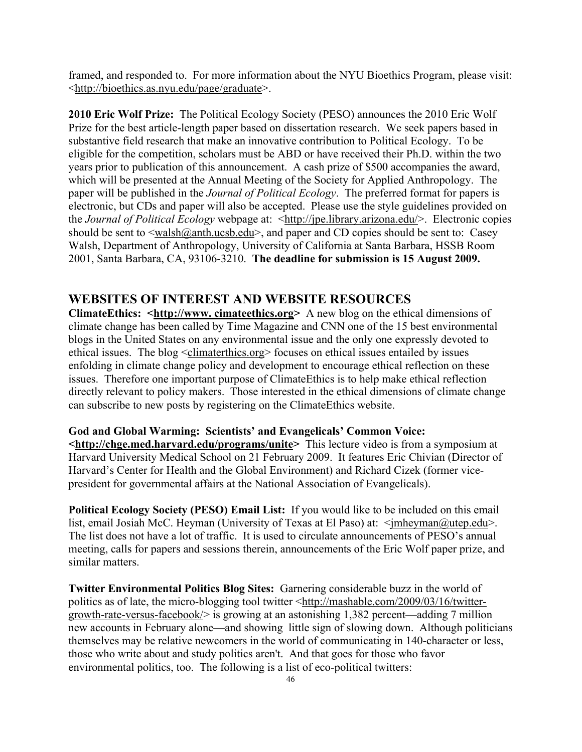framed, and responded to. For more information about the NYU Bioethics Program, please visit: <http://bioethics.as.nyu.edu/page/graduate>.

**2010 Eric Wolf Prize:** The Political Ecology Society (PESO) announces the 2010 Eric Wolf Prize for the best article-length paper based on dissertation research. We seek papers based in substantive field research that make an innovative contribution to Political Ecology. To be eligible for the competition, scholars must be ABD or have received their Ph.D. within the two years prior to publication of this announcement. A cash prize of \$500 accompanies the award, which will be presented at the Annual Meeting of the Society for Applied Anthropology. The paper will be published in the *Journal of Political Ecology*. The preferred format for papers is electronic, but CDs and paper will also be accepted. Please use the style guidelines provided on the *Journal of Political Ecology* webpage at: <http://jpe.library.arizona.edu/>. Electronic copies should be sent to  $\langle \text{walk}(a)$  anth.ucsb.edu $\rangle$ , and paper and CD copies should be sent to: Casey Walsh, Department of Anthropology, University of California at Santa Barbara, HSSB Room 2001, Santa Barbara, CA, 93106-3210. **The deadline for submission is 15 August 2009.**

#### **WEBSITES OF INTEREST AND WEBSITE RESOURCES**

**ClimateEthics: <http://www.cimateethics.org>** A new blog on the ethical dimensions of climate change has been called by Time Magazine and CNN one of the 15 best environmental blogs in the United States on any environmental issue and the only one expressly devoted to ethical issues. The blog <climaterthics.org> focuses on ethical issues entailed by issues enfolding in climate change policy and development to encourage ethical reflection on these issues. Therefore one important purpose of ClimateEthics is to help make ethical reflection directly relevant to policy makers. Those interested in the ethical dimensions of climate change can subscribe to new posts by registering on the ClimateEthics website.

#### **God and Global Warming: Scientists' and Evangelicals' Common Voice:**

**<http://chge.med.harvard.edu/programs/unite>** This lecture video is from a symposium at Harvard University Medical School on 21 February 2009. It features Eric Chivian (Director of Harvard's Center for Health and the Global Environment) and Richard Cizek (former vicepresident for governmental affairs at the National Association of Evangelicals).

**Political Ecology Society (PESO) Email List:** If you would like to be included on this email list, email Josiah McC. Heyman (University of Texas at El Paso) at:  $\leq$ imheyman@utep.edu>. The list does not have a lot of traffic. It is used to circulate announcements of PESO's annual meeting, calls for papers and sessions therein, announcements of the Eric Wolf paper prize, and similar matters.

**Twitter Environmental Politics Blog Sites:** Garnering considerable buzz in the world of politics as of late, the micro-blogging tool twitter <http://mashable.com/2009/03/16/twittergrowth-rate-versus-facebook/ $>$  is growing at an astonishing 1,382 percent—adding 7 million new accounts in February alone—and showing little sign of slowing down. Although politicians themselves may be relative newcomers in the world of communicating in 140-character or less, those who write about and study politics aren't. And that goes for those who favor environmental politics, too. The following is a list of eco-political twitters: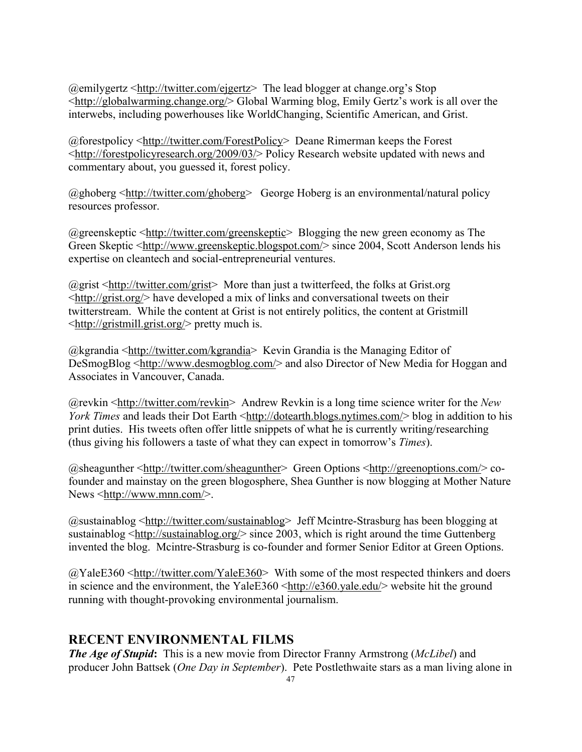@emilygertz <http://twitter.com/ejgertz> The lead blogger at change.org's Stop <http://globalwarming.change.org/> Global Warming blog, Emily Gertz's work is all over the interwebs, including powerhouses like WorldChanging, Scientific American, and Grist.

 $@$ forestpolicy <http://twitter.com/ForestPolicy> Deane Rimerman keeps the Forest  $\leq$ http://forestpolicyresearch.org/2009/03/> Policy Research website updated with news and commentary about, you guessed it, forest policy.

@ghoberg <http://twitter.com/ghoberg> George Hoberg is an environmental/natural policy resources professor.

@greenskeptic <http://twitter.com/greenskeptic> Blogging the new green economy as The Green Skeptic <http://www.greenskeptic.blogspot.com/> since 2004, Scott Anderson lends his expertise on cleantech and social-entrepreneurial ventures.

@grist <http://twitter.com/grist> More than just a twitterfeed, the folks at Grist.org  $\langle \text{http://grist.org/} \rangle$  have developed a mix of links and conversational tweets on their twitterstream. While the content at Grist is not entirely politics, the content at Gristmill <http://gristmill.grist.org/> pretty much is.

 $@k$ grandia <http://twitter.com/kgrandia> Kevin Grandia is the Managing Editor of DeSmogBlog <http://www.desmogblog.com/> and also Director of New Media for Hoggan and Associates in Vancouver, Canada.

@revkin <http://twitter.com/revkin> Andrew Revkin is a long time science writer for the *New York Times* and leads their Dot Earth <http://dotearth.blogs.nytimes.com/> blog in addition to his print duties. His tweets often offer little snippets of what he is currently writing/researching (thus giving his followers a taste of what they can expect in tomorrow's *Times*).

@sheagunther <http://twitter.com/sheagunther> Green Options <http://greenoptions.com/> cofounder and mainstay on the green blogosphere, Shea Gunther is now blogging at Mother Nature News <http://www.mnn.com/>.

@sustainablog <http://twitter.com/sustainablog> Jeff Mcintre-Strasburg has been blogging at sustainablog <http://sustainablog.org/> since 2003, which is right around the time Guttenberg invented the blog. Mcintre-Strasburg is co-founder and former Senior Editor at Green Options.

 $\omega$  /a]  $\gamma$  aleE360 <http://twitter.com/YaleE360> With some of the most respected thinkers and doers in science and the environment, the YaleE360 <http://e360.yale.edu/> website hit the ground running with thought-provoking environmental journalism.

## **RECENT ENVIRONMENTAL FILMS**

*The Age of Stupid***:** This is a new movie from Director Franny Armstrong (*McLibel*) and producer John Battsek (*One Day in September*). Pete Postlethwaite stars as a man living alone in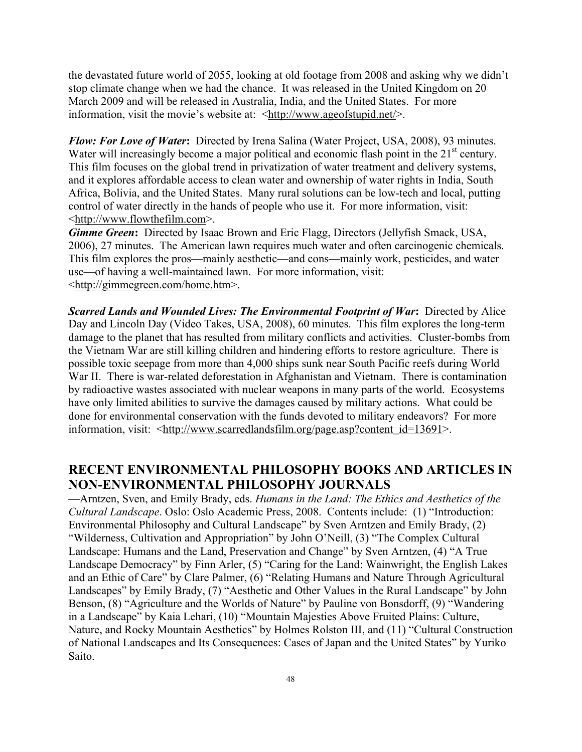the devastated future world of 2055, looking at old footage from 2008 and asking why we didn't stop climate change when we had the chance. It was released in the United Kingdom on 20 March 2009 and will be released in Australia, India, and the United States. For more information, visit the movie's website at: <http://www.ageofstupid.net/>.

*Flow: For Love of Water***:** Directed by Irena Salina (Water Project, USA, 2008), 93 minutes. Water will increasingly become a major political and economic flash point in the 21<sup>st</sup> century. This film focuses on the global trend in privatization of water treatment and delivery systems, and it explores affordable access to clean water and ownership of water rights in India, South Africa, Bolivia, and the United States. Many rural solutions can be low-tech and local, putting control of water directly in the hands of people who use it. For more information, visit: <http://www.flowthefilm.com>.

*Gimme Green***:** Directed by Isaac Brown and Eric Flagg, Directors (Jellyfish Smack, USA, 2006), 27 minutes. The American lawn requires much water and often carcinogenic chemicals. This film explores the pros—mainly aesthetic—and cons—mainly work, pesticides, and water use—of having a well-maintained lawn. For more information, visit: <http://gimmegreen.com/home.htm>.

*Scarred Lands and Wounded Lives: The Environmental Footprint of War***:** Directed by Alice Day and Lincoln Day (Video Takes, USA, 2008), 60 minutes. This film explores the long-term damage to the planet that has resulted from military conflicts and activities. Cluster-bombs from the Vietnam War are still killing children and hindering efforts to restore agriculture. There is possible toxic seepage from more than 4,000 ships sunk near South Pacific reefs during World War II. There is war-related deforestation in Afghanistan and Vietnam. There is contamination by radioactive wastes associated with nuclear weapons in many parts of the world. Ecosystems have only limited abilities to survive the damages caused by military actions. What could be done for environmental conservation with the funds devoted to military endeavors? For more information, visit: <http://www.scarredlandsfilm.org/page.asp?content\_id=13691>.

## **RECENT ENVIRONMENTAL PHILOSOPHY BOOKS AND ARTICLES IN NON-ENVIRONMENTAL PHILOSOPHY JOURNALS**

—Arntzen, Sven, and Emily Brady, eds. *Humans in the Land: The Ethics and Aesthetics of the Cultural Landscape*. Oslo: Oslo Academic Press, 2008. Contents include: (1) "Introduction: Environmental Philosophy and Cultural Landscape" by Sven Arntzen and Emily Brady, (2) "Wilderness, Cultivation and Appropriation" by John O'Neill, (3) "The Complex Cultural Landscape: Humans and the Land, Preservation and Change" by Sven Arntzen, (4) "A True Landscape Democracy" by Finn Arler, (5) "Caring for the Land: Wainwright, the English Lakes and an Ethic of Care" by Clare Palmer, (6) "Relating Humans and Nature Through Agricultural Landscapes" by Emily Brady, (7) "Aesthetic and Other Values in the Rural Landscape" by John Benson, (8) "Agriculture and the Worlds of Nature" by Pauline von Bonsdorff, (9) "Wandering in a Landscape" by Kaia Lehari, (10) "Mountain Majesties Above Fruited Plains: Culture, Nature, and Rocky Mountain Aesthetics" by Holmes Rolston III, and (11) "Cultural Construction of National Landscapes and Its Consequences: Cases of Japan and the United States" by Yuriko Saito.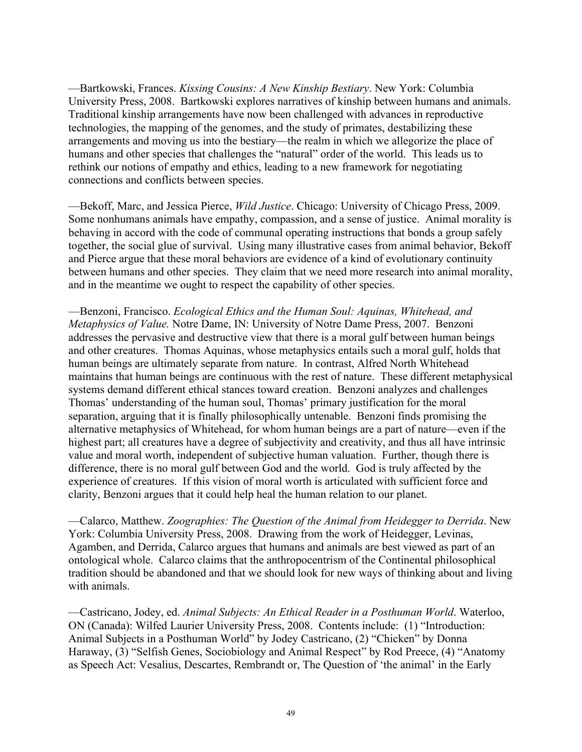—Bartkowski, Frances. *Kissing Cousins: A New Kinship Bestiary*. New York: Columbia University Press, 2008. Bartkowski explores narratives of kinship between humans and animals. Traditional kinship arrangements have now been challenged with advances in reproductive technologies, the mapping of the genomes, and the study of primates, destabilizing these arrangements and moving us into the bestiary—the realm in which we allegorize the place of humans and other species that challenges the "natural" order of the world. This leads us to rethink our notions of empathy and ethics, leading to a new framework for negotiating connections and conflicts between species.

—Bekoff, Marc, and Jessica Pierce, *Wild Justice*. Chicago: University of Chicago Press, 2009. Some nonhumans animals have empathy, compassion, and a sense of justice. Animal morality is behaving in accord with the code of communal operating instructions that bonds a group safely together, the social glue of survival. Using many illustrative cases from animal behavior, Bekoff and Pierce argue that these moral behaviors are evidence of a kind of evolutionary continuity between humans and other species. They claim that we need more research into animal morality, and in the meantime we ought to respect the capability of other species.

—Benzoni, Francisco. *Ecological Ethics and the Human Soul: Aquinas, Whitehead, and Metaphysics of Value.* Notre Dame, IN: University of Notre Dame Press, 2007. Benzoni addresses the pervasive and destructive view that there is a moral gulf between human beings and other creatures. Thomas Aquinas, whose metaphysics entails such a moral gulf, holds that human beings are ultimately separate from nature. In contrast, Alfred North Whitehead maintains that human beings are continuous with the rest of nature. These different metaphysical systems demand different ethical stances toward creation. Benzoni analyzes and challenges Thomas' understanding of the human soul, Thomas' primary justification for the moral separation, arguing that it is finally philosophically untenable. Benzoni finds promising the alternative metaphysics of Whitehead, for whom human beings are a part of nature—even if the highest part; all creatures have a degree of subjectivity and creativity, and thus all have intrinsic value and moral worth, independent of subjective human valuation. Further, though there is difference, there is no moral gulf between God and the world. God is truly affected by the experience of creatures. If this vision of moral worth is articulated with sufficient force and clarity, Benzoni argues that it could help heal the human relation to our planet.

—Calarco, Matthew. *Zoographies: The Question of the Animal from Heidegger to Derrida*. New York: Columbia University Press, 2008. Drawing from the work of Heidegger, Levinas, Agamben, and Derrida, Calarco argues that humans and animals are best viewed as part of an ontological whole. Calarco claims that the anthropocentrism of the Continental philosophical tradition should be abandoned and that we should look for new ways of thinking about and living with animals.

—Castricano, Jodey, ed. *Animal Subjects: An Ethical Reader in a Posthuman World*. Waterloo, ON (Canada): Wilfed Laurier University Press, 2008. Contents include: (1) "Introduction: Animal Subjects in a Posthuman World" by Jodey Castricano, (2) "Chicken" by Donna Haraway, (3) "Selfish Genes, Sociobiology and Animal Respect" by Rod Preece, (4) "Anatomy as Speech Act: Vesalius, Descartes, Rembrandt or, The Question of 'the animal' in the Early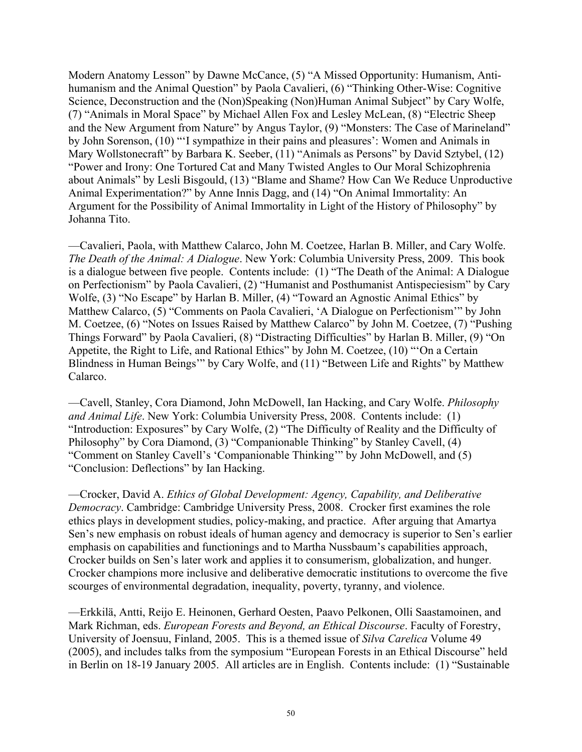Modern Anatomy Lesson" by Dawne McCance, (5) "A Missed Opportunity: Humanism, Antihumanism and the Animal Question" by Paola Cavalieri, (6) "Thinking Other-Wise: Cognitive Science, Deconstruction and the (Non)Speaking (Non)Human Animal Subject" by Cary Wolfe, (7) "Animals in Moral Space" by Michael Allen Fox and Lesley McLean, (8) "Electric Sheep and the New Argument from Nature" by Angus Taylor, (9) "Monsters: The Case of Marineland" by John Sorenson, (10) "'I sympathize in their pains and pleasures': Women and Animals in Mary Wollstonecraft" by Barbara K. Seeber, (11) "Animals as Persons" by David Sztybel, (12) "Power and Irony: One Tortured Cat and Many Twisted Angles to Our Moral Schizophrenia about Animals" by Lesli Bisgould, (13) "Blame and Shame? How Can We Reduce Unproductive Animal Experimentation?" by Anne Innis Dagg, and (14) "On Animal Immortality: An Argument for the Possibility of Animal Immortality in Light of the History of Philosophy" by Johanna Tito.

—Cavalieri, Paola, with Matthew Calarco, John M. Coetzee, Harlan B. Miller, and Cary Wolfe. *The Death of the Animal: A Dialogue*. New York: Columbia University Press, 2009. This book is a dialogue between five people. Contents include: (1) "The Death of the Animal: A Dialogue on Perfectionism" by Paola Cavalieri, (2) "Humanist and Posthumanist Antispeciesism" by Cary Wolfe, (3) "No Escape" by Harlan B. Miller, (4) "Toward an Agnostic Animal Ethics" by Matthew Calarco, (5) "Comments on Paola Cavalieri, 'A Dialogue on Perfectionism'" by John M. Coetzee, (6) "Notes on Issues Raised by Matthew Calarco" by John M. Coetzee, (7) "Pushing Things Forward" by Paola Cavalieri, (8) "Distracting Difficulties" by Harlan B. Miller, (9) "On Appetite, the Right to Life, and Rational Ethics" by John M. Coetzee, (10) "'On a Certain Blindness in Human Beings'" by Cary Wolfe, and (11) "Between Life and Rights" by Matthew Calarco.

—Cavell, Stanley, Cora Diamond, John McDowell, Ian Hacking, and Cary Wolfe. *Philosophy and Animal Life*. New York: Columbia University Press, 2008. Contents include: (1) "Introduction: Exposures" by Cary Wolfe, (2) "The Difficulty of Reality and the Difficulty of Philosophy" by Cora Diamond, (3) "Companionable Thinking" by Stanley Cavell, (4) "Comment on Stanley Cavell's 'Companionable Thinking'" by John McDowell, and (5) "Conclusion: Deflections" by Ian Hacking.

—Crocker, David A. *Ethics of Global Development: Agency, Capability, and Deliberative Democracy*. Cambridge: Cambridge University Press, 2008. Crocker first examines the role ethics plays in development studies, policy-making, and practice. After arguing that Amartya Sen's new emphasis on robust ideals of human agency and democracy is superior to Sen's earlier emphasis on capabilities and functionings and to Martha Nussbaum's capabilities approach, Crocker builds on Sen's later work and applies it to consumerism, globalization, and hunger. Crocker champions more inclusive and deliberative democratic institutions to overcome the five scourges of environmental degradation, inequality, poverty, tyranny, and violence.

—Erkkilä, Antti, Reijo E. Heinonen, Gerhard Oesten, Paavo Pelkonen, Olli Saastamoinen, and Mark Richman, eds. *European Forests and Beyond, an Ethical Discourse*. Faculty of Forestry, University of Joensuu, Finland, 2005. This is a themed issue of *Silva Carelica* Volume 49 (2005), and includes talks from the symposium "European Forests in an Ethical Discourse" held in Berlin on 18-19 January 2005. All articles are in English. Contents include: (1) "Sustainable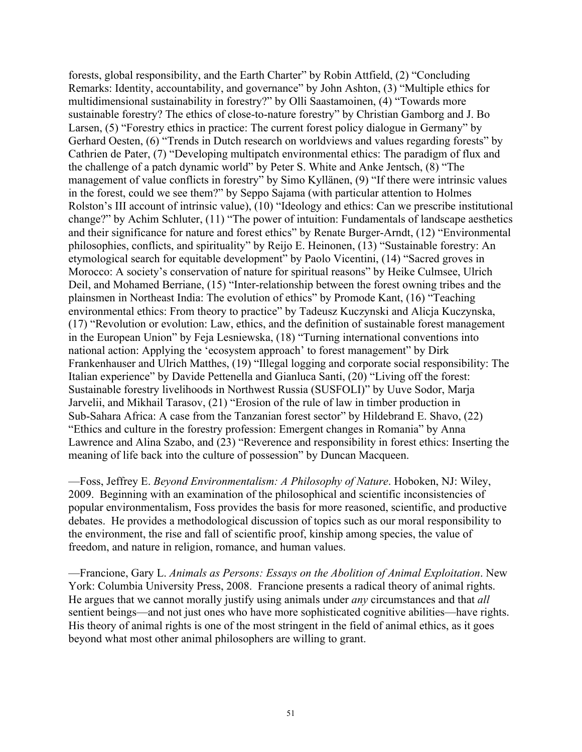forests, global responsibility, and the Earth Charter" by Robin Attfield, (2) "Concluding Remarks: Identity, accountability, and governance" by John Ashton, (3) "Multiple ethics for multidimensional sustainability in forestry?" by Olli Saastamoinen, (4) "Towards more sustainable forestry? The ethics of close-to-nature forestry" by Christian Gamborg and J. Bo Larsen, (5) "Forestry ethics in practice: The current forest policy dialogue in Germany" by Gerhard Oesten, (6) "Trends in Dutch research on worldviews and values regarding forests" by Cathrien de Pater, (7) "Developing multipatch environmental ethics: The paradigm of flux and the challenge of a patch dynamic world" by Peter S. White and Anke Jentsch, (8) "The management of value conflicts in forestry" by Simo Kyllänen, (9) "If there were intrinsic values in the forest, could we see them?" by Seppo Sajama (with particular attention to Holmes Rolston's III account of intrinsic value), (10) "Ideology and ethics: Can we prescribe institutional change?" by Achim Schluter, (11) "The power of intuition: Fundamentals of landscape aesthetics and their significance for nature and forest ethics" by Renate Burger-Arndt, (12) "Environmental philosophies, conflicts, and spirituality" by Reijo E. Heinonen, (13) "Sustainable forestry: An etymological search for equitable development" by Paolo Vicentini, (14) "Sacred groves in Morocco: A society's conservation of nature for spiritual reasons" by Heike Culmsee, Ulrich Deil, and Mohamed Berriane, (15) "Inter-relationship between the forest owning tribes and the plainsmen in Northeast India: The evolution of ethics" by Promode Kant, (16) "Teaching environmental ethics: From theory to practice" by Tadeusz Kuczynski and Alicja Kuczynska, (17) "Revolution or evolution: Law, ethics, and the definition of sustainable forest management in the European Union" by Feja Lesniewska, (18) "Turning international conventions into national action: Applying the 'ecosystem approach' to forest management" by Dirk Frankenhauser and Ulrich Matthes, (19) "Illegal logging and corporate social responsibility: The Italian experience" by Davide Pettenella and Gianluca Santi, (20) "Living off the forest: Sustainable forestry livelihoods in Northwest Russia (SUSFOLI)" by Uuve Sodor, Marja Jarvelii, and Mikhail Tarasov, (21) "Erosion of the rule of law in timber production in Sub-Sahara Africa: A case from the Tanzanian forest sector" by Hildebrand E. Shavo, (22) "Ethics and culture in the forestry profession: Emergent changes in Romania" by Anna Lawrence and Alina Szabo, and (23) "Reverence and responsibility in forest ethics: Inserting the meaning of life back into the culture of possession" by Duncan Macqueen.

—Foss, Jeffrey E. *Beyond Environmentalism: A Philosophy of Nature*. Hoboken, NJ: Wiley, 2009. Beginning with an examination of the philosophical and scientific inconsistencies of popular environmentalism, Foss provides the basis for more reasoned, scientific, and productive debates. He provides a methodological discussion of topics such as our moral responsibility to the environment, the rise and fall of scientific proof, kinship among species, the value of freedom, and nature in religion, romance, and human values.

—Francione, Gary L. *Animals as Persons: Essays on the Abolition of Animal Exploitation*. New York: Columbia University Press, 2008. Francione presents a radical theory of animal rights. He argues that we cannot morally justify using animals under *any* circumstances and that *all* sentient beings—and not just ones who have more sophisticated cognitive abilities—have rights. His theory of animal rights is one of the most stringent in the field of animal ethics, as it goes beyond what most other animal philosophers are willing to grant.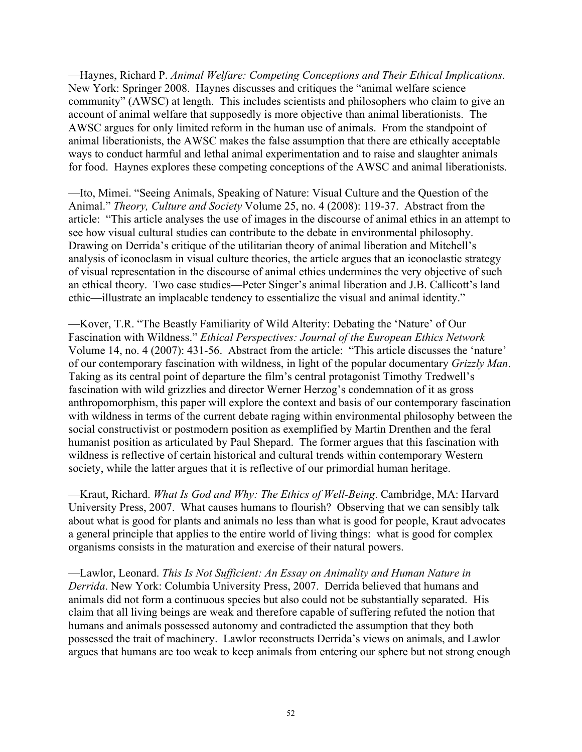—Haynes, Richard P. *Animal Welfare: Competing Conceptions and Their Ethical Implications*. New York: Springer 2008. Haynes discusses and critiques the "animal welfare science community" (AWSC) at length. This includes scientists and philosophers who claim to give an account of animal welfare that supposedly is more objective than animal liberationists. The AWSC argues for only limited reform in the human use of animals. From the standpoint of animal liberationists, the AWSC makes the false assumption that there are ethically acceptable ways to conduct harmful and lethal animal experimentation and to raise and slaughter animals for food. Haynes explores these competing conceptions of the AWSC and animal liberationists.

—Ito, Mimei. "Seeing Animals, Speaking of Nature: Visual Culture and the Question of the Animal." *Theory, Culture and Society* Volume 25, no. 4 (2008): 119-37. Abstract from the article: "This article analyses the use of images in the discourse of animal ethics in an attempt to see how visual cultural studies can contribute to the debate in environmental philosophy. Drawing on Derrida's critique of the utilitarian theory of animal liberation and Mitchell's analysis of iconoclasm in visual culture theories, the article argues that an iconoclastic strategy of visual representation in the discourse of animal ethics undermines the very objective of such an ethical theory. Two case studies—Peter Singer's animal liberation and J.B. Callicott's land ethic—illustrate an implacable tendency to essentialize the visual and animal identity."

—Kover, T.R. "The Beastly Familiarity of Wild Alterity: Debating the 'Nature' of Our Fascination with Wildness." *Ethical Perspectives: Journal of the European Ethics Network* Volume 14, no. 4 (2007): 431-56. Abstract from the article: "This article discusses the 'nature' of our contemporary fascination with wildness, in light of the popular documentary *Grizzly Man*. Taking as its central point of departure the film's central protagonist Timothy Tredwell's fascination with wild grizzlies and director Werner Herzog's condemnation of it as gross anthropomorphism, this paper will explore the context and basis of our contemporary fascination with wildness in terms of the current debate raging within environmental philosophy between the social constructivist or postmodern position as exemplified by Martin Drenthen and the feral humanist position as articulated by Paul Shepard. The former argues that this fascination with wildness is reflective of certain historical and cultural trends within contemporary Western society, while the latter argues that it is reflective of our primordial human heritage.

—Kraut, Richard. *What Is God and Why: The Ethics of Well-Being*. Cambridge, MA: Harvard University Press, 2007. What causes humans to flourish? Observing that we can sensibly talk about what is good for plants and animals no less than what is good for people, Kraut advocates a general principle that applies to the entire world of living things: what is good for complex organisms consists in the maturation and exercise of their natural powers.

—Lawlor, Leonard. *This Is Not Sufficient: An Essay on Animality and Human Nature in Derrida*. New York: Columbia University Press, 2007. Derrida believed that humans and animals did not form a continuous species but also could not be substantially separated. His claim that all living beings are weak and therefore capable of suffering refuted the notion that humans and animals possessed autonomy and contradicted the assumption that they both possessed the trait of machinery. Lawlor reconstructs Derrida's views on animals, and Lawlor argues that humans are too weak to keep animals from entering our sphere but not strong enough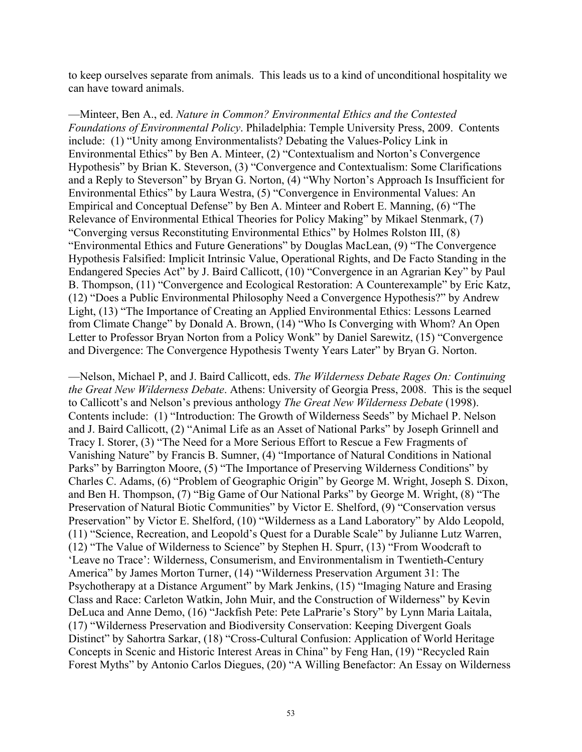to keep ourselves separate from animals. This leads us to a kind of unconditional hospitality we can have toward animals.

—Minteer, Ben A., ed. *Nature in Common? Environmental Ethics and the Contested Foundations of Environmental Policy*. Philadelphia: Temple University Press, 2009. Contents include: (1) "Unity among Environmentalists? Debating the Values-Policy Link in Environmental Ethics" by Ben A. Minteer, (2) "Contextualism and Norton's Convergence Hypothesis" by Brian K. Steverson, (3) "Convergence and Contextualism: Some Clarifications and a Reply to Steverson" by Bryan G. Norton, (4) "Why Norton's Approach Is Insufficient for Environmental Ethics" by Laura Westra, (5) "Convergence in Environmental Values: An Empirical and Conceptual Defense" by Ben A. Minteer and Robert E. Manning, (6) "The Relevance of Environmental Ethical Theories for Policy Making" by Mikael Stenmark, (7) "Converging versus Reconstituting Environmental Ethics" by Holmes Rolston III, (8) "Environmental Ethics and Future Generations" by Douglas MacLean, (9) "The Convergence Hypothesis Falsified: Implicit Intrinsic Value, Operational Rights, and De Facto Standing in the Endangered Species Act" by J. Baird Callicott, (10) "Convergence in an Agrarian Key" by Paul B. Thompson, (11) "Convergence and Ecological Restoration: A Counterexample" by Eric Katz, (12) "Does a Public Environmental Philosophy Need a Convergence Hypothesis?" by Andrew Light, (13) "The Importance of Creating an Applied Environmental Ethics: Lessons Learned from Climate Change" by Donald A. Brown, (14) "Who Is Converging with Whom? An Open Letter to Professor Bryan Norton from a Policy Wonk" by Daniel Sarewitz, (15) "Convergence and Divergence: The Convergence Hypothesis Twenty Years Later" by Bryan G. Norton.

—Nelson, Michael P, and J. Baird Callicott, eds. *The Wilderness Debate Rages On: Continuing the Great New Wilderness Debate*. Athens: University of Georgia Press, 2008. This is the sequel to Callicott's and Nelson's previous anthology *The Great New Wilderness Debate* (1998). Contents include: (1) "Introduction: The Growth of Wilderness Seeds" by Michael P. Nelson and J. Baird Callicott, (2) "Animal Life as an Asset of National Parks" by Joseph Grinnell and Tracy I. Storer, (3) "The Need for a More Serious Effort to Rescue a Few Fragments of Vanishing Nature" by Francis B. Sumner, (4) "Importance of Natural Conditions in National Parks" by Barrington Moore, (5) "The Importance of Preserving Wilderness Conditions" by Charles C. Adams, (6) "Problem of Geographic Origin" by George M. Wright, Joseph S. Dixon, and Ben H. Thompson, (7) "Big Game of Our National Parks" by George M. Wright, (8) "The Preservation of Natural Biotic Communities" by Victor E. Shelford, (9) "Conservation versus Preservation" by Victor E. Shelford, (10) "Wilderness as a Land Laboratory" by Aldo Leopold, (11) "Science, Recreation, and Leopold's Quest for a Durable Scale" by Julianne Lutz Warren, (12) "The Value of Wilderness to Science" by Stephen H. Spurr, (13) "From Woodcraft to 'Leave no Trace': Wilderness, Consumerism, and Environmentalism in Twentieth-Century America" by James Morton Turner, (14) "Wilderness Preservation Argument 31: The Psychotherapy at a Distance Argument" by Mark Jenkins, (15) "Imaging Nature and Erasing Class and Race: Carleton Watkin, John Muir, and the Construction of Wilderness" by Kevin DeLuca and Anne Demo, (16) "Jackfish Pete: Pete LaPrarie's Story" by Lynn Maria Laitala, (17) "Wilderness Preservation and Biodiversity Conservation: Keeping Divergent Goals Distinct" by Sahortra Sarkar, (18) "Cross-Cultural Confusion: Application of World Heritage Concepts in Scenic and Historic Interest Areas in China" by Feng Han, (19) "Recycled Rain Forest Myths" by Antonio Carlos Diegues, (20) "A Willing Benefactor: An Essay on Wilderness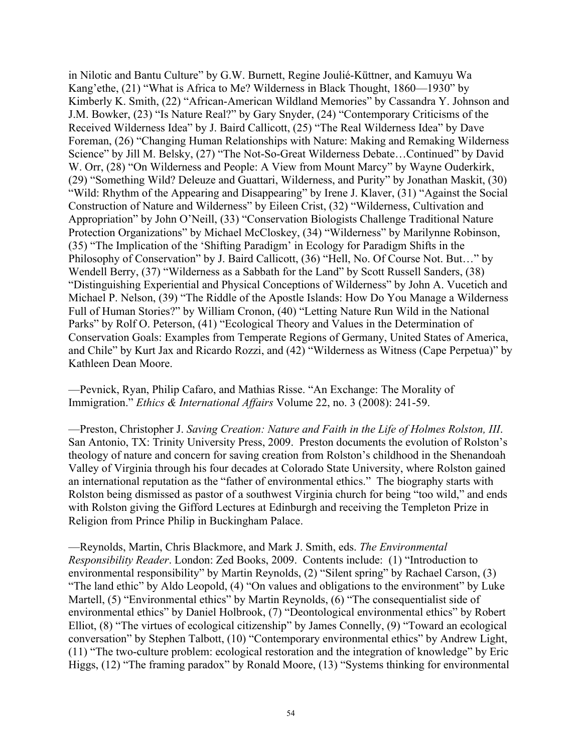in Nilotic and Bantu Culture" by G.W. Burnett, Regine Joulié-Küttner, and Kamuyu Wa Kang'ethe, (21) "What is Africa to Me? Wilderness in Black Thought, 1860—1930" by Kimberly K. Smith, (22) "African-American Wildland Memories" by Cassandra Y. Johnson and J.M. Bowker, (23) "Is Nature Real?" by Gary Snyder, (24) "Contemporary Criticisms of the Received Wilderness Idea" by J. Baird Callicott, (25) "The Real Wilderness Idea" by Dave Foreman, (26) "Changing Human Relationships with Nature: Making and Remaking Wilderness Science" by Jill M. Belsky, (27) "The Not-So-Great Wilderness Debate…Continued" by David W. Orr, (28) "On Wilderness and People: A View from Mount Marcy" by Wayne Ouderkirk, (29) "Something Wild? Deleuze and Guattari, Wilderness, and Purity" by Jonathan Maskit, (30) "Wild: Rhythm of the Appearing and Disappearing" by Irene J. Klaver, (31) "Against the Social Construction of Nature and Wilderness" by Eileen Crist, (32) "Wilderness, Cultivation and Appropriation" by John O'Neill, (33) "Conservation Biologists Challenge Traditional Nature Protection Organizations" by Michael McCloskey, (34) "Wilderness" by Marilynne Robinson, (35) "The Implication of the 'Shifting Paradigm' in Ecology for Paradigm Shifts in the Philosophy of Conservation" by J. Baird Callicott, (36) "Hell, No. Of Course Not. But…" by Wendell Berry, (37) "Wilderness as a Sabbath for the Land" by Scott Russell Sanders, (38) "Distinguishing Experiential and Physical Conceptions of Wilderness" by John A. Vucetich and Michael P. Nelson, (39) "The Riddle of the Apostle Islands: How Do You Manage a Wilderness Full of Human Stories?" by William Cronon, (40) "Letting Nature Run Wild in the National Parks" by Rolf O. Peterson, (41) "Ecological Theory and Values in the Determination of Conservation Goals: Examples from Temperate Regions of Germany, United States of America, and Chile" by Kurt Jax and Ricardo Rozzi, and (42) "Wilderness as Witness (Cape Perpetua)" by Kathleen Dean Moore.

—Pevnick, Ryan, Philip Cafaro, and Mathias Risse. "An Exchange: The Morality of Immigration." *Ethics & International Affairs* Volume 22, no. 3 (2008): 241-59.

—Preston, Christopher J. *Saving Creation: Nature and Faith in the Life of Holmes Rolston, III*. San Antonio, TX: Trinity University Press, 2009. Preston documents the evolution of Rolston's theology of nature and concern for saving creation from Rolston's childhood in the Shenandoah Valley of Virginia through his four decades at Colorado State University, where Rolston gained an international reputation as the "father of environmental ethics." The biography starts with Rolston being dismissed as pastor of a southwest Virginia church for being "too wild," and ends with Rolston giving the Gifford Lectures at Edinburgh and receiving the Templeton Prize in Religion from Prince Philip in Buckingham Palace.

—Reynolds, Martin, Chris Blackmore, and Mark J. Smith, eds. *The Environmental Responsibility Reader*. London: Zed Books, 2009. Contents include: (1) "Introduction to environmental responsibility" by Martin Reynolds, (2) "Silent spring" by Rachael Carson, (3) "The land ethic" by Aldo Leopold, (4) "On values and obligations to the environment" by Luke Martell, (5) "Environmental ethics" by Martin Reynolds, (6) "The consequentialist side of environmental ethics" by Daniel Holbrook, (7) "Deontological environmental ethics" by Robert Elliot, (8) "The virtues of ecological citizenship" by James Connelly, (9) "Toward an ecological conversation" by Stephen Talbott, (10) "Contemporary environmental ethics" by Andrew Light, (11) "The two-culture problem: ecological restoration and the integration of knowledge" by Eric Higgs, (12) "The framing paradox" by Ronald Moore, (13) "Systems thinking for environmental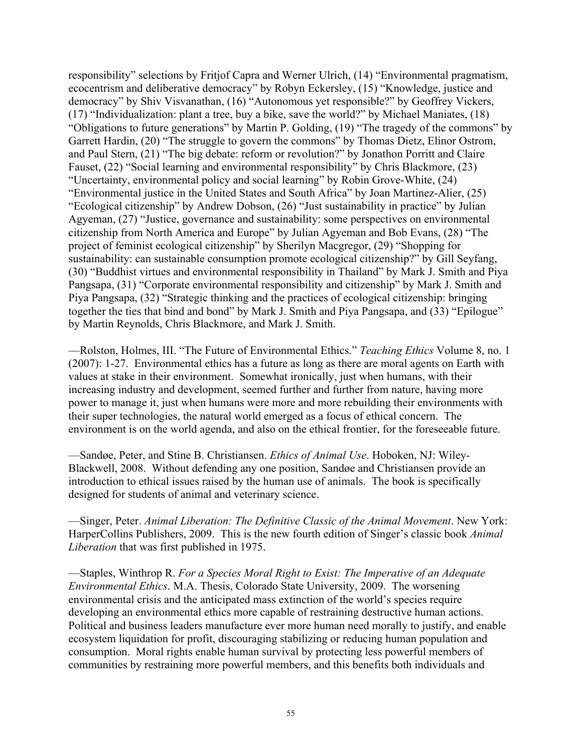responsibility" selections by Fritjof Capra and Werner Ulrich, (14) "Environmental pragmatism, ecocentrism and deliberative democracy" by Robyn Eckersley, (15) "Knowledge, justice and democracy" by Shiv Visvanathan, (16) "Autonomous yet responsible?" by Geoffrey Vickers, (17) "Individualization: plant a tree, buy a bike, save the world?" by Michael Maniates, (18) "Obligations to future generations" by Martin P. Golding, (19) "The tragedy of the commons" by Garrett Hardin, (20) "The struggle to govern the commons" by Thomas Dietz, Elinor Ostrom, and Paul Stern, (21) "The big debate: reform or revolution?" by Jonathon Porritt and Claire Fauset, (22) "Social learning and environmental responsibility" by Chris Blackmore, (23) "Uncertainty, environmental policy and social learning" by Robin Grove-White, (24) "Environmental justice in the United States and South Africa" by Joan Martinez-Alier, (25) "Ecological citizenship" by Andrew Dobson, (26) "Just sustainability in practice" by Julian Agyeman, (27) "Justice, governance and sustainability: some perspectives on environmental citizenship from North America and Europe" by Julian Agyeman and Bob Evans, (28) "The project of feminist ecological citizenship" by Sherilyn Macgregor, (29) "Shopping for sustainability: can sustainable consumption promote ecological citizenship?" by Gill Seyfang, (30) "Buddhist virtues and environmental responsibility in Thailand" by Mark J. Smith and Piya Pangsapa, (31) "Corporate environmental responsibility and citizenship" by Mark J. Smith and Piya Pangsapa, (32) "Strategic thinking and the practices of ecological citizenship: bringing together the ties that bind and bond" by Mark J. Smith and Piya Pangsapa, and (33) "Epilogue" by Martin Reynolds, Chris Blackmore, and Mark J. Smith.

—Rolston, Holmes, III. "The Future of Environmental Ethics." *Teaching Ethics* Volume 8, no. 1 (2007): 1-27. Environmental ethics has a future as long as there are moral agents on Earth with values at stake in their environment. Somewhat ironically, just when humans, with their increasing industry and development, seemed further and further from nature, having more power to manage it, just when humans were more and more rebuilding their environments with their super technologies, the natural world emerged as a focus of ethical concern. The environment is on the world agenda, and also on the ethical frontier, for the foreseeable future.

—Sandøe, Peter, and Stine B. Christiansen. *Ethics of Animal Use*. Hoboken, NJ: Wiley-Blackwell, 2008. Without defending any one position, Sandøe and Christiansen provide an introduction to ethical issues raised by the human use of animals. The book is specifically designed for students of animal and veterinary science.

––Singer, Peter. *Animal Liberation: The Definitive Classic of the Animal Movement*. New York: HarperCollins Publishers, 2009. This is the new fourth edition of Singer's classic book *Animal Liberation* that was first published in 1975.

—Staples, Winthrop R. *For a Species Moral Right to Exist: The Imperative of an Adequate Environmental Ethics*. M.A. Thesis, Colorado State University, 2009. The worsening environmental crisis and the anticipated mass extinction of the world's species require developing an environmental ethics more capable of restraining destructive human actions. Political and business leaders manufacture ever more human need morally to justify, and enable ecosystem liquidation for profit, discouraging stabilizing or reducing human population and consumption. Moral rights enable human survival by protecting less powerful members of communities by restraining more powerful members, and this benefits both individuals and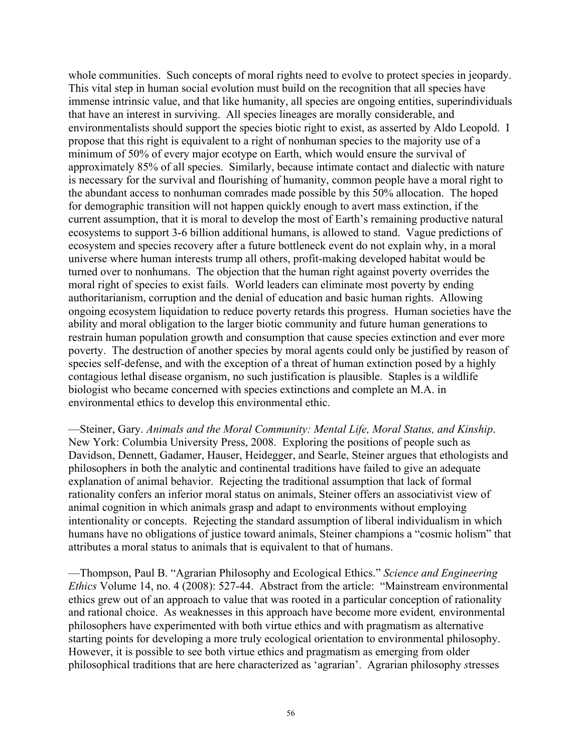whole communities. Such concepts of moral rights need to evolve to protect species in jeopardy. This vital step in human social evolution must build on the recognition that all species have immense intrinsic value, and that like humanity, all species are ongoing entities, superindividuals that have an interest in surviving. All species lineages are morally considerable, and environmentalists should support the species biotic right to exist, as asserted by Aldo Leopold. I propose that this right is equivalent to a right of nonhuman species to the majority use of a minimum of 50% of every major ecotype on Earth, which would ensure the survival of approximately 85% of all species. Similarly, because intimate contact and dialectic with nature is necessary for the survival and flourishing of humanity, common people have a moral right to the abundant access to nonhuman comrades made possible by this 50% allocation. The hoped for demographic transition will not happen quickly enough to avert mass extinction, if the current assumption, that it is moral to develop the most of Earth's remaining productive natural ecosystems to support 3-6 billion additional humans, is allowed to stand. Vague predictions of ecosystem and species recovery after a future bottleneck event do not explain why, in a moral universe where human interests trump all others, profit-making developed habitat would be turned over to nonhumans. The objection that the human right against poverty overrides the moral right of species to exist fails. World leaders can eliminate most poverty by ending authoritarianism, corruption and the denial of education and basic human rights. Allowing ongoing ecosystem liquidation to reduce poverty retards this progress. Human societies have the ability and moral obligation to the larger biotic community and future human generations to restrain human population growth and consumption that cause species extinction and ever more poverty. The destruction of another species by moral agents could only be justified by reason of species self-defense, and with the exception of a threat of human extinction posed by a highly contagious lethal disease organism, no such justification is plausible. Staples is a wildlife biologist who became concerned with species extinctions and complete an M.A. in environmental ethics to develop this environmental ethic.

—Steiner, Gary. *Animals and the Moral Community: Mental Life, Moral Status, and Kinship*. New York: Columbia University Press, 2008. Exploring the positions of people such as Davidson, Dennett, Gadamer, Hauser, Heidegger, and Searle, Steiner argues that ethologists and philosophers in both the analytic and continental traditions have failed to give an adequate explanation of animal behavior. Rejecting the traditional assumption that lack of formal rationality confers an inferior moral status on animals, Steiner offers an associativist view of animal cognition in which animals grasp and adapt to environments without employing intentionality or concepts. Rejecting the standard assumption of liberal individualism in which humans have no obligations of justice toward animals, Steiner champions a "cosmic holism" that attributes a moral status to animals that is equivalent to that of humans.

—Thompson, Paul B. "Agrarian Philosophy and Ecological Ethics." *Science and Engineering Ethics* Volume 14, no. 4 (2008): 527-44. Abstract from the article: "Mainstream environmental ethics grew out of an approach to value that was rooted in a particular conception of rationality and rational choice. As weaknesses in this approach have become more evident*,* environmental philosophers have experimented with both virtue ethics and with pragmatism as alternative starting points for developing a more truly ecological orientation to environmental philosophy. However, it is possible to see both virtue ethics and pragmatism as emerging from older philosophical traditions that are here characterized as 'agrarian'. Agrarian philosophy *s*tresses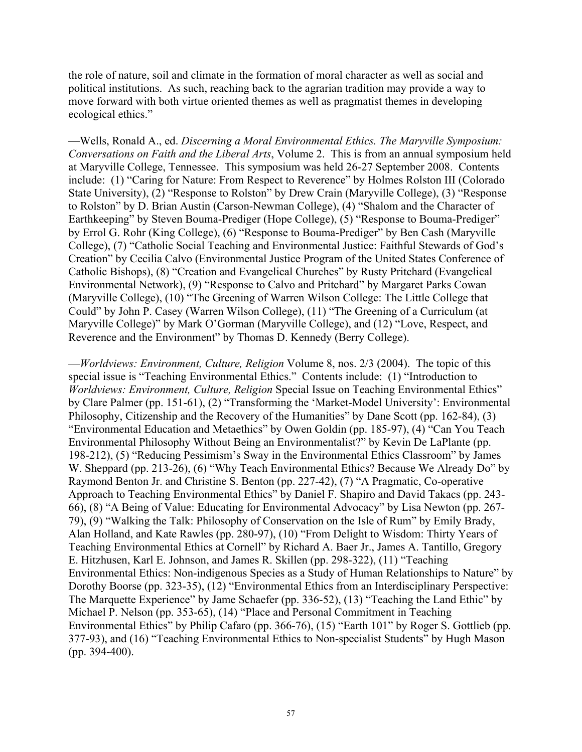the role of nature, soil and climate in the formation of moral character as well as social and political institutions. As such, reaching back to the agrarian tradition may provide a way to move forward with both virtue oriented themes as well as pragmatist themes in developing ecological ethics."

—Wells, Ronald A., ed. *Discerning a Moral Environmental Ethics. The Maryville Symposium: Conversations on Faith and the Liberal Arts*, Volume 2. This is from an annual symposium held at Maryville College, Tennessee. This symposium was held 26-27 September 2008. Contents include: (1) "Caring for Nature: From Respect to Reverence" by Holmes Rolston III (Colorado State University), (2) "Response to Rolston" by Drew Crain (Maryville College), (3) "Response to Rolston" by D. Brian Austin (Carson-Newman College), (4) "Shalom and the Character of Earthkeeping" by Steven Bouma-Prediger (Hope College), (5) "Response to Bouma-Prediger" by Errol G. Rohr (King College), (6) "Response to Bouma-Prediger" by Ben Cash (Maryville College), (7) "Catholic Social Teaching and Environmental Justice: Faithful Stewards of God's Creation" by Cecilia Calvo (Environmental Justice Program of the United States Conference of Catholic Bishops), (8) "Creation and Evangelical Churches" by Rusty Pritchard (Evangelical Environmental Network), (9) "Response to Calvo and Pritchard" by Margaret Parks Cowan (Maryville College), (10) "The Greening of Warren Wilson College: The Little College that Could" by John P. Casey (Warren Wilson College), (11) "The Greening of a Curriculum (at Maryville College)" by Mark O'Gorman (Maryville College), and (12) "Love, Respect, and Reverence and the Environment" by Thomas D. Kennedy (Berry College).

—*Worldviews: Environment, Culture, Religion* Volume 8, nos. 2/3 (2004). The topic of this special issue is "Teaching Environmental Ethics." Contents include: (1) "Introduction to *Worldviews: Environment, Culture, Religion* Special Issue on Teaching Environmental Ethics" by Clare Palmer (pp. 151-61), (2) "Transforming the 'Market-Model University': Environmental Philosophy, Citizenship and the Recovery of the Humanities" by Dane Scott (pp. 162-84), (3) "Environmental Education and Metaethics" by Owen Goldin (pp. 185-97), (4) "Can You Teach Environmental Philosophy Without Being an Environmentalist?" by Kevin De LaPlante (pp. 198-212), (5) "Reducing Pessimism's Sway in the Environmental Ethics Classroom" by James W. Sheppard (pp. 213-26), (6) "Why Teach Environmental Ethics? Because We Already Do" by Raymond Benton Jr. and Christine S. Benton (pp. 227-42), (7) "A Pragmatic, Co-operative Approach to Teaching Environmental Ethics" by Daniel F. Shapiro and David Takacs (pp. 243- 66), (8) "A Being of Value: Educating for Environmental Advocacy" by Lisa Newton (pp. 267- 79), (9) "Walking the Talk: Philosophy of Conservation on the Isle of Rum" by Emily Brady, Alan Holland, and Kate Rawles (pp. 280-97), (10) "From Delight to Wisdom: Thirty Years of Teaching Environmental Ethics at Cornell" by Richard A. Baer Jr., James A. Tantillo, Gregory E. Hitzhusen, Karl E. Johnson, and James R. Skillen (pp. 298-322), (11) "Teaching Environmental Ethics: Non-indigenous Species as a Study of Human Relationships to Nature" by Dorothy Boorse (pp. 323-35), (12) "Environmental Ethics from an Interdisciplinary Perspective: The Marquette Experience" by Jame Schaefer (pp. 336-52), (13) "Teaching the Land Ethic" by Michael P. Nelson (pp. 353-65), (14) "Place and Personal Commitment in Teaching Environmental Ethics" by Philip Cafaro (pp. 366-76), (15) "Earth 101" by Roger S. Gottlieb (pp. 377-93), and (16) "Teaching Environmental Ethics to Non-specialist Students" by Hugh Mason (pp. 394-400).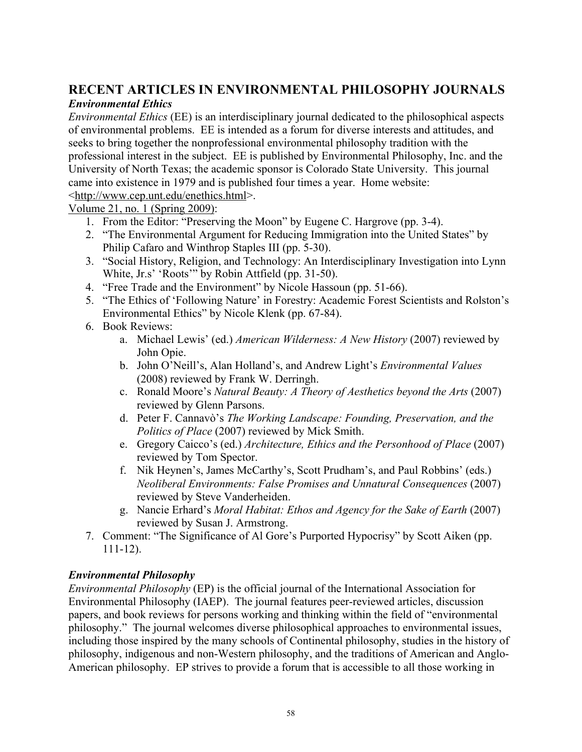## **RECENT ARTICLES IN ENVIRONMENTAL PHILOSOPHY JOURNALS** *Environmental Ethics*

*Environmental Ethics* (EE) is an interdisciplinary journal dedicated to the philosophical aspects of environmental problems. EE is intended as a forum for diverse interests and attitudes, and seeks to bring together the nonprofessional environmental philosophy tradition with the professional interest in the subject. EE is published by Environmental Philosophy, Inc. and the University of North Texas; the academic sponsor is Colorado State University. This journal came into existence in 1979 and is published four times a year. Home website:

<http://www.cep.unt.edu/enethics.html>.

Volume 21, no. 1 (Spring 2009):

- 1. From the Editor: "Preserving the Moon" by Eugene C. Hargrove (pp. 3-4).
- 2. "The Environmental Argument for Reducing Immigration into the United States" by Philip Cafaro and Winthrop Staples III (pp. 5-30).
- 3. "Social History, Religion, and Technology: An Interdisciplinary Investigation into Lynn White, Jr.s' 'Roots'" by Robin Attfield (pp. 31-50).
- 4. "Free Trade and the Environment" by Nicole Hassoun (pp. 51-66).
- 5. "The Ethics of 'Following Nature' in Forestry: Academic Forest Scientists and Rolston's Environmental Ethics" by Nicole Klenk (pp. 67-84).
- 6. Book Reviews:
	- a. Michael Lewis' (ed.) *American Wilderness: A New History* (2007) reviewed by John Opie.
	- b. John O'Neill's, Alan Holland's, and Andrew Light's *Environmental Values* (2008) reviewed by Frank W. Derringh.
	- c. Ronald Moore's *Natural Beauty: A Theory of Aesthetics beyond the Arts* (2007) reviewed by Glenn Parsons.
	- d. Peter F. Cannavò's *The Working Landscape: Founding, Preservation, and the Politics of Place* (2007) reviewed by Mick Smith.
	- e. Gregory Caicco's (ed.) *Architecture, Ethics and the Personhood of Place* (2007) reviewed by Tom Spector.
	- f. Nik Heynen's, James McCarthy's, Scott Prudham's, and Paul Robbins' (eds.) *Neoliberal Environments: False Promises and Unnatural Consequences* (2007) reviewed by Steve Vanderheiden.
	- g. Nancie Erhard's *Moral Habitat: Ethos and Agency for the Sake of Earth* (2007) reviewed by Susan J. Armstrong.
- 7. Comment: "The Significance of Al Gore's Purported Hypocrisy" by Scott Aiken (pp. 111-12).

#### *Environmental Philosophy*

*Environmental Philosophy* (EP) is the official journal of the International Association for Environmental Philosophy (IAEP). The journal features peer-reviewed articles, discussion papers, and book reviews for persons working and thinking within the field of "environmental philosophy." The journal welcomes diverse philosophical approaches to environmental issues, including those inspired by the many schools of Continental philosophy, studies in the history of philosophy, indigenous and non-Western philosophy, and the traditions of American and Anglo-American philosophy. EP strives to provide a forum that is accessible to all those working in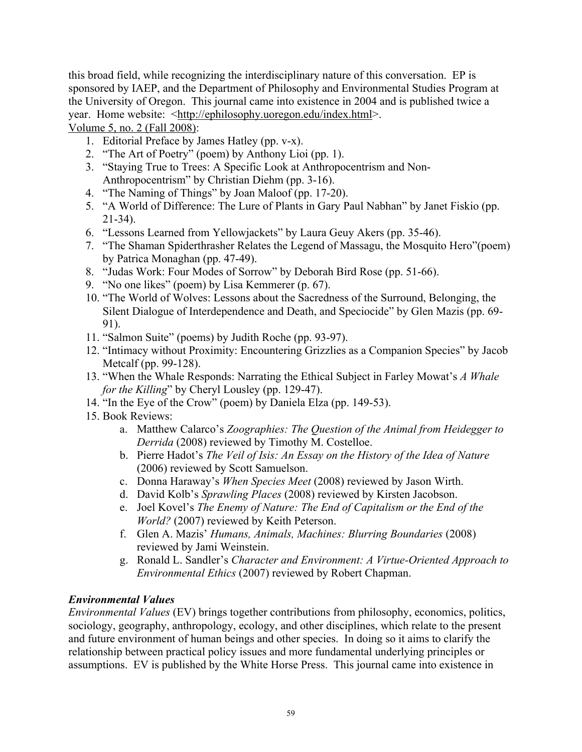this broad field, while recognizing the interdisciplinary nature of this conversation. EP is sponsored by IAEP, and the Department of Philosophy and Environmental Studies Program at the University of Oregon. This journal came into existence in 2004 and is published twice a year. Home website: <http://ephilosophy.uoregon.edu/index.html>.

Volume 5, no. 2 (Fall 2008):

- 1. Editorial Preface by James Hatley (pp. v-x).
- 2. "The Art of Poetry" (poem) by Anthony Lioi (pp. 1).
- 3. "Staying True to Trees: A Specific Look at Anthropocentrism and Non-Anthropocentrism" by Christian Diehm (pp. 3-16).
- 4. "The Naming of Things" by Joan Maloof (pp. 17-20).
- 5. "A World of Difference: The Lure of Plants in Gary Paul Nabhan" by Janet Fiskio (pp. 21-34).
- 6. "Lessons Learned from Yellowjackets" by Laura Geuy Akers (pp. 35-46).
- 7. "The Shaman Spiderthrasher Relates the Legend of Massagu, the Mosquito Hero"(poem) by Patrica Monaghan (pp. 47-49).
- 8. "Judas Work: Four Modes of Sorrow" by Deborah Bird Rose (pp. 51-66).
- 9. "No one likes" (poem) by Lisa Kemmerer (p. 67).
- 10. "The World of Wolves: Lessons about the Sacredness of the Surround, Belonging, the Silent Dialogue of Interdependence and Death, and Speciocide" by Glen Mazis (pp. 69- 91).
- 11. "Salmon Suite" (poems) by Judith Roche (pp. 93-97).
- 12. "Intimacy without Proximity: Encountering Grizzlies as a Companion Species" by Jacob Metcalf (pp. 99-128).
- 13. "When the Whale Responds: Narrating the Ethical Subject in Farley Mowat's *A Whale for the Killing*" by Cheryl Lousley (pp. 129-47).
- 14. "In the Eye of the Crow" (poem) by Daniela Elza (pp. 149-53).
- 15. Book Reviews:
	- a. Matthew Calarco's *Zoographies: The Question of the Animal from Heidegger to Derrida* (2008) reviewed by Timothy M. Costelloe.
	- b. Pierre Hadot's *The Veil of Isis: An Essay on the History of the Idea of Nature* (2006) reviewed by Scott Samuelson.
	- c. Donna Haraway's *When Species Meet* (2008) reviewed by Jason Wirth.
	- d. David Kolb's *Sprawling Places* (2008) reviewed by Kirsten Jacobson.
	- e. Joel Kovel's *The Enemy of Nature: The End of Capitalism or the End of the World?* (2007) reviewed by Keith Peterson.
	- f. Glen A. Mazis' *Humans, Animals, Machines: Blurring Boundaries* (2008) reviewed by Jami Weinstein.
	- g. Ronald L. Sandler's *Character and Environment: A Virtue-Oriented Approach to Environmental Ethics* (2007) reviewed by Robert Chapman.

# *Environmental Values*

*Environmental Values* (EV) brings together contributions from philosophy, economics, politics, sociology, geography, anthropology, ecology, and other disciplines, which relate to the present and future environment of human beings and other species. In doing so it aims to clarify the relationship between practical policy issues and more fundamental underlying principles or assumptions. EV is published by the White Horse Press. This journal came into existence in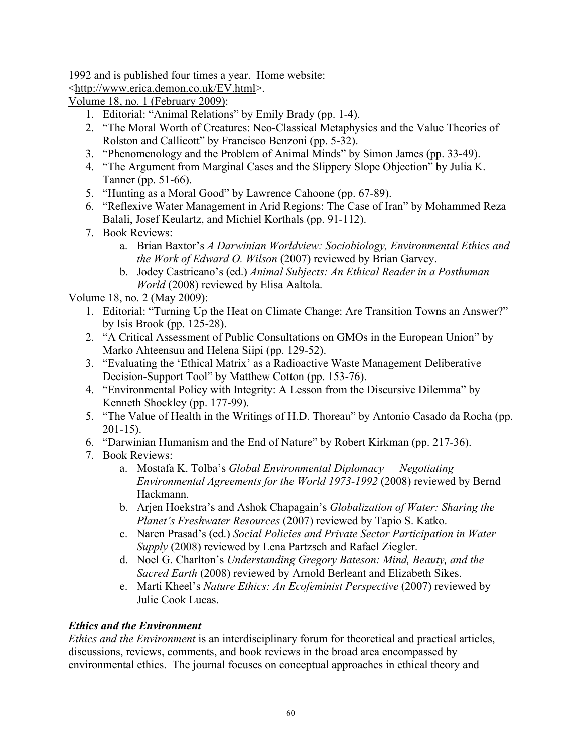1992 and is published four times a year. Home website:

<http://www.erica.demon.co.uk/EV.html>.

Volume 18, no. 1 (February 2009):

- 1. Editorial: "Animal Relations" by Emily Brady (pp. 1-4).
- 2. "The Moral Worth of Creatures: Neo-Classical Metaphysics and the Value Theories of Rolston and Callicott" by Francisco Benzoni (pp. 5-32).
- 3. "Phenomenology and the Problem of Animal Minds" by Simon James (pp. 33-49).
- 4. "The Argument from Marginal Cases and the Slippery Slope Objection" by Julia K. Tanner (pp. 51-66).
- 5. "Hunting as a Moral Good" by Lawrence Cahoone (pp. 67-89).
- 6. "Reflexive Water Management in Arid Regions: The Case of Iran" by Mohammed Reza Balali, Josef Keulartz, and Michiel Korthals (pp. 91-112).
- 7. Book Reviews:
	- a. Brian Baxtor's *A Darwinian Worldview: Sociobiology, Environmental Ethics and the Work of Edward O. Wilson* (2007) reviewed by Brian Garvey.
	- b. Jodey Castricano's (ed.) *Animal Subjects: An Ethical Reader in a Posthuman World* (2008) reviewed by Elisa Aaltola.

Volume 18, no. 2 (May 2009):

- 1. Editorial: "Turning Up the Heat on Climate Change: Are Transition Towns an Answer?" by Isis Brook (pp. 125-28).
- 2. "A Critical Assessment of Public Consultations on GMOs in the European Union" by Marko Ahteensuu and Helena Siipi (pp. 129-52).
- 3. "Evaluating the 'Ethical Matrix' as a Radioactive Waste Management Deliberative Decision-Support Tool" by Matthew Cotton (pp. 153-76).
- 4. "Environmental Policy with Integrity: A Lesson from the Discursive Dilemma" by Kenneth Shockley (pp. 177-99).
- 5. "The Value of Health in the Writings of H.D. Thoreau" by Antonio Casado da Rocha (pp. 201-15).
- 6. "Darwinian Humanism and the End of Nature" by Robert Kirkman (pp. 217-36).
- 7. Book Reviews:
	- a. Mostafa K. Tolba's *Global Environmental Diplomacy Negotiating Environmental Agreements for the World 1973-1992* (2008) reviewed by Bernd Hackmann.
	- b. Arjen Hoekstra's and Ashok Chapagain's *Globalization of Water: Sharing the Planet's Freshwater Resources* (2007) reviewed by Tapio S. Katko.
	- c. Naren Prasad's (ed.) *Social Policies and Private Sector Participation in Water Supply* (2008) reviewed by Lena Partzsch and Rafael Ziegler.
	- d. Noel G. Charlton's *Understanding Gregory Bateson: Mind, Beauty, and the Sacred Earth* (2008) reviewed by Arnold Berleant and Elizabeth Sikes.
	- e. Marti Kheel's *Nature Ethics: An Ecofeminist Perspective* (2007) reviewed by Julie Cook Lucas.

# *Ethics and the Environment*

*Ethics and the Environment* is an interdisciplinary forum for theoretical and practical articles, discussions, reviews, comments, and book reviews in the broad area encompassed by environmental ethics. The journal focuses on conceptual approaches in ethical theory and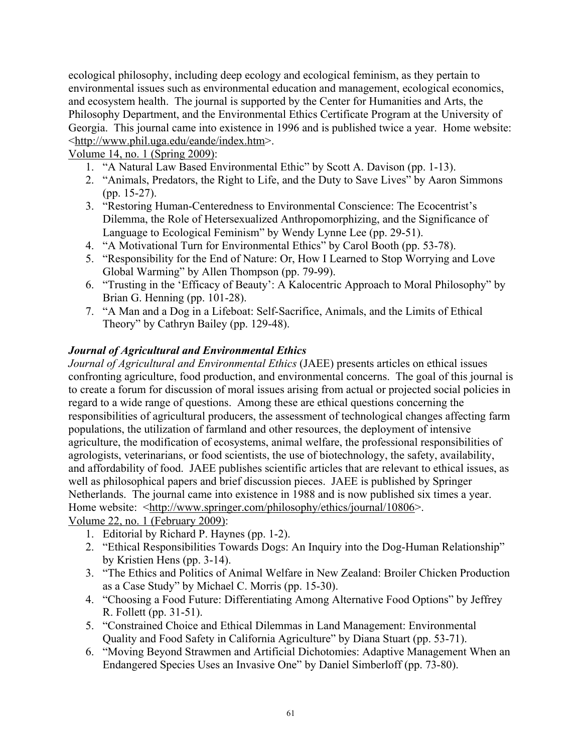ecological philosophy, including deep ecology and ecological feminism, as they pertain to environmental issues such as environmental education and management, ecological economics, and ecosystem health. The journal is supported by the Center for Humanities and Arts, the Philosophy Department, and the Environmental Ethics Certificate Program at the University of Georgia. This journal came into existence in 1996 and is published twice a year. Home website: <http://www.phil.uga.edu/eande/index.htm>.

### Volume 14, no. 1 (Spring 2009):

- 1. "A Natural Law Based Environmental Ethic" by Scott A. Davison (pp. 1-13).
- 2. "Animals, Predators, the Right to Life, and the Duty to Save Lives" by Aaron Simmons (pp. 15-27).
- 3. "Restoring Human-Centeredness to Environmental Conscience: The Ecocentrist's Dilemma, the Role of Hetersexualized Anthropomorphizing, and the Significance of Language to Ecological Feminism" by Wendy Lynne Lee (pp. 29-51).
- 4. "A Motivational Turn for Environmental Ethics" by Carol Booth (pp. 53-78).
- 5. "Responsibility for the End of Nature: Or, How I Learned to Stop Worrying and Love Global Warming" by Allen Thompson (pp. 79-99).
- 6. "Trusting in the 'Efficacy of Beauty': A Kalocentric Approach to Moral Philosophy" by Brian G. Henning (pp. 101-28).
- 7. "A Man and a Dog in a Lifeboat: Self-Sacrifice, Animals, and the Limits of Ethical Theory" by Cathryn Bailey (pp. 129-48).

## *Journal of Agricultural and Environmental Ethics*

*Journal of Agricultural and Environmental Ethics* (JAEE) presents articles on ethical issues confronting agriculture, food production, and environmental concerns. The goal of this journal is to create a forum for discussion of moral issues arising from actual or projected social policies in regard to a wide range of questions. Among these are ethical questions concerning the responsibilities of agricultural producers, the assessment of technological changes affecting farm populations, the utilization of farmland and other resources, the deployment of intensive agriculture, the modification of ecosystems, animal welfare, the professional responsibilities of agrologists, veterinarians, or food scientists, the use of biotechnology, the safety, availability, and affordability of food. JAEE publishes scientific articles that are relevant to ethical issues, as well as philosophical papers and brief discussion pieces. JAEE is published by Springer Netherlands. The journal came into existence in 1988 and is now published six times a year. Home website: <http://www.springer.com/philosophy/ethics/journal/10806>.

Volume 22, no. 1 (February 2009):

- 1. Editorial by Richard P. Haynes (pp. 1-2).
- 2. "Ethical Responsibilities Towards Dogs: An Inquiry into the Dog-Human Relationship" by Kristien Hens (pp. 3-14).
- 3. "The Ethics and Politics of Animal Welfare in New Zealand: Broiler Chicken Production as a Case Study" by Michael C. Morris (pp. 15-30).
- 4. "Choosing a Food Future: Differentiating Among Alternative Food Options" by Jeffrey R. Follett (pp. 31-51).
- 5. "Constrained Choice and Ethical Dilemmas in Land Management: Environmental Quality and Food Safety in California Agriculture" by Diana Stuart (pp. 53-71).
- 6. "Moving Beyond Strawmen and Artificial Dichotomies: Adaptive Management When an Endangered Species Uses an Invasive One" by Daniel Simberloff (pp. 73-80).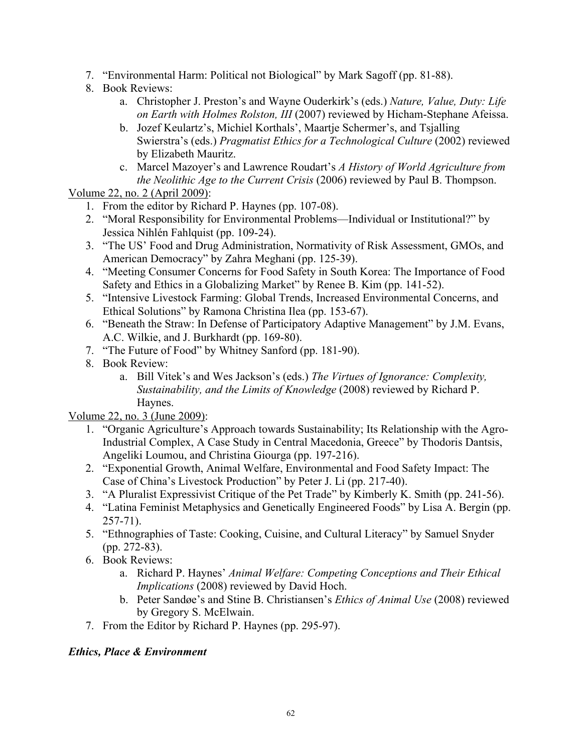- 7. "Environmental Harm: Political not Biological" by Mark Sagoff (pp. 81-88).
- 8. Book Reviews:
	- a. Christopher J. Preston's and Wayne Ouderkirk's (eds.) *Nature, Value, Duty: Life on Earth with Holmes Rolston, III* (2007) reviewed by Hicham-Stephane Afeissa.
	- b. Jozef Keulartz's, Michiel Korthals', Maartje Schermer's, and Tsjalling Swierstra's (eds.) *Pragmatist Ethics for a Technological Culture* (2002) reviewed by Elizabeth Mauritz.
	- c. Marcel Mazoyer's and Lawrence Roudart's *A History of World Agriculture from the Neolithic Age to the Current Crisis* (2006) reviewed by Paul B. Thompson.

Volume 22, no. 2 (April 2009):

- 1. From the editor by Richard P. Haynes (pp. 107-08).
- 2. "Moral Responsibility for Environmental Problems—Individual or Institutional?" by Jessica Nihlén Fahlquist (pp. 109-24).
- 3. "The US' Food and Drug Administration, Normativity of Risk Assessment, GMOs, and American Democracy" by Zahra Meghani (pp. 125-39).
- 4. "Meeting Consumer Concerns for Food Safety in South Korea: The Importance of Food Safety and Ethics in a Globalizing Market" by Renee B. Kim (pp. 141-52).
- 5. "Intensive Livestock Farming: Global Trends, Increased Environmental Concerns, and Ethical Solutions" by Ramona Christina Ilea (pp. 153-67).
- 6. "Beneath the Straw: In Defense of Participatory Adaptive Management" by J.M. Evans, A.C. Wilkie, and J. Burkhardt (pp. 169-80).
- 7. "The Future of Food" by Whitney Sanford (pp. 181-90).
- 8. Book Review:
	- a. Bill Vitek's and Wes Jackson's (eds.) *The Virtues of Ignorance: Complexity, Sustainability, and the Limits of Knowledge* (2008) reviewed by Richard P. Haynes.

## Volume 22, no. 3 (June 2009):

- 1. "Organic Agriculture's Approach towards Sustainability; Its Relationship with the Agro-Industrial Complex, A Case Study in Central Macedonia, Greece" by Thodoris Dantsis, Angeliki Loumou, and Christina Giourga (pp. 197-216).
- 2. "Exponential Growth, Animal Welfare, Environmental and Food Safety Impact: The Case of China's Livestock Production" by Peter J. Li (pp. 217-40).
- 3. "A Pluralist Expressivist Critique of the Pet Trade" by Kimberly K. Smith (pp. 241-56).
- 4. "Latina Feminist Metaphysics and Genetically Engineered Foods" by Lisa A. Bergin (pp.  $257 - 71$ ).
- 5. "Ethnographies of Taste: Cooking, Cuisine, and Cultural Literacy" by Samuel Snyder (pp. 272-83).
- 6. Book Reviews:
	- a. Richard P. Haynes' *Animal Welfare: Competing Conceptions and Their Ethical Implications* (2008) reviewed by David Hoch.
	- b. Peter Sandøe's and Stine B. Christiansen's *Ethics of Animal Use* (2008) reviewed by Gregory S. McElwain.
- 7. From the Editor by Richard P. Haynes (pp. 295-97).

#### *Ethics, Place & Environment*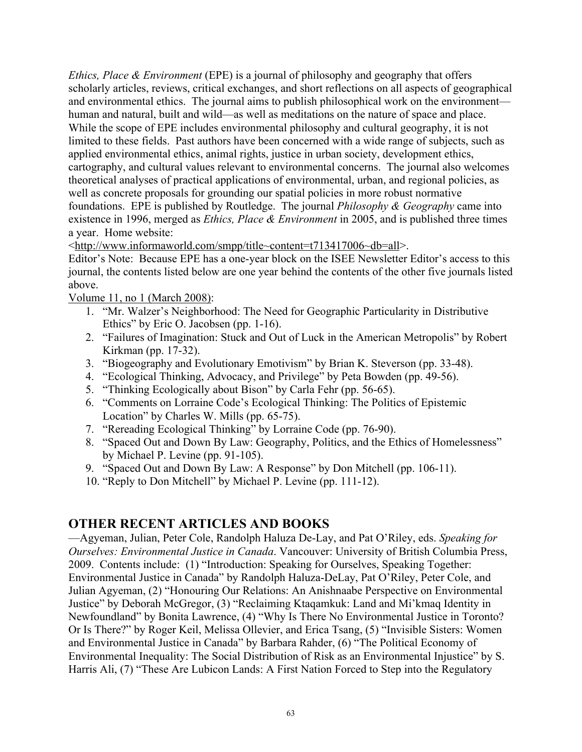*Ethics, Place & Environment* (EPE) is a journal of philosophy and geography that offers scholarly articles, reviews, critical exchanges, and short reflections on all aspects of geographical and environmental ethics. The journal aims to publish philosophical work on the environment human and natural, built and wild—as well as meditations on the nature of space and place. While the scope of EPE includes environmental philosophy and cultural geography, it is not limited to these fields. Past authors have been concerned with a wide range of subjects, such as applied environmental ethics, animal rights, justice in urban society, development ethics, cartography, and cultural values relevant to environmental concerns. The journal also welcomes theoretical analyses of practical applications of environmental, urban, and regional policies, as well as concrete proposals for grounding our spatial policies in more robust normative foundations. EPE is published by Routledge. The journal *Philosophy & Geography* came into existence in 1996, merged as *Ethics, Place & Environment* in 2005, and is published three times a year. Home website:

<http://www.informaworld.com/smpp/title~content=t713417006~db=all>.

Editor's Note: Because EPE has a one-year block on the ISEE Newsletter Editor's access to this journal, the contents listed below are one year behind the contents of the other five journals listed above.

Volume 11, no 1 (March 2008):

- 1. "Mr. Walzer's Neighborhood: The Need for Geographic Particularity in Distributive Ethics" by Eric O. Jacobsen (pp. 1-16).
- 2. "Failures of Imagination: Stuck and Out of Luck in the American Metropolis" by Robert Kirkman (pp. 17-32).
- 3. "Biogeography and Evolutionary Emotivism" by Brian K. Steverson (pp. 33-48).
- 4. "Ecological Thinking, Advocacy, and Privilege" by Peta Bowden (pp. 49-56).
- 5. "Thinking Ecologically about Bison" by Carla Fehr (pp. 56-65).
- 6. "Comments on Lorraine Code's Ecological Thinking: The Politics of Epistemic Location" by Charles W. Mills (pp. 65-75).
- 7. "Rereading Ecological Thinking" by Lorraine Code (pp. 76-90).
- 8. "Spaced Out and Down By Law: Geography, Politics, and the Ethics of Homelessness" by Michael P. Levine (pp. 91-105).
- 9. "Spaced Out and Down By Law: A Response" by Don Mitchell (pp. 106-11).
- 10. "Reply to Don Mitchell" by Michael P. Levine (pp. 111-12).

# **OTHER RECENT ARTICLES AND BOOKS**

—Agyeman, Julian, Peter Cole, Randolph Haluza De-Lay, and Pat O'Riley, eds. *Speaking for Ourselves: Environmental Justice in Canada*. Vancouver: University of British Columbia Press, 2009. Contents include: (1) "Introduction: Speaking for Ourselves, Speaking Together: Environmental Justice in Canada" by Randolph Haluza-DeLay, Pat O'Riley, Peter Cole, and Julian Agyeman, (2) "Honouring Our Relations: An Anishnaabe Perspective on Environmental Justice" by Deborah McGregor, (3) "Reclaiming Ktaqamkuk: Land and Mi'kmaq Identity in Newfoundland" by Bonita Lawrence, (4) "Why Is There No Environmental Justice in Toronto? Or Is There?" by Roger Keil, Melissa Ollevier, and Erica Tsang, (5) "Invisible Sisters: Women and Environmental Justice in Canada" by Barbara Rahder, (6) "The Political Economy of Environmental Inequality: The Social Distribution of Risk as an Environmental Injustice" by S. Harris Ali, (7) "These Are Lubicon Lands: A First Nation Forced to Step into the Regulatory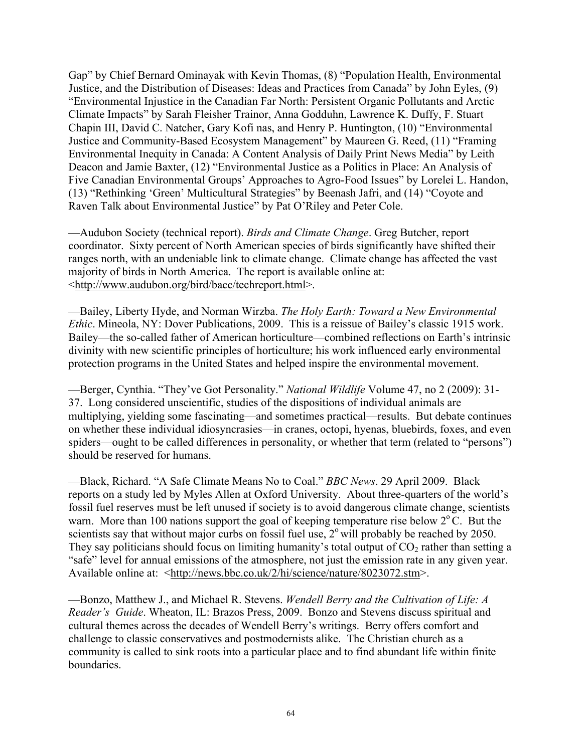Gap" by Chief Bernard Ominayak with Kevin Thomas, (8) "Population Health, Environmental Justice, and the Distribution of Diseases: Ideas and Practices from Canada" by John Eyles, (9) "Environmental Injustice in the Canadian Far North: Persistent Organic Pollutants and Arctic Climate Impacts" by Sarah Fleisher Trainor, Anna Godduhn, Lawrence K. Duffy, F. Stuart Chapin III, David C. Natcher, Gary Kofi nas, and Henry P. Huntington, (10) "Environmental Justice and Community-Based Ecosystem Management" by Maureen G. Reed, (11) "Framing Environmental Inequity in Canada: A Content Analysis of Daily Print News Media" by Leith Deacon and Jamie Baxter, (12) "Environmental Justice as a Politics in Place: An Analysis of Five Canadian Environmental Groups' Approaches to Agro-Food Issues" by Lorelei L. Handon, (13) "Rethinking 'Green' Multicultural Strategies" by Beenash Jafri, and (14) "Coyote and Raven Talk about Environmental Justice" by Pat O'Riley and Peter Cole.

—Audubon Society (technical report). *Birds and Climate Change*. Greg Butcher, report coordinator. Sixty percent of North American species of birds significantly have shifted their ranges north, with an undeniable link to climate change. Climate change has affected the vast majority of birds in North America. The report is available online at: <http://www.audubon.org/bird/bacc/techreport.html>.

—Bailey, Liberty Hyde, and Norman Wirzba. *The Holy Earth: Toward a New Environmental Ethic*. Mineola, NY: Dover Publications, 2009. This is a reissue of Bailey's classic 1915 work. Bailey—the so-called father of American horticulture—combined reflections on Earth's intrinsic divinity with new scientific principles of horticulture; his work influenced early environmental protection programs in the United States and helped inspire the environmental movement.

—Berger, Cynthia. "They've Got Personality." *National Wildlife* Volume 47, no 2 (2009): 31- 37. Long considered unscientific, studies of the dispositions of individual animals are multiplying, yielding some fascinating—and sometimes practical—results. But debate continues on whether these individual idiosyncrasies—in cranes, octopi, hyenas, bluebirds, foxes, and even spiders—ought to be called differences in personality, or whether that term (related to "persons") should be reserved for humans.

—Black, Richard. "A Safe Climate Means No to Coal." *BBC News*. 29 April 2009. Black reports on a study led by Myles Allen at Oxford University. About three-quarters of the world's fossil fuel reserves must be left unused if society is to avoid dangerous climate change, scientists warn. More than 100 nations support the goal of keeping temperature rise below  $2^{\circ}$ C. But the scientists say that without major curbs on fossil fuel use,  $2^{\circ}$  will probably be reached by 2050. They say politicians should focus on limiting humanity's total output of  $CO<sub>2</sub>$  rather than setting a "safe" level for annual emissions of the atmosphere, not just the emission rate in any given year. Available online at: <http://news.bbc.co.uk/2/hi/science/nature/8023072.stm>.

—Bonzo, Matthew J., and Michael R. Stevens. *Wendell Berry and the Cultivation of Life: A Reader's Guide*. Wheaton, IL: Brazos Press, 2009. Bonzo and Stevens discuss spiritual and cultural themes across the decades of Wendell Berry's writings. Berry offers comfort and challenge to classic conservatives and postmodernists alike. The Christian church as a community is called to sink roots into a particular place and to find abundant life within finite boundaries.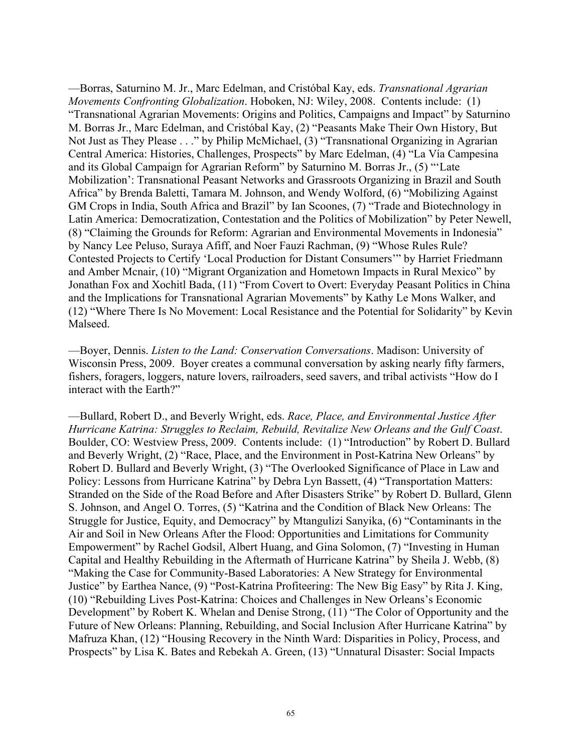—Borras, Saturnino M. Jr., Marc Edelman, and Cristóbal Kay, eds. *Transnational Agrarian Movements Confronting Globalization*. Hoboken, NJ: Wiley, 2008. Contents include: (1) "Transnational Agrarian Movements: Origins and Politics, Campaigns and Impact" by Saturnino M. Borras Jr., Marc Edelman, and Cristóbal Kay, (2) "Peasants Make Their Own History, But Not Just as They Please . . ." by Philip McMichael, (3) "Transnational Organizing in Agrarian Central America: Histories, Challenges, Prospects" by Marc Edelman, (4) "La Vía Campesina and its Global Campaign for Agrarian Reform" by Saturnino M. Borras Jr., (5) "'Late Mobilization': Transnational Peasant Networks and Grassroots Organizing in Brazil and South Africa" by Brenda Baletti, Tamara M. Johnson, and Wendy Wolford, (6) "Mobilizing Against GM Crops in India, South Africa and Brazil" by Ian Scoones, (7) "Trade and Biotechnology in Latin America: Democratization, Contestation and the Politics of Mobilization" by Peter Newell, (8) "Claiming the Grounds for Reform: Agrarian and Environmental Movements in Indonesia" by Nancy Lee Peluso, Suraya Afiff, and Noer Fauzi Rachman, (9) "Whose Rules Rule? Contested Projects to Certify 'Local Production for Distant Consumers'" by Harriet Friedmann and Amber Mcnair, (10) "Migrant Organization and Hometown Impacts in Rural Mexico" by Jonathan Fox and Xochitl Bada, (11) "From Covert to Overt: Everyday Peasant Politics in China and the Implications for Transnational Agrarian Movements" by Kathy Le Mons Walker, and (12) "Where There Is No Movement: Local Resistance and the Potential for Solidarity" by Kevin Malseed.

—Boyer, Dennis. *Listen to the Land: Conservation Conversations*. Madison: University of Wisconsin Press, 2009. Boyer creates a communal conversation by asking nearly fifty farmers, fishers, foragers, loggers, nature lovers, railroaders, seed savers, and tribal activists "How do I interact with the Earth?"

—Bullard, Robert D., and Beverly Wright, eds. *Race, Place, and Environmental Justice After Hurricane Katrina: Struggles to Reclaim, Rebuild, Revitalize New Orleans and the Gulf Coast*. Boulder, CO: Westview Press, 2009. Contents include: (1) "Introduction" by Robert D. Bullard and Beverly Wright, (2) "Race, Place, and the Environment in Post-Katrina New Orleans" by Robert D. Bullard and Beverly Wright, (3) "The Overlooked Significance of Place in Law and Policy: Lessons from Hurricane Katrina" by Debra Lyn Bassett, (4) "Transportation Matters: Stranded on the Side of the Road Before and After Disasters Strike" by Robert D. Bullard, Glenn S. Johnson, and Angel O. Torres, (5) "Katrina and the Condition of Black New Orleans: The Struggle for Justice, Equity, and Democracy" by Mtangulizi Sanyika, (6) "Contaminants in the Air and Soil in New Orleans After the Flood: Opportunities and Limitations for Community Empowerment" by Rachel Godsil, Albert Huang, and Gina Solomon, (7) "Investing in Human Capital and Healthy Rebuilding in the Aftermath of Hurricane Katrina" by Sheila J. Webb, (8) "Making the Case for Community-Based Laboratories: A New Strategy for Environmental Justice" by Earthea Nance, (9) "Post-Katrina Profiteering: The New Big Easy" by Rita J. King, (10) "Rebuilding Lives Post-Katrina: Choices and Challenges in New Orleans's Economic Development" by Robert K. Whelan and Denise Strong, (11) "The Color of Opportunity and the Future of New Orleans: Planning, Rebuilding, and Social Inclusion After Hurricane Katrina" by Mafruza Khan, (12) "Housing Recovery in the Ninth Ward: Disparities in Policy, Process, and Prospects" by Lisa K. Bates and Rebekah A. Green, (13) "Unnatural Disaster: Social Impacts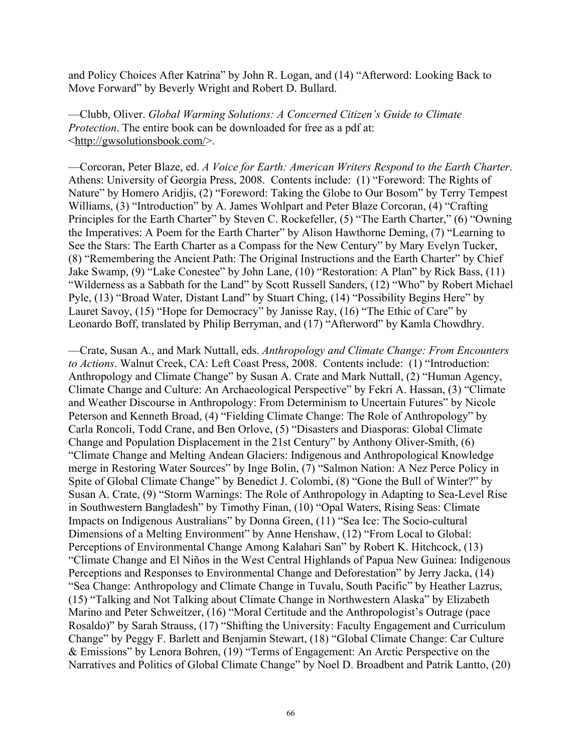and Policy Choices After Katrina" by John R. Logan, and (14) "Afterword: Looking Back to Move Forward" by Beverly Wright and Robert D. Bullard.

—Clubb, Oliver. *Global Warming Solutions: A Concerned Citizen's Guide to Climate Protection*. The entire book can be downloaded for free as a pdf at: <http://gwsolutionsbook.com/>.

—Corcoran, Peter Blaze, ed. *A Voice for Earth: American Writers Respond to the Earth Charter*. Athens: University of Georgia Press, 2008. Contents include: (1) "Foreword: The Rights of Nature" by Homero Aridjis, (2) "Foreword: Taking the Globe to Our Bosom" by Terry Tempest Williams, (3) "Introduction" by A. James Wohlpart and Peter Blaze Corcoran, (4) "Crafting Principles for the Earth Charter" by Steven C. Rockefeller, (5) "The Earth Charter," (6) "Owning the Imperatives: A Poem for the Earth Charter" by Alison Hawthorne Deming, (7) "Learning to See the Stars: The Earth Charter as a Compass for the New Century" by Mary Evelyn Tucker, (8) "Remembering the Ancient Path: The Original Instructions and the Earth Charter" by Chief Jake Swamp, (9) "Lake Conestee" by John Lane, (10) "Restoration: A Plan" by Rick Bass, (11) "Wilderness as a Sabbath for the Land" by Scott Russell Sanders, (12) "Who" by Robert Michael Pyle, (13) "Broad Water, Distant Land" by Stuart Ching, (14) "Possibility Begins Here" by Lauret Savoy, (15) "Hope for Democracy" by Janisse Ray, (16) "The Ethic of Care" by Leonardo Boff, translated by Philip Berryman, and (17) "Afterword" by Kamla Chowdhry.

—Crate, Susan A., and Mark Nuttall, eds. *Anthropology and Climate Change: From Encounters to Actions*. Walnut Creek, CA: Left Coast Press, 2008. Contents include: (1) "Introduction: Anthropology and Climate Change" by Susan A. Crate and Mark Nuttall, (2) "Human Agency, Climate Change and Culture: An Archaeological Perspective" by Fekri A. Hassan, (3) "Climate and Weather Discourse in Anthropology: From Determinism to Uncertain Futures" by Nicole Peterson and Kenneth Broad, (4) "Fielding Climate Change: The Role of Anthropology" by Carla Roncoli, Todd Crane, and Ben Orlove, (5) "Disasters and Diasporas: Global Climate Change and Population Displacement in the 21st Century" by Anthony Oliver-Smith, (6) "Climate Change and Melting Andean Glaciers: Indigenous and Anthropological Knowledge merge in Restoring Water Sources" by Inge Bolin, (7) "Salmon Nation: A Nez Perce Policy in Spite of Global Climate Change" by Benedict J. Colombi, (8) "Gone the Bull of Winter?" by Susan A. Crate, (9) "Storm Warnings: The Role of Anthropology in Adapting to Sea-Level Rise in Southwestern Bangladesh" by Timothy Finan, (10) "Opal Waters, Rising Seas: Climate Impacts on Indigenous Australians" by Donna Green, (11) "Sea Ice: The Socio-cultural Dimensions of a Melting Environment" by Anne Henshaw, (12) "From Local to Global: Perceptions of Environmental Change Among Kalahari San" by Robert K. Hitchcock, (13) "Climate Change and El Niños in the West Central Highlands of Papua New Guinea: Indigenous Perceptions and Responses to Environmental Change and Deforestation" by Jerry Jacka, (14) "Sea Change: Anthropology and Climate Change in Tuvalu, South Pacific" by Heather Lazrus, (15) "Talking and Not Talking about Climate Change in Northwestern Alaska" by Elizabeth Marino and Peter Schweitzer, (16) "Moral Certitude and the Anthropologist's Outrage (pace Rosaldo)" by Sarah Strauss, (17) "Shifting the University: Faculty Engagement and Curriculum Change" by Peggy F. Barlett and Benjamin Stewart, (18) "Global Climate Change: Car Culture & Emissions" by Lenora Bohren, (19) "Terms of Engagement: An Arctic Perspective on the Narratives and Politics of Global Climate Change" by Noel D. Broadbent and Patrik Lantto, (20)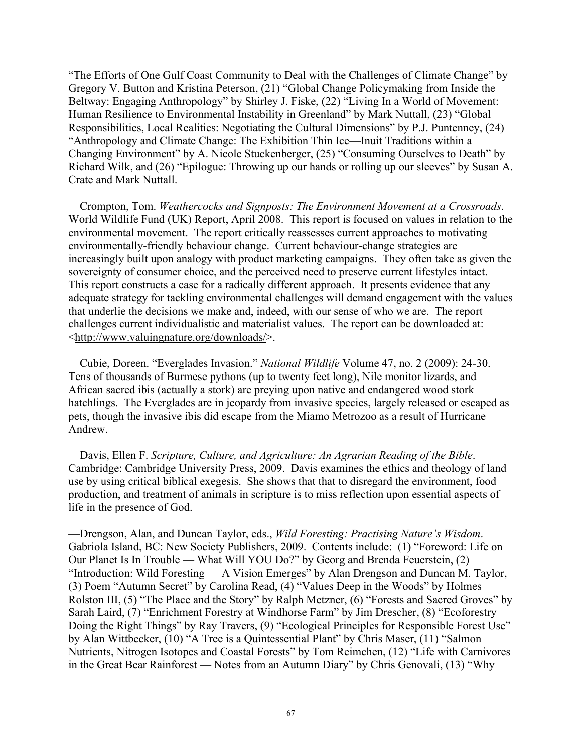"The Efforts of One Gulf Coast Community to Deal with the Challenges of Climate Change" by Gregory V. Button and Kristina Peterson, (21) "Global Change Policymaking from Inside the Beltway: Engaging Anthropology" by Shirley J. Fiske, (22) "Living In a World of Movement: Human Resilience to Environmental Instability in Greenland" by Mark Nuttall, (23) "Global Responsibilities, Local Realities: Negotiating the Cultural Dimensions" by P.J. Puntenney, (24) "Anthropology and Climate Change: The Exhibition Thin Ice—Inuit Traditions within a Changing Environment" by A. Nicole Stuckenberger, (25) "Consuming Ourselves to Death" by Richard Wilk, and (26) "Epilogue: Throwing up our hands or rolling up our sleeves" by Susan A. Crate and Mark Nuttall.

—Crompton, Tom. *Weathercocks and Signposts: The Environment Movement at a Crossroads*. World Wildlife Fund (UK) Report, April 2008. This report is focused on values in relation to the environmental movement. The report critically reassesses current approaches to motivating environmentally-friendly behaviour change. Current behaviour-change strategies are increasingly built upon analogy with product marketing campaigns. They often take as given the sovereignty of consumer choice, and the perceived need to preserve current lifestyles intact. This report constructs a case for a radically different approach. It presents evidence that any adequate strategy for tackling environmental challenges will demand engagement with the values that underlie the decisions we make and, indeed, with our sense of who we are. The report challenges current individualistic and materialist values. The report can be downloaded at: <http://www.valuingnature.org/downloads/>.

—Cubie, Doreen. "Everglades Invasion." *National Wildlife* Volume 47, no. 2 (2009): 24-30. Tens of thousands of Burmese pythons (up to twenty feet long), Nile monitor lizards, and African sacred ibis (actually a stork) are preying upon native and endangered wood stork hatchlings. The Everglades are in jeopardy from invasive species, largely released or escaped as pets, though the invasive ibis did escape from the Miamo Metrozoo as a result of Hurricane Andrew.

—Davis, Ellen F. *Scripture, Culture, and Agriculture: An Agrarian Reading of the Bible*. Cambridge: Cambridge University Press, 2009. Davis examines the ethics and theology of land use by using critical biblical exegesis. She shows that that to disregard the environment, food production, and treatment of animals in scripture is to miss reflection upon essential aspects of life in the presence of God.

—Drengson, Alan, and Duncan Taylor, eds., *Wild Foresting: Practising Nature's Wisdom*. Gabriola Island, BC: New Society Publishers, 2009. Contents include: (1) "Foreword: Life on Our Planet Is In Trouble — What Will YOU Do?" by Georg and Brenda Feuerstein, (2) "Introduction: Wild Foresting — A Vision Emerges" by Alan Drengson and Duncan M. Taylor, (3) Poem "Autumn Secret" by Carolina Read, (4) "Values Deep in the Woods" by Holmes Rolston III, (5) "The Place and the Story" by Ralph Metzner, (6) "Forests and Sacred Groves" by Sarah Laird, (7) "Enrichment Forestry at Windhorse Farm" by Jim Drescher, (8) "Ecoforestry — Doing the Right Things" by Ray Travers, (9) "Ecological Principles for Responsible Forest Use" by Alan Wittbecker, (10) "A Tree is a Quintessential Plant" by Chris Maser, (11) "Salmon Nutrients, Nitrogen Isotopes and Coastal Forests" by Tom Reimchen, (12) "Life with Carnivores in the Great Bear Rainforest — Notes from an Autumn Diary" by Chris Genovali, (13) "Why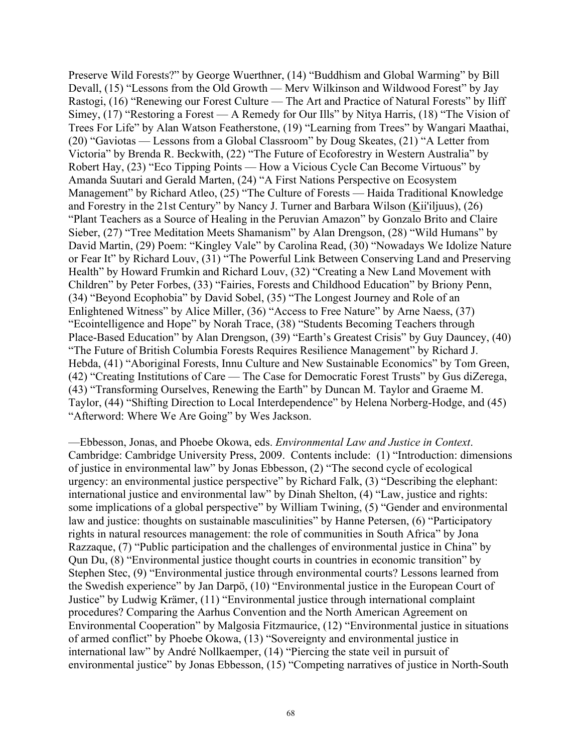Preserve Wild Forests?" by George Wuerthner, (14) "Buddhism and Global Warming" by Bill Devall, (15) "Lessons from the Old Growth — Merv Wilkinson and Wildwood Forest" by Jay Rastogi, (16) "Renewing our Forest Culture — The Art and Practice of Natural Forests" by Iliff Simey, (17) "Restoring a Forest — A Remedy for Our Ills" by Nitya Harris, (18) "The Vision of Trees For Life" by Alan Watson Featherstone, (19) "Learning from Trees" by Wangari Maathai, (20) "Gaviotas — Lessons from a Global Classroom" by Doug Skeates, (21) "A Letter from Victoria" by Brenda R. Beckwith, (22) "The Future of Ecoforestry in Western Australia" by Robert Hay, (23) "Eco Tipping Points — How a Vicious Cycle Can Become Virtuous" by Amanda Suutari and Gerald Marten, (24) "A First Nations Perspective on Ecosystem Management" by Richard Atleo, (25) "The Culture of Forests — Haida Traditional Knowledge and Forestry in the 21st Century" by Nancy J. Turner and Barbara Wilson (Kii'iljuus), (26) "Plant Teachers as a Source of Healing in the Peruvian Amazon" by Gonzalo Brito and Claire Sieber, (27) "Tree Meditation Meets Shamanism" by Alan Drengson, (28) "Wild Humans" by David Martin, (29) Poem: "Kingley Vale" by Carolina Read, (30) "Nowadays We Idolize Nature or Fear It" by Richard Louv, (31) "The Powerful Link Between Conserving Land and Preserving Health" by Howard Frumkin and Richard Louv, (32) "Creating a New Land Movement with Children" by Peter Forbes, (33) "Fairies, Forests and Childhood Education" by Briony Penn, (34) "Beyond Ecophobia" by David Sobel, (35) "The Longest Journey and Role of an Enlightened Witness" by Alice Miller, (36) "Access to Free Nature" by Arne Naess, (37) "Ecointelligence and Hope" by Norah Trace, (38) "Students Becoming Teachers through Place-Based Education" by Alan Drengson, (39) "Earth's Greatest Crisis" by Guy Dauncey, (40) "The Future of British Columbia Forests Requires Resilience Management" by Richard J. Hebda, (41) "Aboriginal Forests, Innu Culture and New Sustainable Economics" by Tom Green, (42) "Creating Institutions of Care — The Case for Democratic Forest Trusts" by Gus diZerega, (43) "Transforming Ourselves, Renewing the Earth" by Duncan M. Taylor and Graeme M. Taylor, (44) "Shifting Direction to Local Interdependence" by Helena Norberg-Hodge, and (45) "Afterword: Where We Are Going" by Wes Jackson.

—Ebbesson, Jonas, and Phoebe Okowa, eds. *Environmental Law and Justice in Context*. Cambridge: Cambridge University Press, 2009. Contents include: (1) "Introduction: dimensions of justice in environmental law" by Jonas Ebbesson, (2) "The second cycle of ecological urgency: an environmental justice perspective" by Richard Falk, (3) "Describing the elephant: international justice and environmental law" by Dinah Shelton, (4) "Law, justice and rights: some implications of a global perspective" by William Twining, (5) "Gender and environmental law and justice: thoughts on sustainable masculinities" by Hanne Petersen, (6) "Participatory rights in natural resources management: the role of communities in South Africa" by Jona Razzaque, (7) "Public participation and the challenges of environmental justice in China" by Qun Du, (8) "Environmental justice thought courts in countries in economic transition" by Stephen Stec, (9) "Environmental justice through environmental courts? Lessons learned from the Swedish experience" by Jan Darpö, (10) "Environmental justice in the European Court of Justice" by Ludwig Krämer, (11) "Environmental justice through international complaint procedures? Comparing the Aarhus Convention and the North American Agreement on Environmental Cooperation" by Malgosia Fitzmaurice, (12) "Environmental justice in situations of armed conflict" by Phoebe Okowa, (13) "Sovereignty and environmental justice in international law" by André Nollkaemper, (14) "Piercing the state veil in pursuit of environmental justice" by Jonas Ebbesson, (15) "Competing narratives of justice in North-South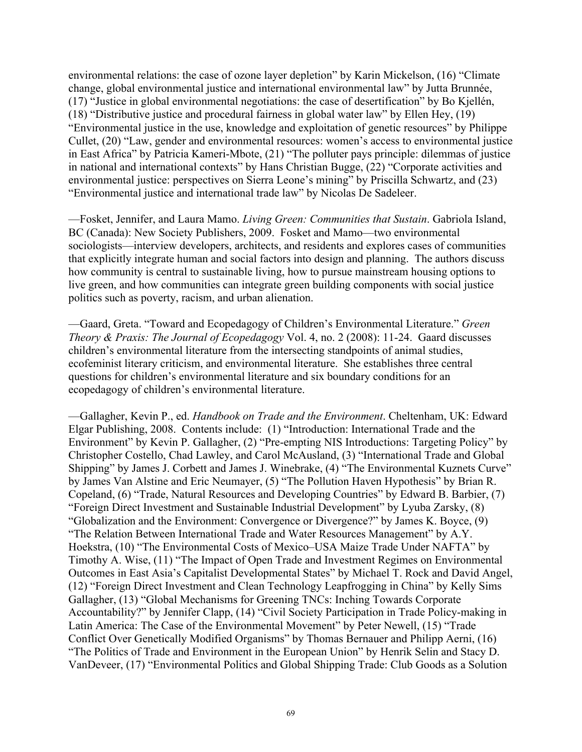environmental relations: the case of ozone layer depletion" by Karin Mickelson, (16) "Climate change, global environmental justice and international environmental law" by Jutta Brunnée, (17) "Justice in global environmental negotiations: the case of desertification" by Bo Kjellén, (18) "Distributive justice and procedural fairness in global water law" by Ellen Hey, (19) "Environmental justice in the use, knowledge and exploitation of genetic resources" by Philippe Cullet, (20) "Law, gender and environmental resources: women's access to environmental justice in East Africa" by Patricia Kameri-Mbote, (21) "The polluter pays principle: dilemmas of justice in national and international contexts" by Hans Christian Bugge, (22) "Corporate activities and environmental justice: perspectives on Sierra Leone's mining" by Priscilla Schwartz, and (23) "Environmental justice and international trade law" by Nicolas De Sadeleer.

—Fosket, Jennifer, and Laura Mamo. *Living Green: Communities that Sustain*. Gabriola Island, BC (Canada): New Society Publishers, 2009. Fosket and Mamo—two environmental sociologists—interview developers, architects, and residents and explores cases of communities that explicitly integrate human and social factors into design and planning. The authors discuss how community is central to sustainable living, how to pursue mainstream housing options to live green, and how communities can integrate green building components with social justice politics such as poverty, racism, and urban alienation.

—Gaard, Greta. "Toward and Ecopedagogy of Children's Environmental Literature." *Green Theory & Praxis: The Journal of Ecopedagogy* Vol. 4, no. 2 (2008): 11-24. Gaard discusses children's environmental literature from the intersecting standpoints of animal studies, ecofeminist literary criticism, and environmental literature. She establishes three central questions for children's environmental literature and six boundary conditions for an ecopedagogy of children's environmental literature.

—Gallagher, Kevin P., ed. *Handbook on Trade and the Environment*. Cheltenham, UK: Edward Elgar Publishing, 2008. Contents include: (1) "Introduction: International Trade and the Environment" by Kevin P. Gallagher, (2) "Pre-empting NIS Introductions: Targeting Policy" by Christopher Costello, Chad Lawley, and Carol McAusland, (3) "International Trade and Global Shipping" by James J. Corbett and James J. Winebrake, (4) "The Environmental Kuznets Curve" by James Van Alstine and Eric Neumayer, (5) "The Pollution Haven Hypothesis" by Brian R. Copeland, (6) "Trade, Natural Resources and Developing Countries" by Edward B. Barbier, (7) "Foreign Direct Investment and Sustainable Industrial Development" by Lyuba Zarsky, (8) "Globalization and the Environment: Convergence or Divergence?" by James K. Boyce, (9) "The Relation Between International Trade and Water Resources Management" by A.Y. Hoekstra, (10) "The Environmental Costs of Mexico–USA Maize Trade Under NAFTA" by Timothy A. Wise, (11) "The Impact of Open Trade and Investment Regimes on Environmental Outcomes in East Asia's Capitalist Developmental States" by Michael T. Rock and David Angel, (12) "Foreign Direct Investment and Clean Technology Leapfrogging in China" by Kelly Sims Gallagher, (13) "Global Mechanisms for Greening TNCs: Inching Towards Corporate Accountability?" by Jennifer Clapp, (14) "Civil Society Participation in Trade Policy-making in Latin America: The Case of the Environmental Movement" by Peter Newell, (15) "Trade Conflict Over Genetically Modified Organisms" by Thomas Bernauer and Philipp Aerni, (16) "The Politics of Trade and Environment in the European Union" by Henrik Selin and Stacy D. VanDeveer, (17) "Environmental Politics and Global Shipping Trade: Club Goods as a Solution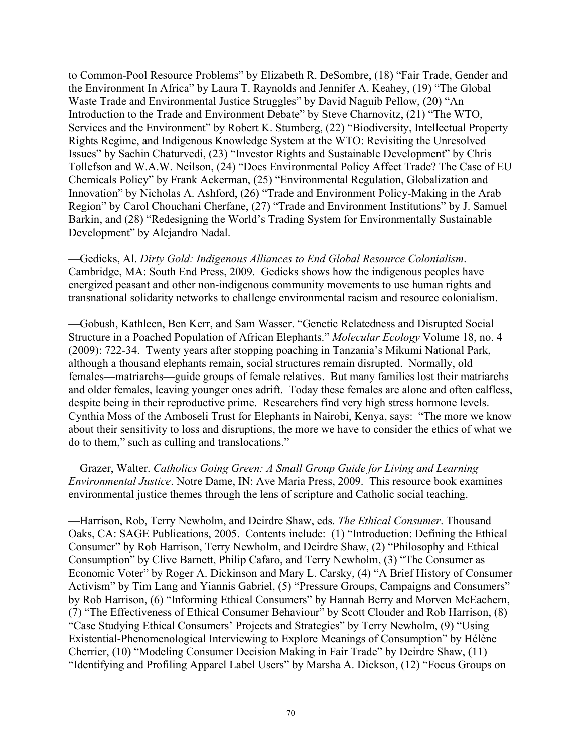to Common-Pool Resource Problems" by Elizabeth R. DeSombre, (18) "Fair Trade, Gender and the Environment In Africa" by Laura T. Raynolds and Jennifer A. Keahey, (19) "The Global Waste Trade and Environmental Justice Struggles" by David Naguib Pellow, (20) "An Introduction to the Trade and Environment Debate" by Steve Charnovitz, (21) "The WTO, Services and the Environment" by Robert K. Stumberg, (22) "Biodiversity, Intellectual Property Rights Regime, and Indigenous Knowledge System at the WTO: Revisiting the Unresolved Issues" by Sachin Chaturvedi, (23) "Investor Rights and Sustainable Development" by Chris Tollefson and W.A.W. Neilson, (24) "Does Environmental Policy Affect Trade? The Case of EU Chemicals Policy" by Frank Ackerman, (25) "Environmental Regulation, Globalization and Innovation" by Nicholas A. Ashford, (26) "Trade and Environment Policy-Making in the Arab Region" by Carol Chouchani Cherfane, (27) "Trade and Environment Institutions" by J. Samuel Barkin, and (28) "Redesigning the World's Trading System for Environmentally Sustainable Development" by Alejandro Nadal.

––Gedicks, Al. *Dirty Gold: Indigenous Alliances to End Global Resource Colonialism*. Cambridge, MA: South End Press, 2009. Gedicks shows how the indigenous peoples have energized peasant and other non-indigenous community movements to use human rights and transnational solidarity networks to challenge environmental racism and resource colonialism.

—Gobush, Kathleen, Ben Kerr, and Sam Wasser. "Genetic Relatedness and Disrupted Social Structure in a Poached Population of African Elephants." *Molecular Ecology* Volume 18, no. 4 (2009): 722-34. Twenty years after stopping poaching in Tanzania's Mikumi National Park, although a thousand elephants remain, social structures remain disrupted. Normally, old females—matriarchs—guide groups of female relatives. But many families lost their matriarchs and older females, leaving younger ones adrift. Today these females are alone and often calfless, despite being in their reproductive prime. Researchers find very high stress hormone levels. Cynthia Moss of the Amboseli Trust for Elephants in Nairobi, Kenya, says: "The more we know about their sensitivity to loss and disruptions, the more we have to consider the ethics of what we do to them," such as culling and translocations."

—Grazer, Walter. *Catholics Going Green: A Small Group Guide for Living and Learning Environmental Justice*. Notre Dame, IN: Ave Maria Press, 2009. This resource book examines environmental justice themes through the lens of scripture and Catholic social teaching.

—Harrison, Rob, Terry Newholm, and Deirdre Shaw, eds. *The Ethical Consumer*. Thousand Oaks, CA: SAGE Publications, 2005. Contents include: (1) "Introduction: Defining the Ethical Consumer" by Rob Harrison, Terry Newholm, and Deirdre Shaw, (2) "Philosophy and Ethical Consumption" by Clive Barnett, Philip Cafaro, and Terry Newholm, (3) "The Consumer as Economic Voter" by Roger A. Dickinson and Mary L. Carsky, (4) "A Brief History of Consumer Activism" by Tim Lang and Yiannis Gabriel, (5) "Pressure Groups, Campaigns and Consumers" by Rob Harrison, (6) "Informing Ethical Consumers" by Hannah Berry and Morven McEachern, (7) "The Effectiveness of Ethical Consumer Behaviour" by Scott Clouder and Rob Harrison, (8) "Case Studying Ethical Consumers' Projects and Strategies" by Terry Newholm, (9) "Using Existential-Phenomenological Interviewing to Explore Meanings of Consumption" by Hélène Cherrier, (10) "Modeling Consumer Decision Making in Fair Trade" by Deirdre Shaw, (11) "Identifying and Profiling Apparel Label Users" by Marsha A. Dickson, (12) "Focus Groups on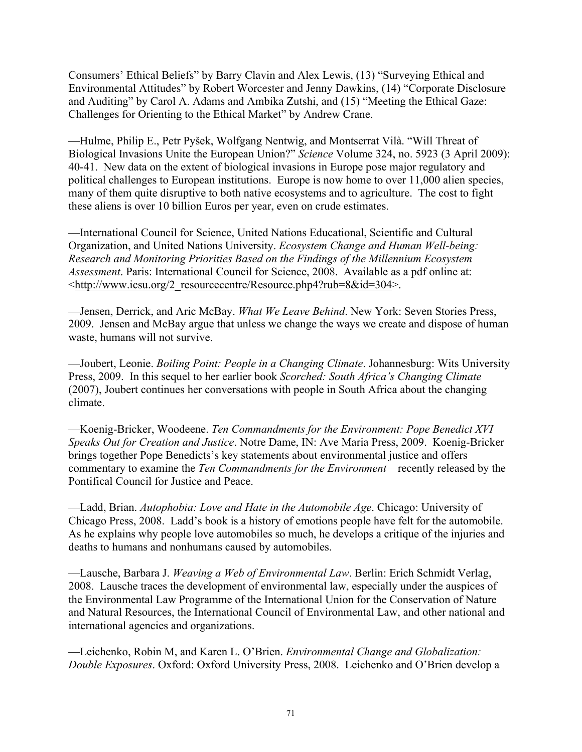Consumers' Ethical Beliefs" by Barry Clavin and Alex Lewis, (13) "Surveying Ethical and Environmental Attitudes" by Robert Worcester and Jenny Dawkins, (14) "Corporate Disclosure and Auditing" by Carol A. Adams and Ambika Zutshi, and (15) "Meeting the Ethical Gaze: Challenges for Orienting to the Ethical Market" by Andrew Crane.

—Hulme, Philip E., Petr Pyšek, Wolfgang Nentwig, and Montserrat Vilà. "Will Threat of Biological Invasions Unite the European Union?" *Science* Volume 324, no. 5923 (3 April 2009): 40-41. New data on the extent of biological invasions in Europe pose major regulatory and political challenges to European institutions. Europe is now home to over 11,000 alien species, many of them quite disruptive to both native ecosystems and to agriculture. The cost to fight these aliens is over 10 billion Euros per year, even on crude estimates.

—International Council for Science, United Nations Educational, Scientific and Cultural Organization, and United Nations University. *Ecosystem Change and Human Well-being: Research and Monitoring Priorities Based on the Findings of the Millennium Ecosystem Assessment*. Paris: International Council for Science, 2008. Available as a pdf online at: <http://www.icsu.org/2\_resourcecentre/Resource.php4?rub=8&id=304>.

—Jensen, Derrick, and Aric McBay. *What We Leave Behind*. New York: Seven Stories Press, 2009. Jensen and McBay argue that unless we change the ways we create and dispose of human waste, humans will not survive.

––Joubert, Leonie. *Boiling Point: People in a Changing Climate*. Johannesburg: Wits University Press, 2009. In this sequel to her earlier book *Scorched: South Africa's Changing Climate*  (2007), Joubert continues her conversations with people in South Africa about the changing climate.

—Koenig-Bricker, Woodeene. *Ten Commandments for the Environment: Pope Benedict XVI Speaks Out for Creation and Justice*. Notre Dame, IN: Ave Maria Press, 2009. Koenig-Bricker brings together Pope Benedicts's key statements about environmental justice and offers commentary to examine the *Ten Commandments for the Environment*—recently released by the Pontifical Council for Justice and Peace.

—Ladd, Brian. *Autophobia: Love and Hate in the Automobile Age*. Chicago: University of Chicago Press, 2008. Ladd's book is a history of emotions people have felt for the automobile. As he explains why people love automobiles so much, he develops a critique of the injuries and deaths to humans and nonhumans caused by automobiles.

—Lausche, Barbara J. *Weaving a Web of Environmental Law*. Berlin: Erich Schmidt Verlag, 2008. Lausche traces the development of environmental law, especially under the auspices of the Environmental Law Programme of the International Union for the Conservation of Nature and Natural Resources, the International Council of Environmental Law, and other national and international agencies and organizations.

—Leichenko, Robin M, and Karen L. O'Brien. *Environmental Change and Globalization: Double Exposures*. Oxford: Oxford University Press, 2008. Leichenko and O'Brien develop a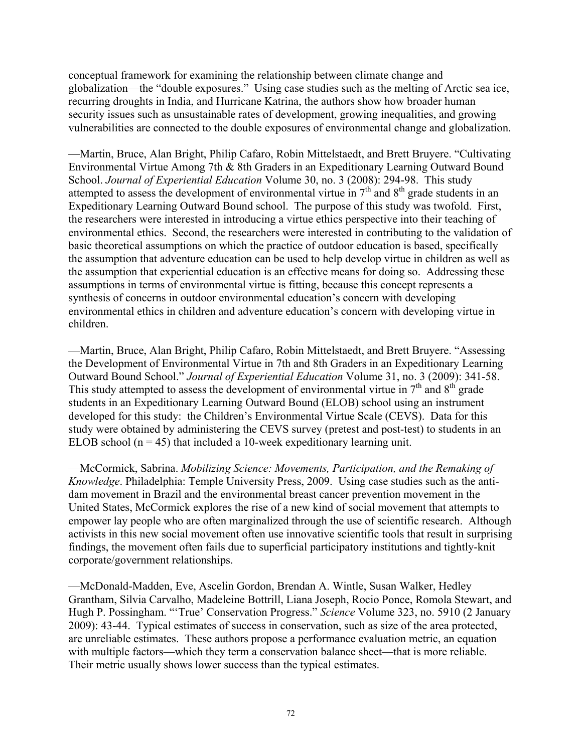conceptual framework for examining the relationship between climate change and globalization—the "double exposures." Using case studies such as the melting of Arctic sea ice, recurring droughts in India, and Hurricane Katrina, the authors show how broader human security issues such as unsustainable rates of development, growing inequalities, and growing vulnerabilities are connected to the double exposures of environmental change and globalization.

—Martin, Bruce, Alan Bright, Philip Cafaro, Robin Mittelstaedt, and Brett Bruyere. "Cultivating Environmental Virtue Among 7th & 8th Graders in an Expeditionary Learning Outward Bound School. *Journal of Experiential Education* Volume 30, no. 3 (2008): 294-98. This study attempted to assess the development of environmental virtue in  $7<sup>th</sup>$  and  $8<sup>th</sup>$  grade students in an Expeditionary Learning Outward Bound school. The purpose of this study was twofold. First, the researchers were interested in introducing a virtue ethics perspective into their teaching of environmental ethics. Second, the researchers were interested in contributing to the validation of basic theoretical assumptions on which the practice of outdoor education is based, specifically the assumption that adventure education can be used to help develop virtue in children as well as the assumption that experiential education is an effective means for doing so. Addressing these assumptions in terms of environmental virtue is fitting, because this concept represents a synthesis of concerns in outdoor environmental education's concern with developing environmental ethics in children and adventure education's concern with developing virtue in children.

—Martin, Bruce, Alan Bright, Philip Cafaro, Robin Mittelstaedt, and Brett Bruyere. "Assessing the Development of Environmental Virtue in 7th and 8th Graders in an Expeditionary Learning Outward Bound School." *Journal of Experiential Education* Volume 31, no. 3 (2009): 341-58. This study attempted to assess the development of environmental virtue in  $7<sup>th</sup>$  and  $8<sup>th</sup>$  grade students in an Expeditionary Learning Outward Bound (ELOB) school using an instrument developed for this study: the Children's Environmental Virtue Scale (CEVS). Data for this study were obtained by administering the CEVS survey (pretest and post-test) to students in an ELOB school ( $n = 45$ ) that included a 10-week expeditionary learning unit.

—McCormick, Sabrina. *Mobilizing Science: Movements, Participation, and the Remaking of Knowledge*. Philadelphia: Temple University Press, 2009. Using case studies such as the antidam movement in Brazil and the environmental breast cancer prevention movement in the United States, McCormick explores the rise of a new kind of social movement that attempts to empower lay people who are often marginalized through the use of scientific research. Although activists in this new social movement often use innovative scientific tools that result in surprising findings, the movement often fails due to superficial participatory institutions and tightly-knit corporate/government relationships.

—McDonald-Madden, Eve, Ascelin Gordon, Brendan A. Wintle, Susan Walker, Hedley Grantham, Silvia Carvalho, Madeleine Bottrill, Liana Joseph, Rocio Ponce, Romola Stewart, and Hugh P. Possingham. "'True' Conservation Progress." *Science* Volume 323, no. 5910 (2 January 2009): 43-44. Typical estimates of success in conservation, such as size of the area protected, are unreliable estimates. These authors propose a performance evaluation metric, an equation with multiple factors—which they term a conservation balance sheet—that is more reliable. Their metric usually shows lower success than the typical estimates.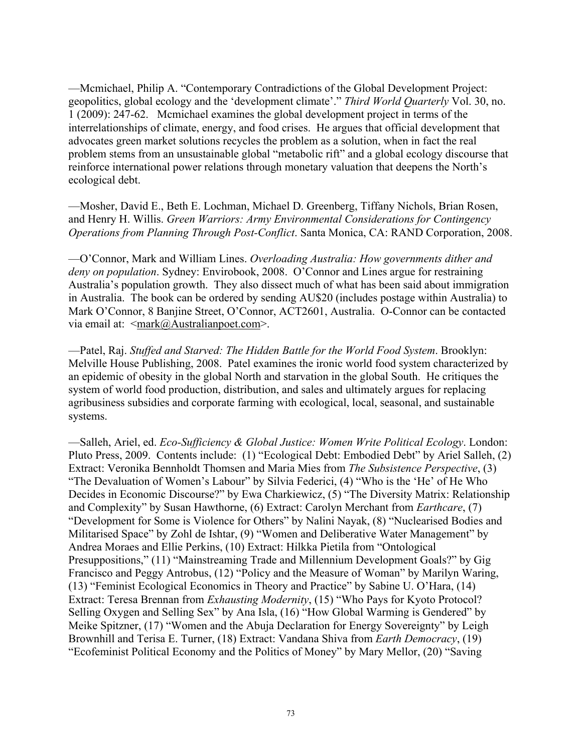—Mcmichael, Philip A. "Contemporary Contradictions of the Global Development Project: geopolitics, global ecology and the 'development climate'." *Third World Quarterly* Vol. 30, no. 1 (2009): 247-62. Mcmichael examines the global development project in terms of the interrelationships of climate, energy, and food crises. He argues that official development that advocates green market solutions recycles the problem as a solution, when in fact the real problem stems from an unsustainable global "metabolic rift" and a global ecology discourse that reinforce international power relations through monetary valuation that deepens the North's ecological debt.

—Mosher, David E., Beth E. Lochman, Michael D. Greenberg, Tiffany Nichols, Brian Rosen, and Henry H. Willis. *Green Warriors: Army Environmental Considerations for Contingency Operations from Planning Through Post-Conflict*. Santa Monica, CA: RAND Corporation, 2008.

—O'Connor, Mark and William Lines. *Overloading Australia: How governments dither and deny on population*. Sydney: Envirobook, 2008. O'Connor and Lines argue for restraining Australia's population growth. They also dissect much of what has been said about immigration in Australia. The book can be ordered by sending AU\$20 (includes postage within Australia) to Mark O'Connor, 8 Banjine Street, O'Connor, ACT2601, Australia. O-Connor can be contacted via email at:  $\langle \text{mark}(a) \text{Australian poet.com} \rangle$ .

—Patel, Raj. *Stuffed and Starved: The Hidden Battle for the World Food System*. Brooklyn: Melville House Publishing, 2008. Patel examines the ironic world food system characterized by an epidemic of obesity in the global North and starvation in the global South. He critiques the system of world food production, distribution, and sales and ultimately argues for replacing agribusiness subsidies and corporate farming with ecological, local, seasonal, and sustainable systems.

—Salleh, Ariel, ed. *Eco-Sufficiency & Global Justice: Women Write Political Ecology*. London: Pluto Press, 2009. Contents include: (1) "Ecological Debt: Embodied Debt" by Ariel Salleh, (2) Extract: Veronika Bennholdt Thomsen and Maria Mies from *The Subsistence Perspective*, (3) "The Devaluation of Women's Labour" by Silvia Federici, (4) "Who is the 'He' of He Who Decides in Economic Discourse?" by Ewa Charkiewicz, (5) "The Diversity Matrix: Relationship and Complexity" by Susan Hawthorne, (6) Extract: Carolyn Merchant from *Earthcare*, (7) "Development for Some is Violence for Others" by Nalini Nayak, (8) "Nuclearised Bodies and Militarised Space" by Zohl de Ishtar, (9) "Women and Deliberative Water Management" by Andrea Moraes and Ellie Perkins, (10) Extract: Hilkka Pietila from "Ontological Presuppositions," (11) "Mainstreaming Trade and Millennium Development Goals?" by Gig Francisco and Peggy Antrobus, (12) "Policy and the Measure of Woman" by Marilyn Waring, (13) "Feminist Ecological Economics in Theory and Practice" by Sabine U. O'Hara, (14) Extract: Teresa Brennan from *Exhausting Modernity*, (15) "Who Pays for Kyoto Protocol? Selling Oxygen and Selling Sex" by Ana Isla, (16) "How Global Warming is Gendered" by Meike Spitzner, (17) "Women and the Abuja Declaration for Energy Sovereignty" by Leigh Brownhill and Terisa E. Turner, (18) Extract: Vandana Shiva from *Earth Democracy*, (19) "Ecofeminist Political Economy and the Politics of Money" by Mary Mellor, (20) "Saving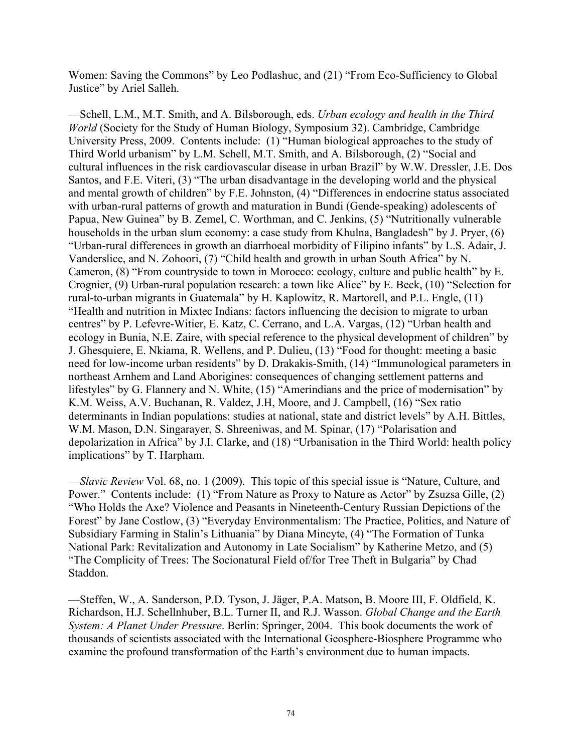Women: Saving the Commons" by Leo Podlashuc, and (21) "From Eco-Sufficiency to Global Justice" by Ariel Salleh.

—Schell, L.M., M.T. Smith, and A. Bilsborough, eds. *Urban ecology and health in the Third World* (Society for the Study of Human Biology, Symposium 32). Cambridge, Cambridge University Press, 2009. Contents include: (1) "Human biological approaches to the study of Third World urbanism" by L.M. Schell, M.T. Smith, and A. Bilsborough, (2) "Social and cultural influences in the risk cardiovascular disease in urban Brazil" by W.W. Dressler, J.E. Dos Santos, and F.E. Viteri, (3) "The urban disadvantage in the developing world and the physical and mental growth of children" by F.E. Johnston, (4) "Differences in endocrine status associated with urban-rural patterns of growth and maturation in Bundi (Gende-speaking) adolescents of Papua, New Guinea" by B. Zemel, C. Worthman, and C. Jenkins, (5) "Nutritionally vulnerable households in the urban slum economy: a case study from Khulna, Bangladesh" by J. Pryer, (6) "Urban-rural differences in growth an diarrhoeal morbidity of Filipino infants" by L.S. Adair, J. Vanderslice, and N. Zohoori, (7) "Child health and growth in urban South Africa" by N. Cameron, (8) "From countryside to town in Morocco: ecology, culture and public health" by E. Crognier, (9) Urban-rural population research: a town like Alice" by E. Beck, (10) "Selection for rural-to-urban migrants in Guatemala" by H. Kaplowitz, R. Martorell, and P.L. Engle, (11) "Health and nutrition in Mixtec Indians: factors influencing the decision to migrate to urban centres" by P. Lefevre-Witier, E. Katz, C. Cerrano, and L.A. Vargas, (12) "Urban health and ecology in Bunia, N.E. Zaire, with special reference to the physical development of children" by J. Ghesquiere, E. Nkiama, R. Wellens, and P. Dulieu, (13) "Food for thought: meeting a basic need for low-income urban residents" by D. Drakakis-Smith, (14) "Immunological parameters in northeast Arnhem and Land Aborigines: consequences of changing settlement patterns and lifestyles" by G. Flannery and N. White, (15) "Amerindians and the price of modernisation" by K.M. Weiss, A.V. Buchanan, R. Valdez, J.H, Moore, and J. Campbell, (16) "Sex ratio determinants in Indian populations: studies at national, state and district levels" by A.H. Bittles, W.M. Mason, D.N. Singarayer, S. Shreeniwas, and M. Spinar, (17) "Polarisation and depolarization in Africa" by J.I. Clarke, and (18) "Urbanisation in the Third World: health policy implications" by T. Harpham.

—*Slavic Review* Vol. 68, no. 1 (2009). This topic of this special issue is "Nature, Culture, and Power." Contents include: (1) "From Nature as Proxy to Nature as Actor" by Zsuzsa Gille, (2) "Who Holds the Axe? Violence and Peasants in Nineteenth-Century Russian Depictions of the Forest" by Jane Costlow, (3) "Everyday Environmentalism: The Practice, Politics, and Nature of Subsidiary Farming in Stalin's Lithuania" by Diana Mincyte, (4) "The Formation of Tunka National Park: Revitalization and Autonomy in Late Socialism" by Katherine Metzo, and (5) "The Complicity of Trees: The Socionatural Field of/for Tree Theft in Bulgaria" by Chad Staddon.

—Steffen, W., A. Sanderson, P.D. Tyson, J. Jäger, P.A. Matson, B. Moore III, F. Oldfield, K. Richardson, H.J. Schellnhuber, B.L. Turner II, and R.J. Wasson. *Global Change and the Earth System: A Planet Under Pressure*. Berlin: Springer, 2004. This book documents the work of thousands of scientists associated with the International Geosphere-Biosphere Programme who examine the profound transformation of the Earth's environment due to human impacts.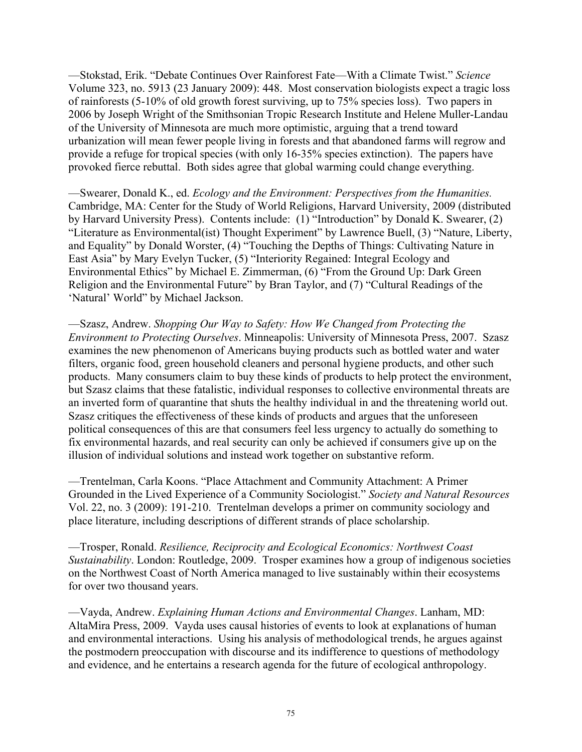—Stokstad, Erik. "Debate Continues Over Rainforest Fate—With a Climate Twist." *Science* Volume 323, no. 5913 (23 January 2009): 448. Most conservation biologists expect a tragic loss of rainforests (5-10% of old growth forest surviving, up to 75% species loss). Two papers in 2006 by Joseph Wright of the Smithsonian Tropic Research Institute and Helene Muller-Landau of the University of Minnesota are much more optimistic, arguing that a trend toward urbanization will mean fewer people living in forests and that abandoned farms will regrow and provide a refuge for tropical species (with only 16-35% species extinction). The papers have provoked fierce rebuttal. Both sides agree that global warming could change everything.

—Swearer, Donald K., ed. *Ecology and the Environment: Perspectives from the Humanities.*  Cambridge, MA: Center for the Study of World Religions, Harvard University, 2009 (distributed by Harvard University Press). Contents include: (1) "Introduction" by Donald K. Swearer, (2) "Literature as Environmental(ist) Thought Experiment" by Lawrence Buell, (3) "Nature, Liberty, and Equality" by Donald Worster, (4) "Touching the Depths of Things: Cultivating Nature in East Asia" by Mary Evelyn Tucker, (5) "Interiority Regained: Integral Ecology and Environmental Ethics" by Michael E. Zimmerman, (6) "From the Ground Up: Dark Green Religion and the Environmental Future" by Bran Taylor, and (7) "Cultural Readings of the 'Natural' World" by Michael Jackson.

—Szasz, Andrew. *Shopping Our Way to Safety: How We Changed from Protecting the Environment to Protecting Ourselves*. Minneapolis: University of Minnesota Press, 2007. Szasz examines the new phenomenon of Americans buying products such as bottled water and water filters, organic food, green household cleaners and personal hygiene products, and other such products. Many consumers claim to buy these kinds of products to help protect the environment, but Szasz claims that these fatalistic, individual responses to collective environmental threats are an inverted form of quarantine that shuts the healthy individual in and the threatening world out. Szasz critiques the effectiveness of these kinds of products and argues that the unforeseen political consequences of this are that consumers feel less urgency to actually do something to fix environmental hazards, and real security can only be achieved if consumers give up on the illusion of individual solutions and instead work together on substantive reform.

—Trentelman, Carla Koons. "Place Attachment and Community Attachment: A Primer Grounded in the Lived Experience of a Community Sociologist." *Society and Natural Resources* Vol. 22, no. 3 (2009): 191-210. Trentelman develops a primer on community sociology and place literature, including descriptions of different strands of place scholarship.

—Trosper, Ronald. *Resilience, Reciprocity and Ecological Economics: Northwest Coast Sustainability*. London: Routledge, 2009. Trosper examines how a group of indigenous societies on the Northwest Coast of North America managed to live sustainably within their ecosystems for over two thousand years.

—Vayda, Andrew. *Explaining Human Actions and Environmental Changes*. Lanham, MD: AltaMira Press, 2009. Vayda uses causal histories of events to look at explanations of human and environmental interactions. Using his analysis of methodological trends, he argues against the postmodern preoccupation with discourse and its indifference to questions of methodology and evidence, and he entertains a research agenda for the future of ecological anthropology.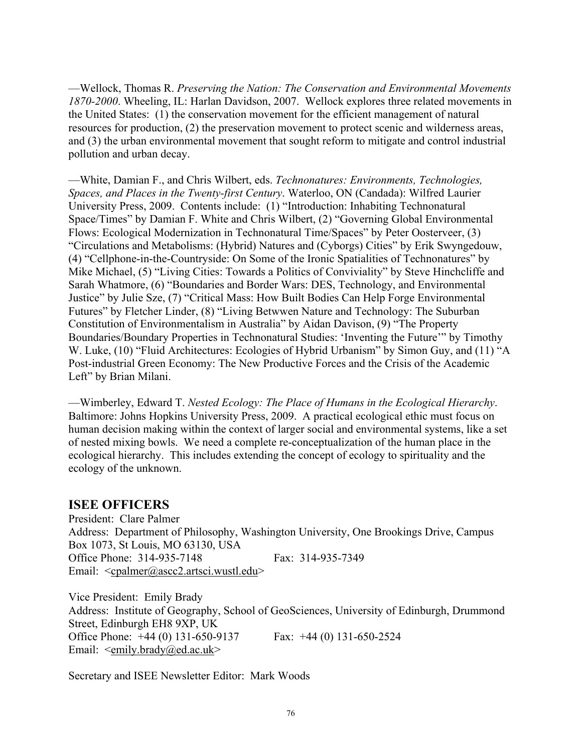—Wellock, Thomas R. *Preserving the Nation: The Conservation and Environmental Movements 1870-2000*. Wheeling, IL: Harlan Davidson, 2007. Wellock explores three related movements in the United States: (1) the conservation movement for the efficient management of natural resources for production, (2) the preservation movement to protect scenic and wilderness areas, and (3) the urban environmental movement that sought reform to mitigate and control industrial pollution and urban decay.

—White, Damian F., and Chris Wilbert, eds. *Technonatures: Environments, Technologies, Spaces, and Places in the Twenty-first Century*. Waterloo, ON (Candada): Wilfred Laurier University Press, 2009. Contents include: (1) "Introduction: Inhabiting Technonatural Space/Times" by Damian F. White and Chris Wilbert, (2) "Governing Global Environmental Flows: Ecological Modernization in Technonatural Time/Spaces" by Peter Oosterveer, (3) "Circulations and Metabolisms: (Hybrid) Natures and (Cyborgs) Cities" by Erik Swyngedouw, (4) "Cellphone-in-the-Countryside: On Some of the Ironic Spatialities of Technonatures" by Mike Michael, (5) "Living Cities: Towards a Politics of Conviviality" by Steve Hinchcliffe and Sarah Whatmore, (6) "Boundaries and Border Wars: DES, Technology, and Environmental Justice" by Julie Sze, (7) "Critical Mass: How Built Bodies Can Help Forge Environmental Futures" by Fletcher Linder, (8) "Living Betwwen Nature and Technology: The Suburban Constitution of Environmentalism in Australia" by Aidan Davison, (9) "The Property Boundaries/Boundary Properties in Technonatural Studies: 'Inventing the Future'" by Timothy W. Luke, (10) "Fluid Architectures: Ecologies of Hybrid Urbanism" by Simon Guy, and (11) "A Post-industrial Green Economy: The New Productive Forces and the Crisis of the Academic Left" by Brian Milani.

—Wimberley, Edward T. *Nested Ecology: The Place of Humans in the Ecological Hierarchy*. Baltimore: Johns Hopkins University Press, 2009. A practical ecological ethic must focus on human decision making within the context of larger social and environmental systems, like a set of nested mixing bowls. We need a complete re-conceptualization of the human place in the ecological hierarchy. This includes extending the concept of ecology to spirituality and the ecology of the unknown.

## **ISEE OFFICERS**

President: Clare Palmer Address: Department of Philosophy, Washington University, One Brookings Drive, Campus Box 1073, St Louis, MO 63130, USA Office Phone: 314-935-7148 Fax: 314-935-7349 Email: <cpalmer@ascc2.artsci.wustl.edu>

Vice President: Emily Brady Address: Institute of Geography, School of GeoSciences, University of Edinburgh, Drummond Street, Edinburgh EH8 9XP, UK Office Phone: +44 (0) 131-650-9137 Fax: +44 (0) 131-650-2524 Email:  $\leq$ emily.brady@ed.ac.uk>

Secretary and ISEE Newsletter Editor: Mark Woods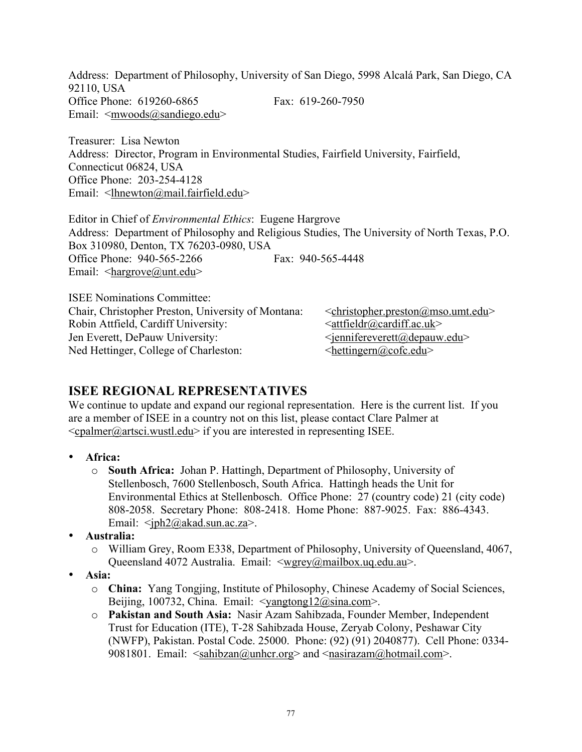Address: Department of Philosophy, University of San Diego, 5998 Alcalá Park, San Diego, CA 92110, USA Office Phone: 619260-6865 Fax: 619-260-7950 Email:  $\langle mwoods@sandiego.edu\rangle$ 

Treasurer: Lisa Newton Address: Director, Program in Environmental Studies, Fairfield University, Fairfield, Connecticut 06824, USA Office Phone: 203-254-4128 Email: <lhnewton@mail.fairfield.edu>

Editor in Chief of *Environmental Ethics*: Eugene Hargrove Address: Department of Philosophy and Religious Studies, The University of North Texas, P.O. Box 310980, Denton, TX 76203-0980, USA Office Phone: 940-565-2266 Fax: 940-565-4448 Email:  $\langle \text{hargrove}(a \rangle$ unt.edu>

ISEE Nominations Committee: Chair, Christopher Preston, University of Montana: <christopher.preston@mso.umt.edu> Robin Attfield, Cardiff University:  $\leq \text{attfieldr}(\partial_{\text{c}} \text{cardiff}.ac.uk$ Jen Everett, DePauw University:  $\leq$ jennifereverett@depauw.edu> Ned Hettinger, College of Charleston: <hettingern@cofc.edu>

## **ISEE REGIONAL REPRESENTATIVES**

We continue to update and expand our regional representation. Here is the current list. If you are a member of ISEE in a country not on this list, please contact Clare Palmer at  $\leq$ cpalmer@artsci.wustl.edu> if you are interested in representing ISEE.

- **Africa:**
	- o **South Africa:** Johan P. Hattingh, Department of Philosophy, University of Stellenbosch, 7600 Stellenbosch, South Africa. Hattingh heads the Unit for Environmental Ethics at Stellenbosch. Office Phone: 27 (country code) 21 (city code) 808-2058. Secretary Phone: 808-2418. Home Phone: 887-9025. Fax: 886-4343. Email:  $\langle \text{iph2}\rightangle$ @akad.sun.ac.za>.
- **Australia:**
	- o William Grey, Room E338, Department of Philosophy, University of Queensland, 4067, Queensland 4072 Australia. Email: <wgrey@mailbox.uq.edu.au>.
- **Asia:**
	- o **China:** Yang Tongjing, Institute of Philosophy, Chinese Academy of Social Sciences, Beijing, 100732, China. Email: <yangtong12@sina.com>.
	- o **Pakistan and South Asia:** Nasir Azam Sahibzada, Founder Member, Independent Trust for Education (ITE), T-28 Sahibzada House, Zeryab Colony, Peshawar City (NWFP), Pakistan. Postal Code. 25000. Phone: (92) (91) 2040877). Cell Phone: 0334- 9081801. Email:  $\langle$ sahibzan@unhcr.org and  $\langle$ nasirazam@hotmail.com >.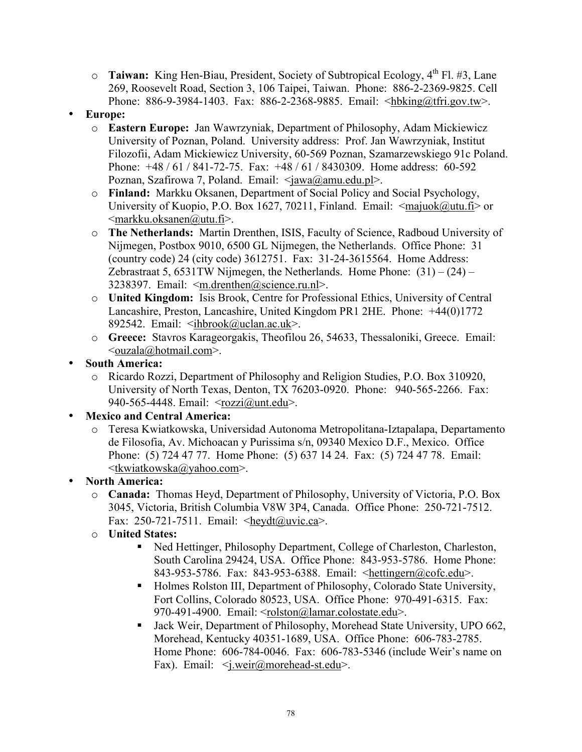- o **Taiwan:** King Hen-Biau, President, Society of Subtropical Ecology, 4<sup>th</sup> Fl. #3, Lane 269, Roosevelt Road, Section 3, 106 Taipei, Taiwan. Phone: 886-2-2369-9825. Cell Phone: 886-9-3984-1403. Fax: 886-2-2368-9885. Email: <hbking@tfri.gov.tw>.
- **Europe:**
	- o **Eastern Europe:** Jan Wawrzyniak, Department of Philosophy, Adam Mickiewicz University of Poznan, Poland. University address: Prof. Jan Wawrzyniak, Institut Filozofii, Adam Mickiewicz University, 60-569 Poznan, Szamarzewskiego 91c Poland. Phone: +48 / 61 / 841-72-75. Fax: +48 / 61 / 8430309. Home address: 60-592 Poznan, Szafirowa 7, Poland. Email:  $\langle$ jawa@amu.edu.pl>.
	- o **Finland:** Markku Oksanen, Department of Social Policy and Social Psychology, University of Kuopio, P.O. Box 1627, 70211, Finland. Email:  $\leq$ majuok@utu.fi> or <markku.oksanen@utu.fi>.
	- o **The Netherlands:** Martin Drenthen, ISIS, Faculty of Science, Radboud University of Nijmegen, Postbox 9010, 6500 GL Nijmegen, the Netherlands. Office Phone: 31 (country code) 24 (city code) 3612751. Fax: 31-24-3615564. Home Address: Zebrastraat 5, 6531TW Nijmegen, the Netherlands. Home Phone:  $(31) - (24)$ 3238397. Email: <m.drenthen@science.ru.nl>.
	- o **United Kingdom:** Isis Brook, Centre for Professional Ethics, University of Central Lancashire, Preston, Lancashire, United Kingdom PR1 2HE. Phone: +44(0)1772 892542. Email: <ihbrook@uclan.ac.uk>.
	- o **Greece:** Stavros Karageorgakis, Theofilou 26, 54633, Thessaloniki, Greece. Email: <ouzala@hotmail.com>.
- **South America:**
	- o Ricardo Rozzi, Department of Philosophy and Religion Studies, P.O. Box 310920, University of North Texas, Denton, TX 76203-0920. Phone: 940-565-2266. Fax: 940-565-4448. Email: <rozzi@unt.edu>.
- **Mexico and Central America:**
	- o Teresa Kwiatkowska, Universidad Autonoma Metropolitana-Iztapalapa, Departamento de Filosofia, Av. Michoacan y Purissima s/n, 09340 Mexico D.F., Mexico. Office Phone: (5) 724 47 77. Home Phone: (5) 637 14 24. Fax: (5) 724 47 78. Email: <tkwiatkowska@yahoo.com>.
- **North America:**
	- o **Canada:** Thomas Heyd, Department of Philosophy, University of Victoria, P.O. Box 3045, Victoria, British Columbia V8W 3P4, Canada. Office Phone: 250-721-7512. Fax: 250-721-7511. Email: <heydt@uvic.ca>.
	- o **United States:**
		- Ned Hettinger, Philosophy Department, College of Charleston, Charleston, South Carolina 29424, USA. Office Phone: 843-953-5786. Home Phone: 843-953-5786. Fax: 843-953-6388. Email: <hettingern@cofc.edu>.
		- Holmes Rolston III, Department of Philosophy, Colorado State University, Fort Collins, Colorado 80523, USA. Office Phone: 970-491-6315. Fax: 970-491-4900. Email: <rolston@lamar.colostate.edu>.
		- Jack Weir, Department of Philosophy, Morehead State University, UPO 662, Morehead, Kentucky 40351-1689, USA. Office Phone: 606-783-2785. Home Phone: 606-784-0046. Fax: 606-783-5346 (include Weir's name on Fax). Email:  $\langle$ j.weir@morehead-st.edu>.